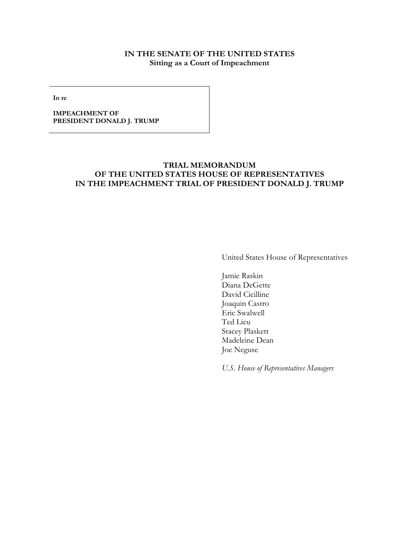# **IN THE SENATE OF THE UNITED STATES Sitting as a Court of Impeachment**

**In re**

**IMPEACHMENT OF PRESIDENT DONALD J. TRUMP**

# **TRIAL MEMORANDUM OF THE UNITED STATES HOUSE OF REPRESENTATIVES IN THE IMPEACHMENT TRIAL OF PRESIDENT DONALD J. TRUMP**

United States House of Representatives

Jamie Raskin Diana DeGette David Cicilline Joaquin Castro Eric Swalwell Ted Lieu Stacey Plaskett Madeleine Dean Joe Neguse

*U.S. House of Representatives Managers*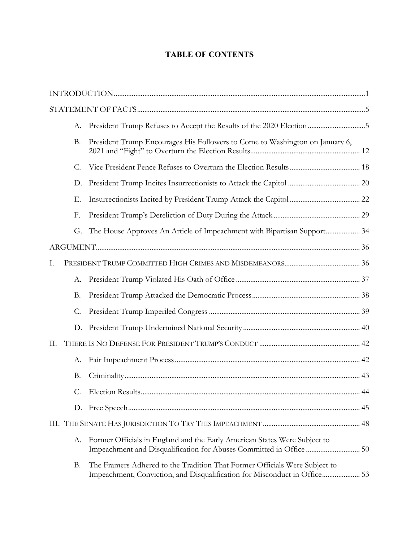# **TABLE OF CONTENTS**

|    | А.        | President Trump Refuses to Accept the Results of the 2020 Election5                                                                                     |  |  |
|----|-----------|---------------------------------------------------------------------------------------------------------------------------------------------------------|--|--|
|    | <b>B.</b> | President Trump Encourages His Followers to Come to Washington on January 6,                                                                            |  |  |
|    | C.        |                                                                                                                                                         |  |  |
|    | D.        |                                                                                                                                                         |  |  |
|    | Ε.        |                                                                                                                                                         |  |  |
|    | F.        |                                                                                                                                                         |  |  |
|    | G.        | The House Approves An Article of Impeachment with Bipartisan Support 34                                                                                 |  |  |
|    |           |                                                                                                                                                         |  |  |
| Ι. |           |                                                                                                                                                         |  |  |
|    | А.        |                                                                                                                                                         |  |  |
|    | <b>B.</b> |                                                                                                                                                         |  |  |
|    | C.        |                                                                                                                                                         |  |  |
|    | D.        |                                                                                                                                                         |  |  |
| П. |           |                                                                                                                                                         |  |  |
|    | A.        |                                                                                                                                                         |  |  |
|    | <b>B.</b> |                                                                                                                                                         |  |  |
|    | C.        |                                                                                                                                                         |  |  |
|    |           |                                                                                                                                                         |  |  |
|    |           |                                                                                                                                                         |  |  |
|    | А.        | Former Officials in England and the Early American States Were Subject to                                                                               |  |  |
|    | <b>B.</b> | The Framers Adhered to the Tradition That Former Officials Were Subject to<br>Impeachment, Conviction, and Disqualification for Misconduct in Office 53 |  |  |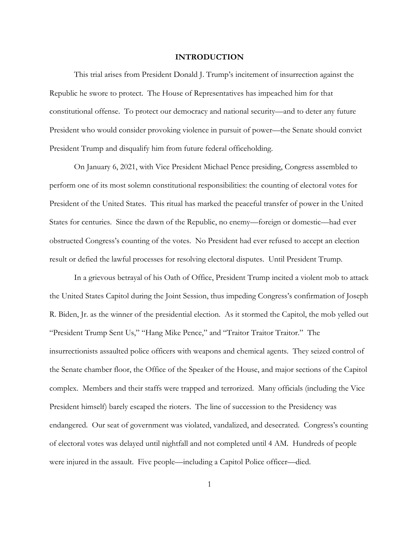#### **INTRODUCTION**

This trial arises from President Donald J. Trump's incitement of insurrection against the Republic he swore to protect. The House of Representatives has impeached him for that constitutional offense. To protect our democracy and national security—and to deter any future President who would consider provoking violence in pursuit of power—the Senate should convict President Trump and disqualify him from future federal officeholding.

On January 6, 2021, with Vice President Michael Pence presiding, Congress assembled to perform one of its most solemn constitutional responsibilities: the counting of electoral votes for President of the United States. This ritual has marked the peaceful transfer of power in the United States for centuries. Since the dawn of the Republic, no enemy—foreign or domestic—had ever obstructed Congress's counting of the votes. No President had ever refused to accept an election result or defied the lawful processes for resolving electoral disputes. Until President Trump.

In a grievous betrayal of his Oath of Office, President Trump incited a violent mob to attack the United States Capitol during the Joint Session, thus impeding Congress's confirmation of Joseph R. Biden, Jr. as the winner of the presidential election. As it stormed the Capitol, the mob yelled out "President Trump Sent Us," "Hang Mike Pence," and "Traitor Traitor Traitor." The insurrectionists assaulted police officers with weapons and chemical agents. They seized control of the Senate chamber floor, the Office of the Speaker of the House, and major sections of the Capitol complex. Members and their staffs were trapped and terrorized. Many officials (including the Vice President himself) barely escaped the rioters. The line of succession to the Presidency was endangered. Our seat of government was violated, vandalized, and desecrated. Congress's counting of electoral votes was delayed until nightfall and not completed until 4 AM. Hundreds of people were injured in the assault. Five people—including a Capitol Police officer—died.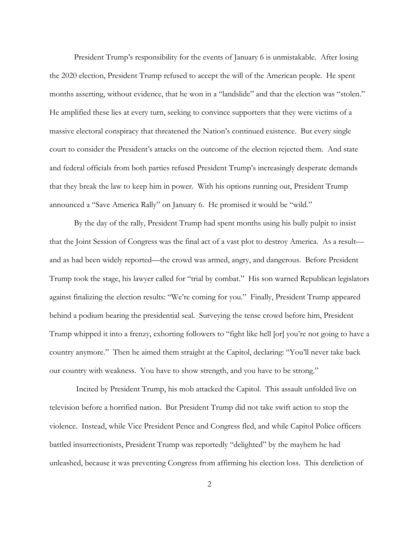President Trump's responsibility for the events of January 6 is unmistakable. After losing the 2020 election, President Trump refused to accept the will of the American people. He spent months asserting, without evidence, that he won in a "landslide" and that the election was "stolen." He amplified these lies at every turn, seeking to convince supporters that they were victims of a massive electoral conspiracy that threatened the Nation's continued existence. But every single court to consider the President's attacks on the outcome of the election rejected them. And state and federal officials from both parties refused President Trump's increasingly desperate demands that they break the law to keep him in power. With his options running out, President Trump announced a "Save America Rally" on January 6. He promised it would be "wild."

By the day of the rally, President Trump had spent months using his bully pulpit to insist that the Joint Session of Congress was the final act of a vast plot to destroy America. As a result and as had been widely reported—the crowd was armed, angry, and dangerous. Before President Trump took the stage, his lawyer called for "trial by combat." His son warned Republican legislators against finalizing the election results: "We're coming for you." Finally, President Trump appeared behind a podium bearing the presidential seal. Surveying the tense crowd before him, President Trump whipped it into a frenzy, exhorting followers to "fight like hell [or] you're not going to have a country anymore." Then he aimed them straight at the Capitol, declaring: "You'll never take back our country with weakness. You have to show strength, and you have to be strong."

Incited by President Trump, his mob attacked the Capitol. This assault unfolded live on television before a horrified nation. But President Trump did not take swift action to stop the violence. Instead, while Vice President Pence and Congress fled, and while Capitol Police officers battled insurrectionists, President Trump was reportedly "delighted" by the mayhem he had unleashed, because it was preventing Congress from affirming his election loss. This dereliction of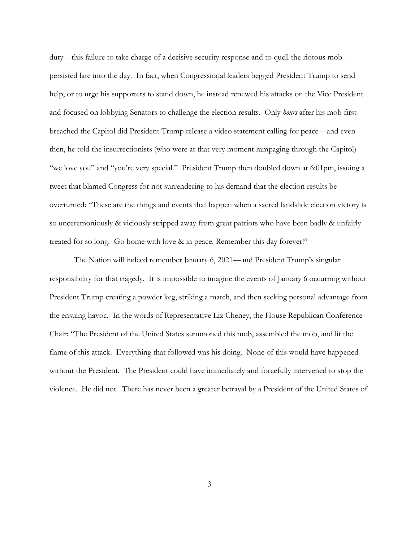duty—this failure to take charge of a decisive security response and to quell the riotous mob persisted late into the day. In fact, when Congressional leaders begged President Trump to send help, or to urge his supporters to stand down, he instead renewed his attacks on the Vice President and focused on lobbying Senators to challenge the election results. Only *hours* after his mob first breached the Capitol did President Trump release a video statement calling for peace—and even then, he told the insurrectionists (who were at that very moment rampaging through the Capitol) "we love you" and "you're very special." President Trump then doubled down at 6:01pm, issuing a tweet that blamed Congress for not surrendering to his demand that the election results be overturned: "These are the things and events that happen when a sacred landslide election victory is so unceremoniously & viciously stripped away from great patriots who have been badly & unfairly treated for so long. Go home with love & in peace. Remember this day forever!"

The Nation will indeed remember January 6, 2021—and President Trump's singular responsibility for that tragedy. It is impossible to imagine the events of January 6 occurring without President Trump creating a powder keg, striking a match, and then seeking personal advantage from the ensuing havoc. In the words of Representative Liz Cheney, the House Republican Conference Chair: "The President of the United States summoned this mob, assembled the mob, and lit the flame of this attack. Everything that followed was his doing. None of this would have happened without the President. The President could have immediately and forcefully intervened to stop the violence. He did not. There has never been a greater betrayal by a President of the United States of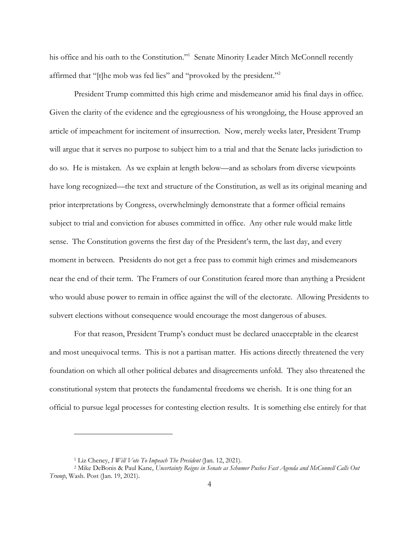his office and his oath to the Constitution."<sup>1</sup> Senate Minority Leader Mitch McConnell recently affirmed that "[t]he mob was fed lies" and "provoked by the president."<sup>2</sup>

President Trump committed this high crime and misdemeanor amid his final days in office. Given the clarity of the evidence and the egregiousness of his wrongdoing, the House approved an article of impeachment for incitement of insurrection. Now, merely weeks later, President Trump will argue that it serves no purpose to subject him to a trial and that the Senate lacks jurisdiction to do so. He is mistaken. As we explain at length below—and as scholars from diverse viewpoints have long recognized—the text and structure of the Constitution, as well as its original meaning and prior interpretations by Congress, overwhelmingly demonstrate that a former official remains subject to trial and conviction for abuses committed in office. Any other rule would make little sense. The Constitution governs the first day of the President's term, the last day, and every moment in between. Presidents do not get a free pass to commit high crimes and misdemeanors near the end of their term. The Framers of our Constitution feared more than anything a President who would abuse power to remain in office against the will of the electorate. Allowing Presidents to subvert elections without consequence would encourage the most dangerous of abuses.

For that reason, President Trump's conduct must be declared unacceptable in the clearest and most unequivocal terms. This is not a partisan matter. His actions directly threatened the very foundation on which all other political debates and disagreements unfold. They also threatened the constitutional system that protects the fundamental freedoms we cherish. It is one thing for an official to pursue legal processes for contesting election results. It is something else entirely for that

<sup>1</sup> Liz Cheney, *I Will Vote To Impeach The President* (Jan. 12, 2021).

<sup>2</sup> Mike DeBonis & Paul Kane, *Uncertainty Reigns in Senate as Schumer Pushes Fast Agenda and McConnell Calls Out Trump*, Wash. Post (Jan. 19, 2021).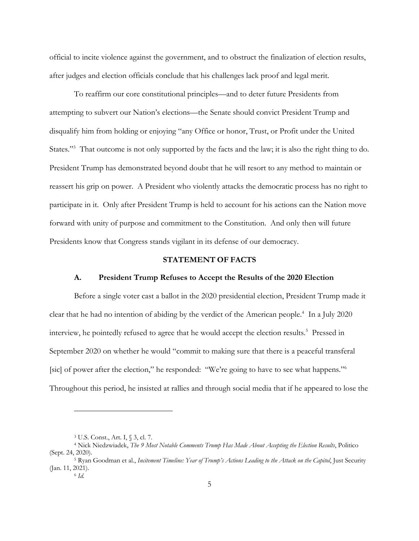official to incite violence against the government, and to obstruct the finalization of election results, after judges and election officials conclude that his challenges lack proof and legal merit.

To reaffirm our core constitutional principles—and to deter future Presidents from attempting to subvert our Nation's elections—the Senate should convict President Trump and disqualify him from holding or enjoying "any Office or honor, Trust, or Profit under the United States."<sup>3</sup> That outcome is not only supported by the facts and the law; it is also the right thing to do. President Trump has demonstrated beyond doubt that he will resort to any method to maintain or reassert his grip on power. A President who violently attacks the democratic process has no right to participate in it. Only after President Trump is held to account for his actions can the Nation move forward with unity of purpose and commitment to the Constitution. And only then will future Presidents know that Congress stands vigilant in its defense of our democracy.

## **STATEMENT OF FACTS**

#### **A. President Trump Refuses to Accept the Results of the 2020 Election**

Before a single voter cast a ballot in the 2020 presidential election, President Trump made it clear that he had no intention of abiding by the verdict of the American people.<sup>4</sup> In a July 2020 interview, he pointedly refused to agree that he would accept the election results.<sup>5</sup> Pressed in September 2020 on whether he would "commit to making sure that there is a peaceful transferal [sic] of power after the election," he responded: "We're going to have to see what happens."<sup>6</sup> Throughout this period, he insisted at rallies and through social media that if he appeared to lose the

<sup>3</sup> U.S. Const., Art. I, § 3, cl. 7.

<sup>4</sup> Nick Niedzwiadek, *The 9 Most Notable Comments Trump Has Made About Accepting the Election Results*, Politico (Sept. 24, 2020).

<sup>5</sup> Ryan Goodman et al., *Incitement Timeline: Year of Trump's Actions Leading to the Attack on the Capitol*, Just Security (Jan. 11, 2021).

<sup>6</sup> *Id.*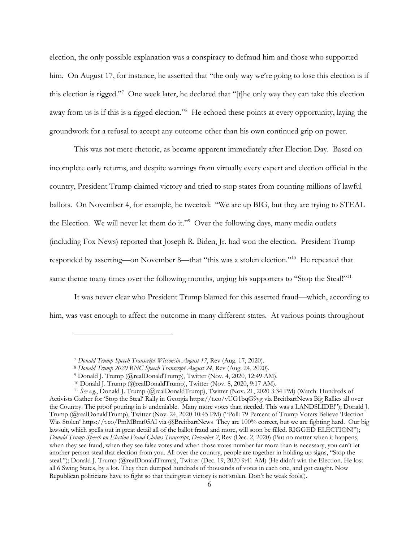election, the only possible explanation was a conspiracy to defraud him and those who supported him. On August 17, for instance, he asserted that "the only way we're going to lose this election is if this election is rigged."7 One week later, he declared that "[t]he only way they can take this election away from us is if this is a rigged election."<sup>8</sup> He echoed these points at every opportunity, laying the groundwork for a refusal to accept any outcome other than his own continued grip on power.

This was not mere rhetoric, as became apparent immediately after Election Day. Based on incomplete early returns, and despite warnings from virtually every expert and election official in the country, President Trump claimed victory and tried to stop states from counting millions of lawful ballots. On November 4, for example, he tweeted: "We are up BIG, but they are trying to STEAL the Election. We will never let them do it."9 Over the following days, many media outlets (including Fox News) reported that Joseph R. Biden, Jr. had won the election. President Trump responded by asserting—on November 8—that "this was a stolen election."10 He repeated that same theme many times over the following months, urging his supporters to "Stop the Steal!"<sup>11</sup>

It was never clear who President Trump blamed for this asserted fraud—which, according to him, was vast enough to affect the outcome in many different states. At various points throughout

<sup>7</sup> *Donald Trump Speech Transcript Wisconsin August 17*, Rev (Aug. 17, 2020).

<sup>8</sup> *Donald Trump 2020 RNC Speech Transcript August 24*, Rev (Aug. 24, 2020).

<sup>9</sup> Donald J. Trump (@realDonaldTrump), Twitter (Nov. 4, 2020, 12:49 AM).

<sup>10</sup> Donald J. Trump (@realDonaldTrump), Twitter (Nov. 8, 2020, 9:17 AM).

<sup>11</sup> *See e.g.*, Donald J. Trump (@realDonaldTrump), Twitter (Nov. 21, 2020 3:34 PM) (Watch: Hundreds of Activists Gather for 'Stop the Steal' Rally in Georgia https://t.co/vUG1bqG9yg via BreitbartNews Big Rallies all over the Country. The proof pouring in is undeniable. Many more votes than needed. This was a LANDSLIDE!"); Donald J. Trump (@realDonaldTrump), Twitter (Nov. 24, 2020 10:45 PM) ("Poll: 79 Percent of Trump Voters Believe 'Election Was Stolen' https://t.co/PmMBmt05AI via @BreitbartNews They are 100% correct, but we are fighting hard. Our big lawsuit, which spells out in great detail all of the ballot fraud and more, will soon be filled. RIGGED ELECTION!"); *Donald Trump Speech on Election Fraud Claims Transcript*, *December 2*, Rev (Dec. 2, 2020) (But no matter when it happens, when they see fraud, when they see false votes and when those votes number far more than is necessary, you can't let another person steal that election from you. All over the country, people are together in holding up signs, "Stop the steal."); Donald J. Trump (@realDonaldTrump), Twitter (Dec. 19, 2020 9:41 AM) (He didn't win the Election. He lost all 6 Swing States, by a lot. They then dumped hundreds of thousands of votes in each one, and got caught. Now Republican politicians have to fight so that their great victory is not stolen. Don't be weak fools!).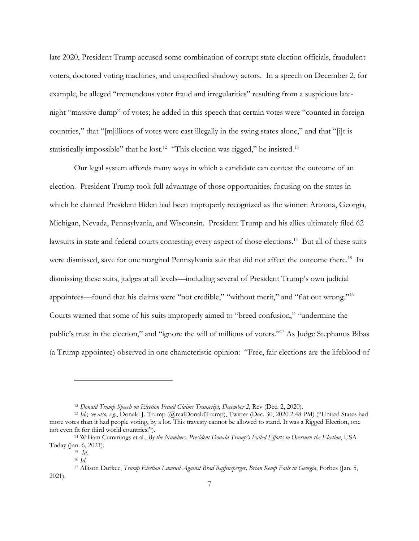late 2020, President Trump accused some combination of corrupt state election officials, fraudulent voters, doctored voting machines, and unspecified shadowy actors. In a speech on December 2, for example, he alleged "tremendous voter fraud and irregularities" resulting from a suspicious latenight "massive dump" of votes; he added in this speech that certain votes were "counted in foreign countries," that "[m]illions of votes were cast illegally in the swing states alone," and that "[i]t is statistically impossible" that he lost.<sup>12</sup> "This election was rigged," he insisted.<sup>13</sup>

Our legal system affords many ways in which a candidate can contest the outcome of an election. President Trump took full advantage of those opportunities, focusing on the states in which he claimed President Biden had been improperly recognized as the winner: Arizona, Georgia, Michigan, Nevada, Pennsylvania, and Wisconsin. President Trump and his allies ultimately filed 62 lawsuits in state and federal courts contesting every aspect of those elections.<sup>14</sup> But all of these suits were dismissed, save for one marginal Pennsylvania suit that did not affect the outcome there.<sup>15</sup> In dismissing these suits, judges at all levels—including several of President Trump's own judicial appointees—found that his claims were "not credible," "without merit," and "flat out wrong."16 Courts warned that some of his suits improperly aimed to "breed confusion," "undermine the public's trust in the election," and "ignore the will of millions of voters."17 As Judge Stephanos Bibas (a Trump appointee) observed in one characteristic opinion: "Free, fair elections are the lifeblood of

<sup>12</sup> *Donald Trump Speech on Election Fraud Claims Transcript*, *December 2*, Rev (Dec. 2, 2020).

<sup>13</sup> *Id.*; *see also, e.g.*, Donald J. Trump (@realDonaldTrump), Twitter (Dec. 30, 2020 2:48 PM) ("United States had more votes than it had people voting, by a lot. This travesty cannot be allowed to stand. It was a Rigged Election, one not even fit for third world countries!").

<sup>14</sup> William Cummings et al., *By the Numbers: President Donald Trump's Failed Efforts to Overturn the Election*, USA Today (Jan. 6, 2021).

<sup>15</sup> *Id.* 

<sup>16</sup> *Id.*

<sup>17</sup> Allison Durkee, *Trump Election Lawsuit Against Brad Raffensperger, Brian Kemp Fails in Georgia*, Forbes (Jan. 5, 2021).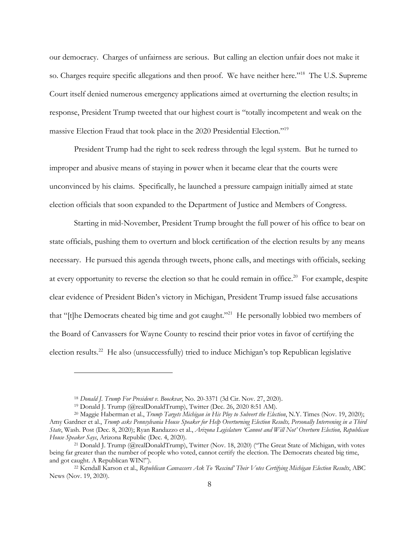our democracy. Charges of unfairness are serious. But calling an election unfair does not make it so. Charges require specific allegations and then proof. We have neither here."18 The U.S. Supreme Court itself denied numerous emergency applications aimed at overturning the election results; in response, President Trump tweeted that our highest court is "totally incompetent and weak on the massive Election Fraud that took place in the 2020 Presidential Election."19

President Trump had the right to seek redress through the legal system. But he turned to improper and abusive means of staying in power when it became clear that the courts were unconvinced by his claims. Specifically, he launched a pressure campaign initially aimed at state election officials that soon expanded to the Department of Justice and Members of Congress.

Starting in mid-November, President Trump brought the full power of his office to bear on state officials, pushing them to overturn and block certification of the election results by any means necessary. He pursued this agenda through tweets, phone calls, and meetings with officials, seeking at every opportunity to reverse the election so that he could remain in office.<sup>20</sup> For example, despite clear evidence of President Biden's victory in Michigan, President Trump issued false accusations that "[t]he Democrats cheated big time and got caught."21 He personally lobbied two members of the Board of Canvassers for Wayne County to rescind their prior votes in favor of certifying the election results.<sup>22</sup> He also (unsuccessfully) tried to induce Michigan's top Republican legislative

<sup>18</sup> *Donald J. Trump For President v. Boockvar*, No. 20-3371 (3d Cir. Nov. 27, 2020).

<sup>19</sup> Donald J. Trump (@realDonaldTrump), Twitter (Dec. 26, 2020 8:51 AM).

<sup>20</sup> Maggie Haberman et al., *Trump Targets Michigan in His Ploy to Subvert the Election*, N.Y. Times (Nov. 19, 2020); Amy Gardner et al., *Trump asks Pennsylvania House Speaker for Help Overturning Election Results, Personally Intervening in a Third State*, Wash. Post (Dec. 8, 2020); Ryan Randazzo et al., *Arizona Legislature 'Cannot and Will Not' Overturn Election, Republican House Speaker Says*, Arizona Republic (Dec. 4, 2020).

<sup>21</sup> Donald J. Trump (@realDonaldTrump), Twitter (Nov. 18, 2020) ("The Great State of Michigan, with votes being far greater than the number of people who voted, cannot certify the election. The Democrats cheated big time, and got caught. A Republican WIN!").

<sup>&</sup>lt;sup>22</sup> Kendall Karson et al., *Republican Canvassers Ask To 'Rescind' Their Votes Certifying Michigan Election Results*, ABC News (Nov. 19, 2020).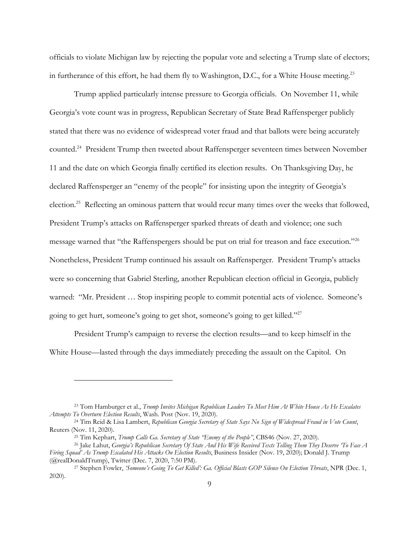officials to violate Michigan law by rejecting the popular vote and selecting a Trump slate of electors; in furtherance of this effort, he had them fly to Washington, D.C., for a White House meeting.<sup>23</sup>

Trump applied particularly intense pressure to Georgia officials. On November 11, while Georgia's vote count was in progress, Republican Secretary of State Brad Raffensperger publicly stated that there was no evidence of widespread voter fraud and that ballots were being accurately counted.24 President Trump then tweeted about Raffensperger seventeen times between November 11 and the date on which Georgia finally certified its election results. On Thanksgiving Day, he declared Raffensperger an "enemy of the people" for insisting upon the integrity of Georgia's election.<sup>25</sup> Reflecting an ominous pattern that would recur many times over the weeks that followed, President Trump's attacks on Raffensperger sparked threats of death and violence; one such message warned that "the Raffenspergers should be put on trial for treason and face execution."26 Nonetheless, President Trump continued his assault on Raffensperger. President Trump's attacks were so concerning that Gabriel Sterling, another Republican election official in Georgia, publicly warned: "Mr. President … Stop inspiring people to commit potential acts of violence. Someone's going to get hurt, someone's going to get shot, someone's going to get killed."27

President Trump's campaign to reverse the election results—and to keep himself in the White House—lasted through the days immediately preceding the assault on the Capitol. On

<sup>23</sup> Tom Hamburger et al., *Trump Invites Michigan Republican Leaders To Meet Him At White House As He Escalates Attempts To Overturn Election Results*, Wash. Post (Nov. 19, 2020).

<sup>24</sup> Tim Reid & Lisa Lambert, *Republican Georgia Secretary of State Says No Sign of Widespread Fraud in Vote Count*, Reuters (Nov. 11, 2020).

<sup>25</sup> Tim Kephart, *Trump Calls Ga. Secretary of State "Enemy of the People"*, CBS46 (Nov. 27, 2020).

<sup>26</sup> Jake Lahut, *Georgia's Republican Secretary Of State And His Wife Received Texts Telling Them They Deserve 'To Face A Firing Squad' As Trump Escalated His Attacks On Election Results*, Business Insider (Nov. 19, 2020); Donald J. Trump (@realDonaldTrump), Twitter (Dec. 7, 2020, 7:50 PM).

<sup>27</sup> Stephen Fowler, *'Someone's Going To Get Killed': Ga. Official Blasts GOP Silence On Election Threats*, NPR (Dec. 1, 2020).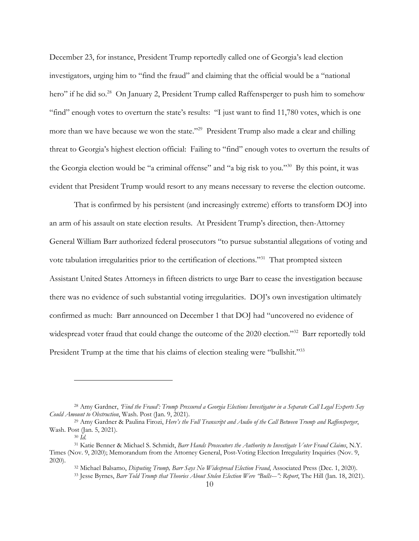December 23, for instance, President Trump reportedly called one of Georgia's lead election investigators, urging him to "find the fraud" and claiming that the official would be a "national hero" if he did so.<sup>28</sup> On January 2, President Trump called Raffensperger to push him to somehow "find" enough votes to overturn the state's results: "I just want to find 11,780 votes, which is one more than we have because we won the state."<sup>29</sup> President Trump also made a clear and chilling threat to Georgia's highest election official: Failing to "find" enough votes to overturn the results of the Georgia election would be "a criminal offense" and "a big risk to you."30 By this point, it was evident that President Trump would resort to any means necessary to reverse the election outcome.

That is confirmed by his persistent (and increasingly extreme) efforts to transform DOJ into an arm of his assault on state election results. At President Trump's direction, then-Attorney General William Barr authorized federal prosecutors "to pursue substantial allegations of voting and vote tabulation irregularities prior to the certification of elections."31 That prompted sixteen Assistant United States Attorneys in fifteen districts to urge Barr to cease the investigation because there was no evidence of such substantial voting irregularities. DOJ's own investigation ultimately confirmed as much: Barr announced on December 1 that DOJ had "uncovered no evidence of widespread voter fraud that could change the outcome of the 2020 election."<sup>32</sup> Barr reportedly told President Trump at the time that his claims of election stealing were "bullshit."<sup>33</sup>

<sup>28</sup> Amy Gardner, *'Find the Fraud': Trump Pressured a Georgia Elections Investigator in a Separate Call Legal Experts Say Could Amount to Obstruction*, Wash. Post (Jan. 9, 2021).

<sup>29</sup> Amy Gardner & Paulina Firozi, *Here's the Full Transcript and Audio of the Call Between Trump and Raffensperger*, Wash. Post (Jan. 5, 2021).

<sup>30</sup> *Id.*

<sup>31</sup> Katie Benner & Michael S. Schmidt, *Barr Hands Prosecutors the Authority to Investigate Voter Fraud Claims*, N.Y. Times (Nov. 9, 2020); Memorandum from the Attorney General, Post-Voting Election Irregularity Inquiries (Nov. 9, 2020).

<sup>32</sup> Michael Balsamo, *Disputing Trump, Barr Says No Widespread Election Fraud*, Associated Press (Dec. 1, 2020). <sup>33</sup> Jesse Byrnes, *Barr Told Trump that Theories About Stolen Election Were "Bulls---": Report*, The Hill (Jan. 18, 2021).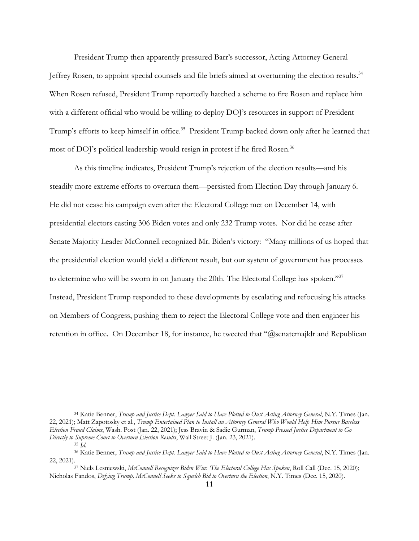President Trump then apparently pressured Barr's successor, Acting Attorney General Jeffrey Rosen, to appoint special counsels and file briefs aimed at overturning the election results.<sup>34</sup> When Rosen refused, President Trump reportedly hatched a scheme to fire Rosen and replace him with a different official who would be willing to deploy DOJ's resources in support of President Trump's efforts to keep himself in office.<sup>35</sup> President Trump backed down only after he learned that most of DOJ's political leadership would resign in protest if he fired Rosen.<sup>36</sup>

As this timeline indicates, President Trump's rejection of the election results—and his steadily more extreme efforts to overturn them—persisted from Election Day through January 6. He did not cease his campaign even after the Electoral College met on December 14, with presidential electors casting 306 Biden votes and only 232 Trump votes. Nor did he cease after Senate Majority Leader McConnell recognized Mr. Biden's victory: "Many millions of us hoped that the presidential election would yield a different result, but our system of government has processes to determine who will be sworn in on January the 20th. The Electoral College has spoken."37 Instead, President Trump responded to these developments by escalating and refocusing his attacks on Members of Congress, pushing them to reject the Electoral College vote and then engineer his retention in office. On December 18, for instance, he tweeted that " $@$ senatemajldr and Republican

<sup>34</sup> Katie Benner, *Trump and Justice Dept. Lawyer Said to Have Plotted to Oust Acting Attorney General*, N.Y. Times (Jan. 22, 2021); Matt Zapotosky et al., *Trump Entertained Plan to Install an Attorney General Who Would Help Him Pursue Baseless Election Fraud Claims*, Wash. Post (Jan. 22, 2021); Jess Bravin & Sadie Gurman, *Trump Pressed Justice Department to Go Directly to Supreme Court to Overturn Election Results*, Wall Street J. (Jan. 23, 2021).

<sup>35</sup> *Id.*

<sup>36</sup> Katie Benner, *Trump and Justice Dept. Lawyer Said to Have Plotted to Oust Acting Attorney General*, N.Y. Times (Jan. 22, 2021).37 Niels Lesniewski, *McConnell Recognizes Biden Win: 'The Electoral College Has Spoken*, Roll Call (Dec. 15, 2020);

Nicholas Fandos, *Defying Trump, McConnell Seeks to Squelch Bid to Overturn the Election*, N.Y. Times (Dec. 15, 2020).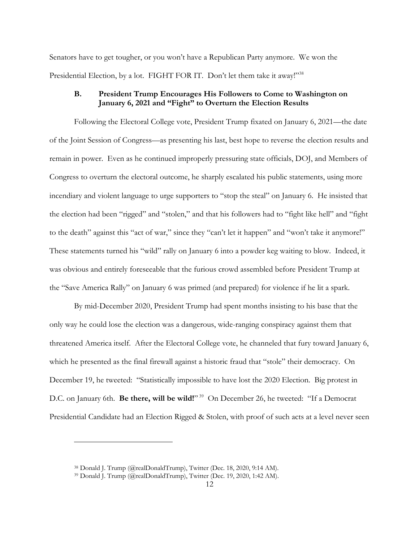Senators have to get tougher, or you won't have a Republican Party anymore. We won the Presidential Election, by a lot. FIGHT FOR IT. Don't let them take it away!"<sup>38</sup>

## **B. President Trump Encourages His Followers to Come to Washington on January 6, 2021 and "Fight" to Overturn the Election Results**

Following the Electoral College vote, President Trump fixated on January 6, 2021—the date of the Joint Session of Congress—as presenting his last, best hope to reverse the election results and remain in power. Even as he continued improperly pressuring state officials, DOJ, and Members of Congress to overturn the electoral outcome, he sharply escalated his public statements, using more incendiary and violent language to urge supporters to "stop the steal" on January 6. He insisted that the election had been "rigged" and "stolen," and that his followers had to "fight like hell" and "fight to the death" against this "act of war," since they "can't let it happen" and "won't take it anymore!" These statements turned his "wild" rally on January 6 into a powder keg waiting to blow. Indeed, it was obvious and entirely foreseeable that the furious crowd assembled before President Trump at the "Save America Rally" on January 6 was primed (and prepared) for violence if he lit a spark.

By mid-December 2020, President Trump had spent months insisting to his base that the only way he could lose the election was a dangerous, wide-ranging conspiracy against them that threatened America itself. After the Electoral College vote, he channeled that fury toward January 6, which he presented as the final firewall against a historic fraud that "stole" their democracy. On December 19, he tweeted: "Statistically impossible to have lost the 2020 Election. Big protest in D.C. on January 6th. **Be there, will be wild!**"<sup>39</sup> On December 26, he tweeted: "If a Democrat Presidential Candidate had an Election Rigged & Stolen, with proof of such acts at a level never seen

<sup>38</sup> Donald J. Trump (@realDonaldTrump), Twitter (Dec. 18, 2020, 9:14 AM).

<sup>39</sup> Donald J. Trump (@realDonaldTrump), Twitter (Dec. 19, 2020, 1:42 AM).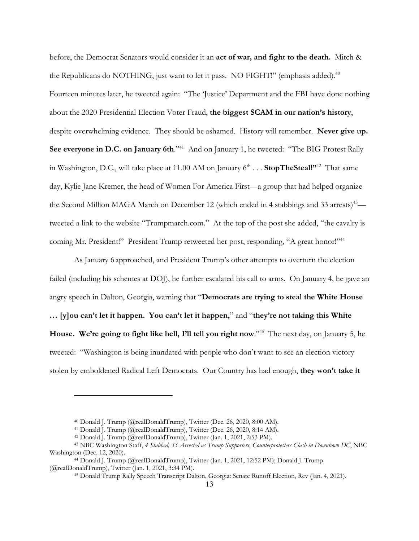before, the Democrat Senators would consider it an **act of war, and fight to the death.** Mitch & the Republicans do NOTHING, just want to let it pass. NO FIGHT!" (emphasis added).<sup>40</sup> Fourteen minutes later, he tweeted again: "The 'Justice' Department and the FBI have done nothing about the 2020 Presidential Election Voter Fraud, **the biggest SCAM in our nation's history**, despite overwhelming evidence. They should be ashamed. History will remember. **Never give up.**  See everyone in D.C. on January 6th."<sup>41</sup> And on January 1, he tweeted: "The BIG Protest Rally in Washington, D.C., will take place at 11.00 AM on January  $6<sup>th</sup> \dots$  **StopTheSteal!**"<sup>42</sup> That same day, Kylie Jane Kremer, the head of Women For America First—a group that had helped organize the Second Million MAGA March on December 12 (which ended in 4 stabbings and 33 arrests)<sup>43</sup> tweeted a link to the website "Trumpmarch.com." At the top of the post she added, "the cavalry is coming Mr. President!" President Trump retweeted her post, responding, "A great honor!"<sup>44</sup>

As January 6 approached, and President Trump's other attempts to overturn the election failed (including his schemes at DOJ), he further escalated his call to arms. On January 4, he gave an angry speech in Dalton, Georgia, warning that "**Democrats are trying to steal the White House … [y]ou can't let it happen. You can't let it happen,**" and "**they're not taking this White House. We're going to fight like hell, I'll tell you right now**."45 The next day, on January 5, he tweeted: "Washington is being inundated with people who don't want to see an election victory stolen by emboldened Radical Left Democrats. Our Country has had enough, **they won't take it** 

 $^{40}$  Donald J. Trump (@realDonaldTrump), Twitter (Dec. 26, 2020, 8:00 AM).

<sup>41</sup> Donald J. Trump (@realDonaldTrump), Twitter (Dec. 26, 2020, 8:14 AM).

<sup>42</sup> Donald J. Trump (@realDonaldTrump), Twitter (Jan. 1, 2021, 2:53 PM).

<sup>43</sup> NBC Washington Staff, *4 Stabbed, 33 Arrested as Trump Supporters, Counterprotesters Clash in Downtown DC*, NBC Washington (Dec. 12, 2020).

<sup>44</sup> Donald J. Trump (@realDonaldTrump), Twitter (Jan. 1, 2021, 12:52 PM); Donald J. Trump (@realDonaldTrump), Twitter (Jan. 1, 2021, 3:34 PM).

<sup>45</sup> Donald Trump Rally Speech Transcript Dalton, Georgia: Senate Runoff Election, Rev (Jan. 4, 2021).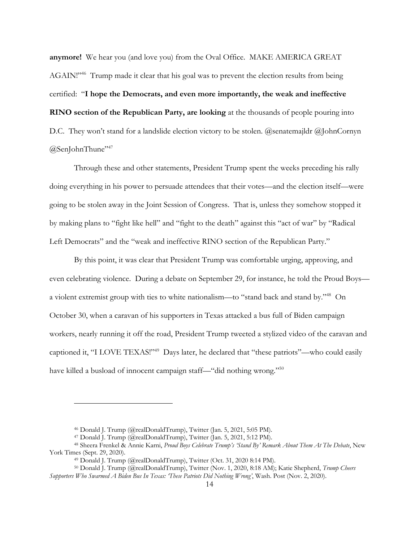**anymore!** We hear you (and love you) from the Oval Office. MAKE AMERICA GREAT AGAIN!"46 Trump made it clear that his goal was to prevent the election results from being certified: "**I hope the Democrats, and even more importantly, the weak and ineffective RINO section of the Republican Party, are looking** at the thousands of people pouring into D.C. They won't stand for a landslide election victory to be stolen. @senatemajldr @JohnCornyn  $@$ SenJohnThune"<sup>47</sup>

Through these and other statements, President Trump spent the weeks preceding his rally doing everything in his power to persuade attendees that their votes—and the election itself—were going to be stolen away in the Joint Session of Congress. That is, unless they somehow stopped it by making plans to "fight like hell" and "fight to the death" against this "act of war" by "Radical Left Democrats" and the "weak and ineffective RINO section of the Republican Party."

By this point, it was clear that President Trump was comfortable urging, approving, and even celebrating violence. During a debate on September 29, for instance, he told the Proud Boys a violent extremist group with ties to white nationalism—to "stand back and stand by."48 On October 30, when a caravan of his supporters in Texas attacked a bus full of Biden campaign workers, nearly running it off the road, President Trump tweeted a stylized video of the caravan and captioned it, "I LOVE TEXAS!"49 Days later, he declared that "these patriots"—who could easily have killed a busload of innocent campaign staff—"did nothing wrong."<sup>50</sup>

<sup>46</sup> Donald J. Trump (@realDonaldTrump), Twitter (Jan. 5, 2021, 5:05 PM).

<sup>47</sup> Donald J. Trump (@realDonaldTrump), Twitter (Jan. 5, 2021, 5:12 PM).

<sup>48</sup> Sheera Frenkel & Annie Karni, *Proud Boys Celebrate Trump's 'Stand By' Remark About Them At The Debate*, New York Times (Sept. 29, 2020).

<sup>49</sup> Donald J. Trump (@realDonaldTrump), Twitter (Oct. 31, 2020 8:14 PM).

<sup>50</sup> Donald J. Trump (@realDonaldTrump), Twitter (Nov. 1, 2020, 8:18 AM); Katie Shepherd, *Trump Cheers Supporters Who Swarmed A Biden Bus In Texas: 'These Patriots Did Nothing Wrong'*, Wash. Post (Nov. 2, 2020).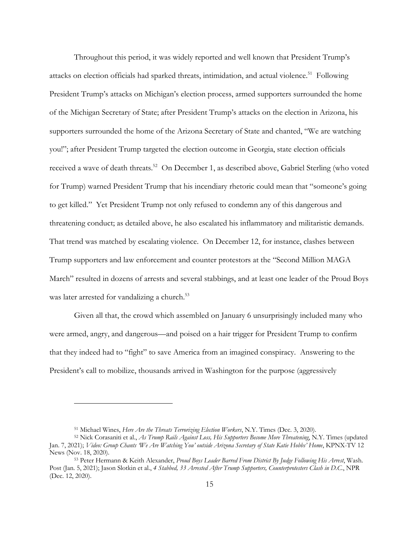Throughout this period, it was widely reported and well known that President Trump's attacks on election officials had sparked threats, intimidation, and actual violence.<sup>51</sup> Following President Trump's attacks on Michigan's election process, armed supporters surrounded the home of the Michigan Secretary of State; after President Trump's attacks on the election in Arizona, his supporters surrounded the home of the Arizona Secretary of State and chanted, "We are watching you!"; after President Trump targeted the election outcome in Georgia, state election officials received a wave of death threats.<sup>52</sup> On December 1, as described above, Gabriel Sterling (who voted for Trump) warned President Trump that his incendiary rhetoric could mean that "someone's going to get killed." Yet President Trump not only refused to condemn any of this dangerous and threatening conduct; as detailed above, he also escalated his inflammatory and militaristic demands. That trend was matched by escalating violence. On December 12, for instance, clashes between Trump supporters and law enforcement and counter protestors at the "Second Million MAGA March" resulted in dozens of arrests and several stabbings, and at least one leader of the Proud Boys was later arrested for vandalizing a church.<sup>53</sup>

Given all that, the crowd which assembled on January 6 unsurprisingly included many who were armed, angry, and dangerous—and poised on a hair trigger for President Trump to confirm that they indeed had to "fight" to save America from an imagined conspiracy. Answering to the President's call to mobilize, thousands arrived in Washington for the purpose (aggressively

<sup>51</sup> Michael Wines, *Here Are the Threats Terrorizing Election Workers*, N.Y. Times (Dec. 3, 2020).

<sup>52</sup> Nick Corasaniti et al., *As Trump Rails Against Loss, His Supporters Become More Threatening*, N.Y. Times (updated Jan. 7, 2021); *Video: Group Chants 'We Are Watching You' outside Arizona Secretary of State Katie Hobbs' Home*, KPNX-TV 12 News (Nov. 18, 2020).

<sup>53</sup> Peter Hermann & Keith Alexander, *Proud Boys Leader Barred From District By Judge Following His Arrest*, Wash. Post (Jan. 5, 2021); Jason Slotkin et al., *4 Stabbed, 33 Arrested After Trump Supporters, Counterprotesters Clash in D.C.*, NPR (Dec. 12, 2020).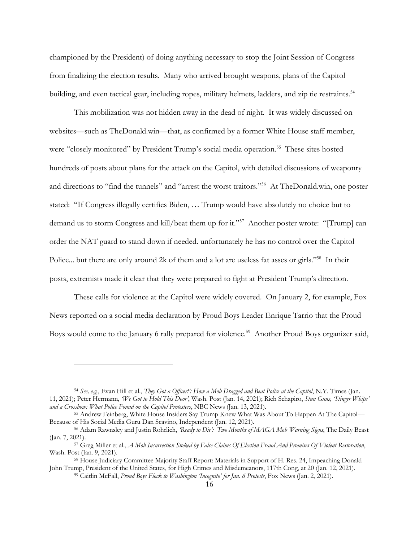championed by the President) of doing anything necessary to stop the Joint Session of Congress from finalizing the election results. Many who arrived brought weapons, plans of the Capitol building, and even tactical gear, including ropes, military helmets, ladders, and zip tie restraints.<sup>54</sup>

This mobilization was not hidden away in the dead of night. It was widely discussed on websites—such as TheDonald.win—that, as confirmed by a former White House staff member, were "closely monitored" by President Trump's social media operation.<sup>55</sup> These sites hosted hundreds of posts about plans for the attack on the Capitol, with detailed discussions of weaponry and directions to "find the tunnels" and "arrest the worst traitors."56 At TheDonald.win, one poster stated: "If Congress illegally certifies Biden, … Trump would have absolutely no choice but to demand us to storm Congress and kill/beat them up for it."<sup>57</sup> Another poster wrote: "[Trump] can order the NAT guard to stand down if needed. unfortunately he has no control over the Capitol Police... but there are only around 2k of them and a lot are useless fat asses or girls."<sup>58</sup> In their posts, extremists made it clear that they were prepared to fight at President Trump's direction.

These calls for violence at the Capitol were widely covered. On January 2, for example, Fox News reported on a social media declaration by Proud Boys Leader Enrique Tarrio that the Proud Boys would come to the January 6 rally prepared for violence.<sup>59</sup> Another Proud Boys organizer said,

<sup>54</sup> *See, e.g.*, Evan Hill et al., *They Got a Officer!': How a Mob Dragged and Beat Police at the Capitol*, N.Y. Times (Jan. 11, 2021); Peter Hermann, *'We Got to Hold This Door'*, Wash. Post (Jan. 14, 2021); Rich Schapiro, *Stun Guns, 'Stinger Whips' and a Crossbow: What Police Found on the Capitol Protesters*, NBC News (Jan. 13, 2021).

<sup>55</sup> Andrew Feinberg, White House Insiders Say Trump Knew What Was About To Happen At The Capitol— Because of His Social Media Guru Dan Scavino, Independent (Jan. 12, 2021).

<sup>56</sup> Adam Rawnsley and Justin Rohrlich, *'Ready to Die': Two Months of MAGA Mob Warning Signs*, The Daily Beast (Jan. 7, 2021).

<sup>57</sup> Greg Miller et al., *A Mob Insurrection Stoked by False Claims Of Election Fraud And Promises Of Violent Restoration*, Wash. Post (Jan. 9, 2021).

<sup>58</sup> House Judiciary Committee Majority Staff Report: Materials in Support of H. Res. 24, Impeaching Donald John Trump, President of the United States, for High Crimes and Misdemeanors, 117th Cong, at 20 (Jan. 12, 2021).

<sup>59</sup> Caitlin McFall, *Proud Boys Flock to Washington 'Incognito' for Jan. 6 Protests*, Fox News (Jan. 2, 2021).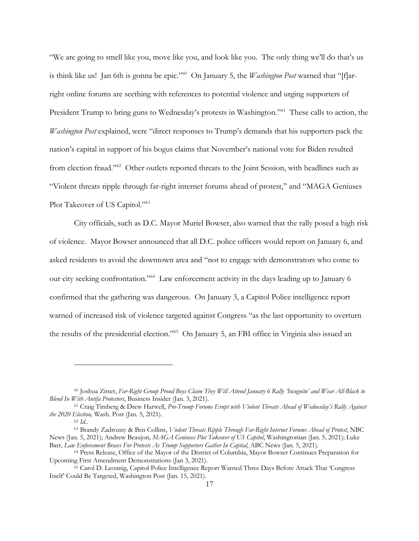"We are going to smell like you, move like you, and look like you. The only thing we'll do that's us is think like us! Jan 6th is gonna be epic."60 On January 5, the *Washington Post* warned that "[f]arright online forums are seething with references to potential violence and urging supporters of President Trump to bring guns to Wednesday's protests in Washington."<sup>61</sup> These calls to action, the *Washington Post* explained, were "direct responses to Trump's demands that his supporters pack the nation's capital in support of his bogus claims that November's national vote for Biden resulted from election fraud."62 Other outlets reported threats to the Joint Session, with headlines such as "Violent threats ripple through far-right internet forums ahead of protest," and "MAGA Geniuses Plot Takeover of US Capitol."<sup>63</sup>

City officials, such as D.C. Mayor Muriel Bowser, also warned that the rally posed a high risk of violence. Mayor Bowser announced that all D.C. police officers would report on January 6, and asked residents to avoid the downtown area and "not to engage with demonstrators who come to our city seeking confrontation."64 Law enforcement activity in the days leading up to January 6 confirmed that the gathering was dangerous. On January 3, a Capitol Police intelligence report warned of increased risk of violence targeted against Congress "as the last opportunity to overturn the results of the presidential election."65 On January 5, an FBI office in Virginia also issued an

<sup>60</sup> Joshua Zitser, *Far-Right Group Proud Boys Claim They Will Attend January 6 Rally 'Incognito' and Wear All-Black to Blend In With Antifa Protestors*, Business Insider (Jan. 3, 2021).

<sup>61</sup> Craig Timberg & Drew Harwell, *Pro-Trump Forums Erupt with Violent Threats Ahead of Wednesday's Rally Against the 2020 Election,* Wash. Post (Jan. 5, 2021).

<sup>62</sup> *Id.*.

<sup>63</sup> Brandy Zadrozny & Ben Collins, *Violent Threats Ripple Through Far-Right Internet Forums Ahead of Protest*, NBC News (Jan. 5, 2021); Andrew Beaujon, *MAGA Geniuses Plot Takeover of US Capitol*, Washingtonian (Jan. 5, 2021); Luke Barr, *Law Enforcement Braces For Protests As Trump Supporters Gather In Captial*, ABC News (Jan. 5, 2021).

<sup>64</sup> Press Release, Office of the Mayor of the District of Columbia, Mayor Bowser Continues Preparation for Upcoming First Amendment Demonstrations (Jan 3, 2021).

<sup>65</sup> Carol D. Leonnig, Capitol Police Intelligence Report Warned Three Days Before Attack That 'Congress Itself' Could Be Targeted, Washington Post (Jan. 15, 2021).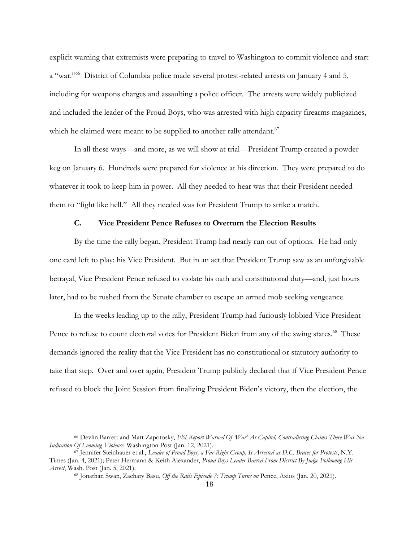explicit warning that extremists were preparing to travel to Washington to commit violence and start a "war."66 District of Columbia police made several protest-related arrests on January 4 and 5, including for weapons charges and assaulting a police officer. The arrests were widely publicized and included the leader of the Proud Boys, who was arrested with high capacity firearms magazines, which he claimed were meant to be supplied to another rally attendant.<sup>67</sup>

In all these ways—and more, as we will show at trial—President Trump created a powder keg on January 6. Hundreds were prepared for violence at his direction. They were prepared to do whatever it took to keep him in power. All they needed to hear was that their President needed them to "fight like hell." All they needed was for President Trump to strike a match.

# **C. Vice President Pence Refuses to Overturn the Election Results**

By the time the rally began, President Trump had nearly run out of options. He had only one card left to play: his Vice President. But in an act that President Trump saw as an unforgivable betrayal, Vice President Pence refused to violate his oath and constitutional duty—and, just hours later, had to be rushed from the Senate chamber to escape an armed mob seeking vengeance.

In the weeks leading up to the rally, President Trump had furiously lobbied Vice President Pence to refuse to count electoral votes for President Biden from any of the swing states.<sup>68</sup> These demands ignored the reality that the Vice President has no constitutional or statutory authority to take that step. Over and over again, President Trump publicly declared that if Vice President Pence refused to block the Joint Session from finalizing President Biden's victory, then the election, the

<sup>66</sup> Devlin Barrett and Matt Zapotosky, *FBI Report Warned Of 'War' At Capitol, Contradicting Claims There Was No Indication Of Looming Violence,* Washington Post (Jan. 12, 2021).

<sup>67</sup> Jennifer Steinhauer et al., *Leader of Proud Boys, a Far-Right Group, Is Arrested as D.C. Braces for Protests*, N.Y. Times (Jan. 4, 2021); Peter Hermann & Keith Alexander, *Proud Boys Leader Barred From District By Judge Following His Arrest*, Wash. Post (Jan. 5, 2021).

<sup>68</sup> Jonathan Swan, Zachary Basu, *Off the Rails Episode 7: Trump Turns on* Pence, Axios (Jan. 20, 2021).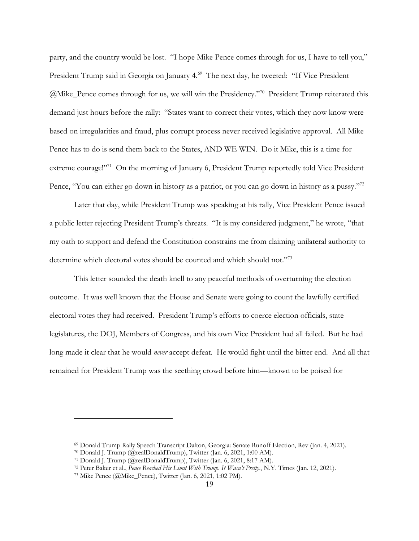party, and the country would be lost. "I hope Mike Pence comes through for us, I have to tell you," President Trump said in Georgia on January 4.<sup>69</sup> The next day, he tweeted: "If Vice President @Mike\_Pence comes through for us, we will win the Presidency."70 President Trump reiterated this demand just hours before the rally: "States want to correct their votes, which they now know were based on irregularities and fraud, plus corrupt process never received legislative approval. All Mike Pence has to do is send them back to the States, AND WE WIN. Do it Mike, this is a time for extreme courage!"<sup>71</sup> On the morning of January 6, President Trump reportedly told Vice President Pence, "You can either go down in history as a patriot, or you can go down in history as a pussy."<sup>72</sup>

Later that day, while President Trump was speaking at his rally, Vice President Pence issued a public letter rejecting President Trump's threats. "It is my considered judgment," he wrote, "that my oath to support and defend the Constitution constrains me from claiming unilateral authority to determine which electoral votes should be counted and which should not."73

This letter sounded the death knell to any peaceful methods of overturning the election outcome. It was well known that the House and Senate were going to count the lawfully certified electoral votes they had received. President Trump's efforts to coerce election officials, state legislatures, the DOJ, Members of Congress, and his own Vice President had all failed. But he had long made it clear that he would *never* accept defeat. He would fight until the bitter end. And all that remained for President Trump was the seething crowd before him—known to be poised for

<sup>69</sup> Donald Trump Rally Speech Transcript Dalton, Georgia: Senate Runoff Election, Rev (Jan. 4, 2021).

<sup>70</sup> Donald J. Trump (@realDonaldTrump), Twitter (Jan. 6, 2021, 1:00 AM).

<sup>71</sup> Donald J. Trump (@realDonaldTrump), Twitter (Jan. 6, 2021, 8:17 AM).

<sup>72</sup> Peter Baker et al., *Pence Reached His Limit With Trump. It Wasn't Pretty*., N.Y. Times (Jan. 12, 2021). 73 Mike Pence (@Mike\_Pence), Twitter (Jan. 6, 2021, 1:02 PM).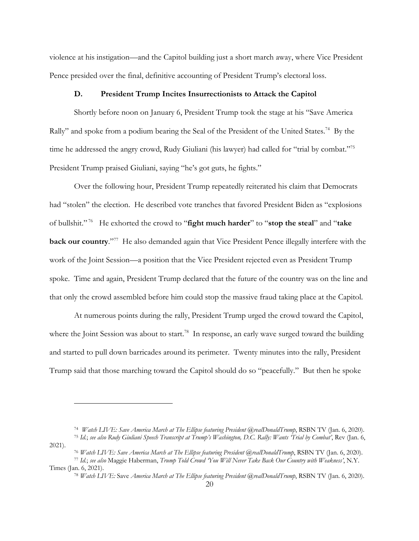violence at his instigation—and the Capitol building just a short march away, where Vice President Pence presided over the final, definitive accounting of President Trump's electoral loss.

### **D. President Trump Incites Insurrectionists to Attack the Capitol**

Shortly before noon on January 6, President Trump took the stage at his "Save America Rally" and spoke from a podium bearing the Seal of the President of the United States.<sup>74</sup> By the time he addressed the angry crowd, Rudy Giuliani (his lawyer) had called for "trial by combat."<sup>75</sup> President Trump praised Giuliani, saying "he's got guts, he fights."

Over the following hour, President Trump repeatedly reiterated his claim that Democrats had "stolen" the election. He described vote tranches that favored President Biden as "explosions of bullshit." 76 He exhorted the crowd to "**fight much harder**" to "**stop the steal**" and "**take back our country**."77 He also demanded again that Vice President Pence illegally interfere with the work of the Joint Session—a position that the Vice President rejected even as President Trump spoke. Time and again, President Trump declared that the future of the country was on the line and that only the crowd assembled before him could stop the massive fraud taking place at the Capitol.

At numerous points during the rally, President Trump urged the crowd toward the Capitol, where the Joint Session was about to start.<sup>78</sup> In response, an early wave surged toward the building and started to pull down barricades around its perimeter. Twenty minutes into the rally, President Trump said that those marching toward the Capitol should do so "peacefully." But then he spoke

<sup>74</sup> *Watch LIVE: Save America March at The Ellipse featuring President @realDonaldTrump*, RSBN TV (Jan. 6, 2020).

<sup>75</sup> *Id.*; *see also Rudy Giuliani Speech Transcript at Trump's Washington, D.C. Rally: Wants 'Trial by Combat'*, Rev (Jan. 6, 2021).

<sup>&</sup>lt;sup>76</sup> *Watch LIVE: Save America March at The Ellipse featuring President @realDonaldTrump*, RSBN TV (Jan. 6, 2020).

<sup>77</sup> *Id.*; *see also* Maggie Haberman, *Trump Told Crowd 'You Will Never Take Back Our Country with Weakness'*, N.Y. Times (Jan. 6, 2021).

<sup>78</sup> *Watch LIVE:* Save *America March at The Ellipse featuring President @realDonaldTrump*, RSBN TV (Jan. 6, 2020).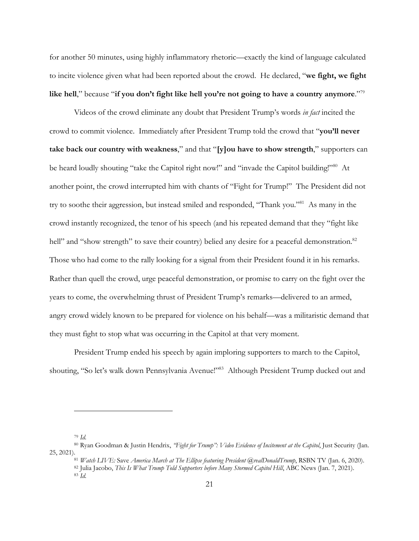for another 50 minutes, using highly inflammatory rhetoric—exactly the kind of language calculated to incite violence given what had been reported about the crowd. He declared, "**we fight, we fight like hell**," because "**if you don't fight like hell you're not going to have a country anymore**."79

Videos of the crowd eliminate any doubt that President Trump's words *in fact* incited the crowd to commit violence. Immediately after President Trump told the crowd that "**you'll never take back our country with weakness**," and that "**[y]ou have to show strength**," supporters can be heard loudly shouting "take the Capitol right now!" and "invade the Capitol building!"<sup>80</sup> At another point, the crowd interrupted him with chants of "Fight for Trump!" The President did not try to soothe their aggression, but instead smiled and responded, "Thank you."81 As many in the crowd instantly recognized, the tenor of his speech (and his repeated demand that they "fight like hell" and "show strength" to save their country) belied any desire for a peaceful demonstration.<sup>82</sup> Those who had come to the rally looking for a signal from their President found it in his remarks. Rather than quell the crowd, urge peaceful demonstration, or promise to carry on the fight over the years to come, the overwhelming thrust of President Trump's remarks—delivered to an armed, angry crowd widely known to be prepared for violence on his behalf—was a militaristic demand that they must fight to stop what was occurring in the Capitol at that very moment.

President Trump ended his speech by again imploring supporters to march to the Capitol, shouting, "So let's walk down Pennsylvania Avenue!"<sup>83</sup> Although President Trump ducked out and

<sup>79</sup> *Id.*

<sup>80</sup> Ryan Goodman & Justin Hendrix, *"Fight for Trump": Video Evidence of Incitement at the Capitol*, Just Security (Jan.

<sup>25, 2021).81</sup> *Watch LIVE:* Save *America March at The Ellipse featuring President @realDonaldTrump*, RSBN TV (Jan. 6, 2020). <sup>82</sup> Julia Jacobo, *This Is What Trump Told Supporters before Many Stormed Capitol Hill*, ABC News (Jan. 7, 2021). <sup>83</sup> *Id.*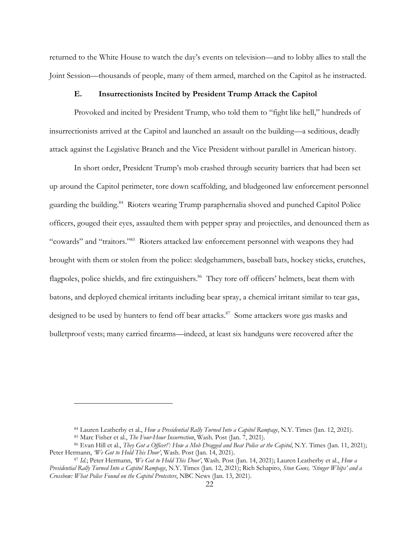returned to the White House to watch the day's events on television—and to lobby allies to stall the Joint Session—thousands of people, many of them armed, marched on the Capitol as he instructed.

### **E. Insurrectionists Incited by President Trump Attack the Capitol**

Provoked and incited by President Trump, who told them to "fight like hell," hundreds of insurrectionists arrived at the Capitol and launched an assault on the building—a seditious, deadly attack against the Legislative Branch and the Vice President without parallel in American history.

In short order, President Trump's mob crashed through security barriers that had been set up around the Capitol perimeter, tore down scaffolding, and bludgeoned law enforcement personnel guarding the building.<sup>84</sup> Rioters wearing Trump paraphernalia shoved and punched Capitol Police officers, gouged their eyes, assaulted them with pepper spray and projectiles, and denounced them as "cowards" and "traitors."85 Rioters attacked law enforcement personnel with weapons they had brought with them or stolen from the police: sledgehammers, baseball bats, hockey sticks, crutches, flagpoles, police shields, and fire extinguishers.<sup>86</sup> They tore off officers' helmets, beat them with batons, and deployed chemical irritants including bear spray, a chemical irritant similar to tear gas, designed to be used by hunters to fend off bear attacks.<sup>87</sup> Some attackers wore gas masks and bulletproof vests; many carried firearms—indeed, at least six handguns were recovered after the

<sup>84</sup> Lauren Leatherby et al., *How a Presidential Rally Turned Into a Capitol Rampage*, N.Y. Times (Jan. 12, 2021).

<sup>85</sup> Marc Fisher et al., *The Four-Hour Insurrection*, Wash. Post (Jan. 7, 2021).

<sup>86</sup> Evan Hill et al., *They Got a Officer!': How a Mob Dragged and Beat Police at the Capitol*, N.Y. Times (Jan. 11, 2021); Peter Hermann, *We Got to Hold This Door'*, Wash. Post (Jan. 14, 2021).

<sup>87</sup> *Id.*; Peter Hermann, *'We Got to Hold This Door'*, Wash. Post (Jan. 14, 2021); Lauren Leatherby et al., *How a Presidential Rally Turned Into a Capitol Rampage*, N.Y. Times (Jan. 12, 2021); Rich Schapiro, *Stun Guns, 'Stinger Whips' and a Crossbow: What Police Found on the Capitol Protesters*, NBC News (Jan. 13, 2021).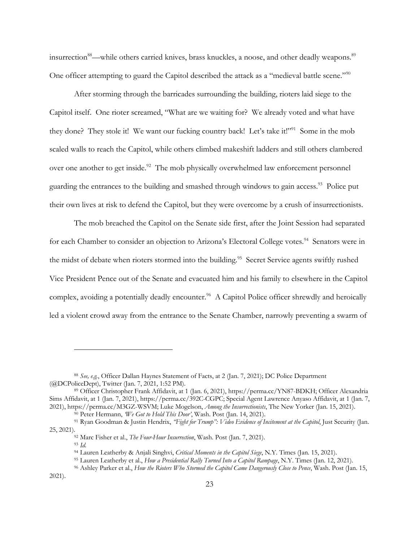insurrection<sup>88</sup>—while others carried knives, brass knuckles, a noose, and other deadly weapons.<sup>89</sup> One officer attempting to guard the Capitol described the attack as a "medieval battle scene."<sup>90</sup>

After storming through the barricades surrounding the building, rioters laid siege to the Capitol itself. One rioter screamed, "What are we waiting for? We already voted and what have they done? They stole it! We want our fucking country back! Let's take it!"<sup>91</sup> Some in the mob scaled walls to reach the Capitol, while others climbed makeshift ladders and still others clambered over one another to get inside.<sup>92</sup> The mob physically overwhelmed law enforcement personnel guarding the entrances to the building and smashed through windows to gain access.<sup>93</sup> Police put their own lives at risk to defend the Capitol, but they were overcome by a crush of insurrectionists.

The mob breached the Capitol on the Senate side first, after the Joint Session had separated for each Chamber to consider an objection to Arizona's Electoral College votes.<sup>94</sup> Senators were in the midst of debate when rioters stormed into the building.<sup>95</sup> Secret Service agents swiftly rushed Vice President Pence out of the Senate and evacuated him and his family to elsewhere in the Capitol complex, avoiding a potentially deadly encounter.<sup>96</sup> A Capitol Police officer shrewdly and heroically led a violent crowd away from the entrance to the Senate Chamber, narrowly preventing a swarm of

<sup>88</sup> *See, e.g.*, Officer Dallan Haynes Statement of Facts, at 2 (Jan. 7, 2021); DC Police Department (@DCPoliceDept), Twitter (Jan. 7, 2021, 1:52 PM).

<sup>89</sup> Officer Christopher Frank Affidavit, at 1 (Jan. 6, 2021), https://perma.cc/YN87-BDKH; Officer Alexandria Sims Affidavit, at 1 (Jan. 7, 2021), https://perma.cc/392C-CGPC; Special Agent Lawrence Anyaso Affidavit, at 1 (Jan. 7, 2021), https://perma.cc/M3GZ-WSVM; Luke Mogelson, *Among the Insurrectionists*, The New Yorker (Jan. 15, 2021).

<sup>90</sup> Peter Hermann, *'We Got to Hold This Door'*, Wash. Post (Jan. 14, 2021).

<sup>91</sup> Ryan Goodman & Justin Hendrix, *"Fight for Trump": Video Evidence of Incitement at the Capitol*, Just Security (Jan. 25, 2021).92 Marc Fisher et al., *The Four-Hour Insurrection*, Wash. Post (Jan. 7, 2021).

<sup>93</sup> *Id.*

<sup>94</sup> Lauren Leatherby & Anjali Singhvi, *Critical Moments in the Capitol Siege*, N.Y. Times (Jan. 15, 2021).

<sup>95</sup> Lauren Leatherby et al., *How a Presidential Rally Turned Into a Capitol Rampage*, N.Y. Times (Jan. 12, 2021).

<sup>96</sup> Ashley Parker et al., *How the Rioters Who Stormed the Capitol Came Dangerously Close to Pence*, Wash. Post (Jan. 15,

<sup>2021).</sup>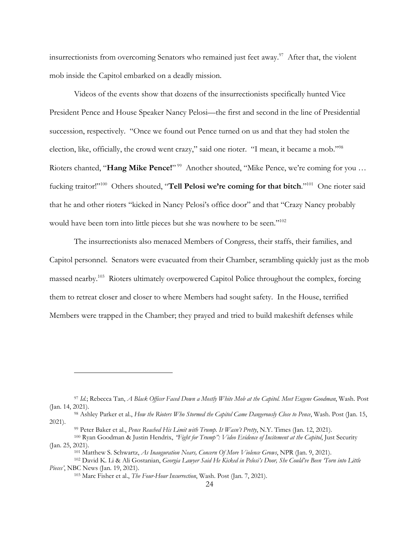insurrectionists from overcoming Senators who remained just feet away.<sup>97</sup> After that, the violent mob inside the Capitol embarked on a deadly mission.

Videos of the events show that dozens of the insurrectionists specifically hunted Vice President Pence and House Speaker Nancy Pelosi—the first and second in the line of Presidential succession, respectively. "Once we found out Pence turned on us and that they had stolen the election, like, officially, the crowd went crazy," said one rioter. "I mean, it became a mob."98 Rioters chanted, "**Hang Mike Pence!**"<sup>99</sup> Another shouted, "Mike Pence, we're coming for you ... fucking traitor!"100 Others shouted, "**Tell Pelosi we're coming for that bitch**."101 One rioter said that he and other rioters "kicked in Nancy Pelosi's office door" and that "Crazy Nancy probably would have been torn into little pieces but she was nowhere to be seen."<sup>102</sup>

The insurrectionists also menaced Members of Congress, their staffs, their families, and Capitol personnel. Senators were evacuated from their Chamber, scrambling quickly just as the mob massed nearby. 103 Rioters ultimately overpowered Capitol Police throughout the complex, forcing them to retreat closer and closer to where Members had sought safety. In the House, terrified Members were trapped in the Chamber; they prayed and tried to build makeshift defenses while

<sup>97</sup> *Id.*; Rebecca Tan, *A Black Officer Faced Down a Mostly White Mob at the Capitol. Meet Eugene Goodman*, Wash. Post (Jan. 14, 2021).

<sup>98</sup> Ashley Parker et al., *How the Rioters Who Stormed the Capitol Came Dangerously Close to Pence*, Wash. Post (Jan. 15, 2021).

<sup>99</sup> Peter Baker et al., *Pence Reached His Limit with Trump. It Wasn't Pretty*, N.Y. Times (Jan. 12, 2021).

<sup>100</sup> Ryan Goodman & Justin Hendrix, *"Fight for Trump": Video Evidence of Incitement at the Capitol*, Just Security (Jan. 25, 2021).

<sup>101</sup> Matthew S. Schwartz, *As Inauguration Nears, Concern Of More Violence Grows*, NPR (Jan. 9, 2021).

<sup>102</sup> David K. Li & Ali Gostanian, *Georgia Lawyer Said He Kicked in Pelosi's Door, She Could've Been 'Torn into Little Pieces'*, NBC News (Jan. 19, 2021).

<sup>103</sup> Marc Fisher et al., *The Four-Hour Insurrection*, Wash. Post (Jan. 7, 2021).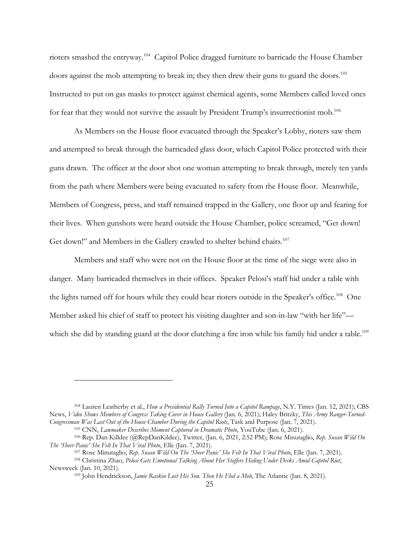rioters smashed the entryway. 104 Capitol Police dragged furniture to barricade the House Chamber doors against the mob attempting to break in; they then drew their guns to guard the doors. 105 Instructed to put on gas masks to protect against chemical agents, some Members called loved ones for fear that they would not survive the assault by President Trump's insurrectionist mob.<sup>106</sup>

As Members on the House floor evacuated through the Speaker's Lobby, rioters saw them and attempted to break through the barricaded glass door, which Capitol Police protected with their guns drawn. The officer at the door shot one woman attempting to break through, merely ten yards from the path where Members were being evacuated to safety from the House floor. Meanwhile, Members of Congress, press, and staff remained trapped in the Gallery, one floor up and fearing for their lives. When gunshots were heard outside the House Chamber, police screamed, "Get down! Get down!" and Members in the Gallery crawled to shelter behind chairs.<sup>107</sup>

Members and staff who were not on the House floor at the time of the siege were also in danger. Many barricaded themselves in their offices. Speaker Pelosi's staff hid under a table with the lights turned off for hours while they could hear rioters outside in the Speaker's office.<sup>108</sup> One Member asked his chief of staff to protect his visiting daughter and son-in-law "with her life" which she did by standing guard at the door clutching a fire iron while his family hid under a table.<sup>109</sup>

<sup>104</sup> Lauren Leatherby et al., *How a Presidential Rally Turned Into a Capitol Rampage*, N.Y. Times (Jan. 12, 2021); CBS News, *Video Shows Members of Congress Taking Cover in House Gallery* (Jan. 6, 2021); Haley Britzky, *This Army Ranger-Turned-Congressman Was Last Out of the House Chamber During the Capitol Riots*, Task and Purpose (Jan. 7, 2021).

<sup>105</sup> CNN, *Lawmaker Describes Moment Captured in Dramatic Photo*, YouTube (Jan. 6, 2021).

<sup>106</sup> Rep. Dan Killdee (@RepDanKildee), Twitter, (Jan. 6, 2021, 2:52 PM); Rose Minutaglio, *Rep. Susan Wild On The 'Sheer Panic' She Felt In That Viral Photo*, Elle (Jan. 7, 2021).

<sup>107</sup> Rose Minutaglio, *Rep. Susan Wild On The 'Sheer Panic' She Felt In That Viral Photo*, Elle (Jan. 7, 2021).

<sup>108</sup> Christina Zhao, *Pelosi Gets Emotional Talking About Her Staffers Hiding Under Desks Amid Capitol Riot*, Newsweek (Jan. 10, 2021).

<sup>109</sup> John Hendrickson, *Jamie Raskin Lost His Son. Then He Fled a Mob*, The Atlantic (Jan. 8, 2021).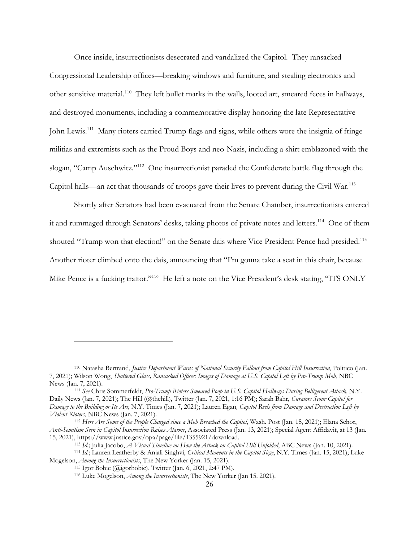Once inside, insurrectionists desecrated and vandalized the Capitol. They ransacked Congressional Leadership offices—breaking windows and furniture, and stealing electronics and other sensitive material.110 They left bullet marks in the walls, looted art, smeared feces in hallways, and destroyed monuments, including a commemorative display honoring the late Representative John Lewis.<sup>111</sup> Many rioters carried Trump flags and signs, while others wore the insignia of fringe militias and extremists such as the Proud Boys and neo-Nazis, including a shirt emblazoned with the slogan, "Camp Auschwitz."112 One insurrectionist paraded the Confederate battle flag through the Capitol halls—an act that thousands of troops gave their lives to prevent during the Civil War.113

Shortly after Senators had been evacuated from the Senate Chamber, insurrectionists entered it and rummaged through Senators' desks, taking photos of private notes and letters.<sup>114</sup> One of them shouted "Trump won that election!" on the Senate dais where Vice President Pence had presided.<sup>115</sup> Another rioter climbed onto the dais, announcing that "I'm gonna take a seat in this chair, because Mike Pence is a fucking traitor."<sup>116</sup> He left a note on the Vice President's desk stating, "ITS ONLY

<sup>110</sup> Natasha Bertrand, *Justice Department Warns of National Security Fallout from Capitol Hill Insurrection*, Politico (Jan. 7, 2021); Wilson Wong, *Shattered Glass, Ransacked Offices: Images of Damage at U.S. Capitol Left by Pro-Trump Mob*, NBC News (Jan. 7, 2021).

<sup>111</sup> *See* Chris Sommerfeldt, *Pro-Trump Rioters Smeared Poop in U.S. Capitol Hallways During Belligerent Attack*, N.Y. Daily News (Jan. 7, 2021); The Hill (@thehill), Twitter (Jan. 7, 2021, 1:16 PM); Sarah Bahr, *Curators Scour Capitol for Damage to the Building or Its Art*, N.Y. Times (Jan. 7, 2021); Lauren Egan*, Capitol Reels from Damage and Destruction Left by Violent Rioters*, NBC News (Jan. 7, 2021).

<sup>112</sup> *Here Are Some of the People Charged since a Mob Breached the Capitol*, Wash. Post (Jan. 15, 2021); Elana Schor, *Anti-Semitism Seen in Capitol Insurrection Raises Alarms*, Associated Press (Jan. 13, 2021); Special Agent Affidavit, at 13 (Jan. 15, 2021), https://www.justice.gov/opa/page/file/1355921/download.

<sup>113</sup> *Id.*; Julia Jacobo, *A Visual Timeline on How the Attack on Capitol Hill Unfolded*, ABC News (Jan. 10, 2021).

<sup>114</sup> *Id*.; Lauren Leatherby & Anjali Singhvi, *Critical Moments in the Capitol Siege*, N.Y. Times (Jan. 15, 2021); Luke Mogelson, *Among the Insurrectionists*, The New Yorker (Jan. 15, 2021).

<sup>115</sup> Igor Bobic (@igorbobic), Twitter (Jan. 6, 2021, 2:47 PM).

<sup>116</sup> Luke Mogelson, *Among the Insurrectionists*, The New Yorker (Jan 15. 2021).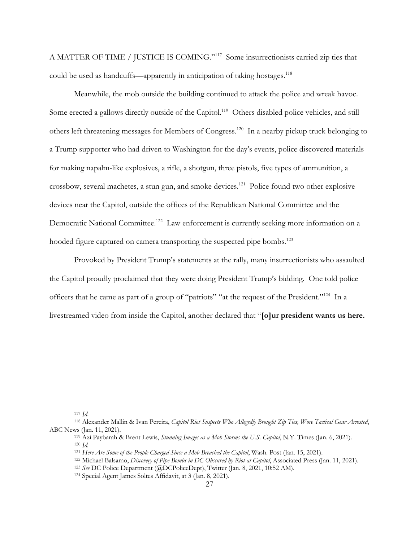A MATTER OF TIME / JUSTICE IS COMING."117 Some insurrectionists carried zip ties that could be used as handcuffs—apparently in anticipation of taking hostages.<sup>118</sup>

Meanwhile, the mob outside the building continued to attack the police and wreak havoc. Some erected a gallows directly outside of the Capitol.<sup>119</sup> Others disabled police vehicles, and still others left threatening messages for Members of Congress.120 In a nearby pickup truck belonging to a Trump supporter who had driven to Washington for the day's events, police discovered materials for making napalm-like explosives, a rifle, a shotgun, three pistols, five types of ammunition, a crossbow, several machetes, a stun gun, and smoke devices.121 Police found two other explosive devices near the Capitol, outside the offices of the Republican National Committee and the Democratic National Committee.<sup>122</sup> Law enforcement is currently seeking more information on a hooded figure captured on camera transporting the suspected pipe bombs.<sup>123</sup>

Provoked by President Trump's statements at the rally, many insurrectionists who assaulted the Capitol proudly proclaimed that they were doing President Trump's bidding. One told police officers that he came as part of a group of "patriots" "at the request of the President."124 In a livestreamed video from inside the Capitol, another declared that "**[o]ur president wants us here.** 

<sup>117</sup> *Id*.

<sup>118</sup> Alexander Mallin & Ivan Pereira, *Capitol Riot Suspects Who Allegedly Brought Zip Ties, Wore Tactical Gear Arrested*, ABC News (Jan. 11, 2021).

<sup>119</sup> Azi Paybarah & Brent Lewis, *Stunning Images as a Mob Storms the U.S. Capitol*, N.Y. Times (Jan. 6, 2021). <sup>120</sup> *Id.*

<sup>121</sup> *Here Are Some of the People Charged Since a Mob Breached the Capitol*, Wash. Post (Jan. 15, 2021).

<sup>122</sup> Michael Balsamo, *Discovery of Pipe Bombs in DC Obscured by Riot at Capitol*, Associated Press (Jan. 11, 2021).

<sup>123</sup> *See* DC Police Department (@DCPoliceDept), Twitter (Jan. 8, 2021, 10:52 AM).

<sup>124</sup> Special Agent James Soltes Affidavit, at 3 (Jan. 8, 2021).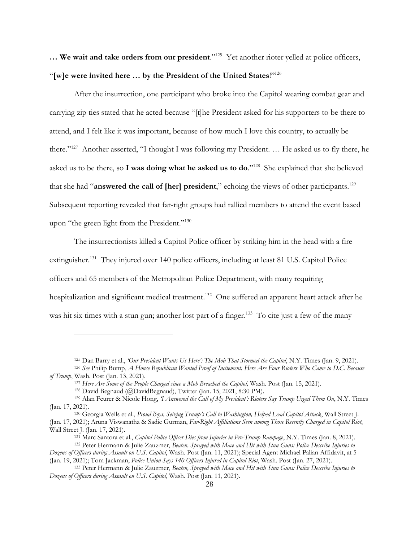**… We wait and take orders from our president**."125 Yet another rioter yelled at police officers, "**[w]e were invited here … by the President of the United States**!"126

After the insurrection, one participant who broke into the Capitol wearing combat gear and carrying zip ties stated that he acted because "[t]he President asked for his supporters to be there to attend, and I felt like it was important, because of how much I love this country, to actually be there."127 Another asserted, "I thought I was following my President. … He asked us to fly there, he asked us to be there, so **I was doing what he asked us to do**."128 She explained that she believed that she had "**answered the call of [her] president**," echoing the views of other participants.129 Subsequent reporting revealed that far-right groups had rallied members to attend the event based upon "the green light from the President."<sup>130</sup>

The insurrectionists killed a Capitol Police officer by striking him in the head with a fire extinguisher.<sup>131</sup> They injured over 140 police officers, including at least 81 U.S. Capitol Police officers and 65 members of the Metropolitan Police Department, with many requiring hospitalization and significant medical treatment.<sup>132</sup> One suffered an apparent heart attack after he was hit six times with a stun gun; another lost part of a finger.<sup>133</sup> To cite just a few of the many

<sup>125</sup> Dan Barry et al., *'Our President Wants Us Here': The Mob That Stormed the Capitol*, N.Y. Times (Jan. 9, 2021).

<sup>126</sup> *See* Philip Bump, *A House Republican Wanted Proof of Incitement. Here Are Four Rioters Who Came to D.C. Because of Trump*, Wash. Post (Jan. 13, 2021).

<sup>127</sup> *Here Are Some of the People Charged since a Mob Breached the Capitol,* Wash. Post (Jan. 15, 2021).

<sup>128</sup> David Begnaud (@DavidBegnaud), Twitter (Jan. 15, 2021, 8:30 PM).

<sup>129</sup> Alan Feurer & Nicole Hong, *'I Answered the Call of My President': Rioters Say Trump Urged Them On*, N.Y. Times (Jan. 17, 2021).

<sup>130</sup> Georgia Wells et al., *Proud Boys, Seizing Trump's Call to Washington, Helped Lead Capitol Attack*, Wall Street J. (Jan. 17, 2021); Aruna Viswanatha & Sadie Gurman, *Far-Right Affiliations Seen among Those Recently Charged in Capitol Riot*, Wall Street J. (Jan. 17, 2021).

<sup>131</sup> Marc Santora et al., *Capitol Police Officer Dies from Injuries in Pro-Trump Rampage*, N.Y. Times (Jan. 8, 2021). <sup>132</sup> Peter Hermann & Julie Zauzmer, *Beaten, Sprayed with Mace and Hit with Stun Guns: Police Describe Injuries to* 

*Dozens of Officers during Assault on U.S. Capitol*, Wash. Post (Jan. 11, 2021); Special Agent Michael Palian Affidavit, at 5 (Jan. 19, 2021); Tom Jackman, *Police Union Says 140 Officers Injured in Capitol Riot*, Wash. Post (Jan. 27, 2021).

<sup>133</sup> Peter Hermann & Julie Zauzmer, *Beaten, Sprayed with Mace and Hit with Stun Guns: Police Describe Injuries to Dozens of Officers during Assault on U.S. Capitol*, Wash. Post (Jan. 11, 2021).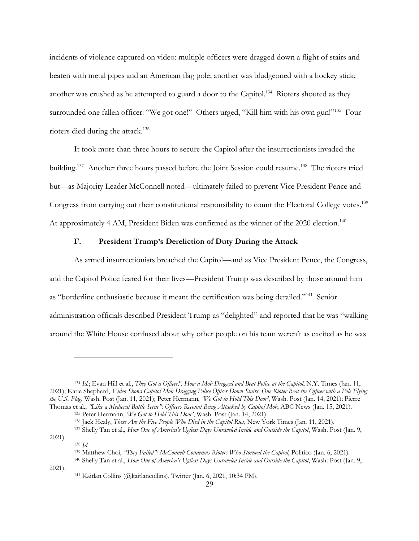incidents of violence captured on video: multiple officers were dragged down a flight of stairs and beaten with metal pipes and an American flag pole; another was bludgeoned with a hockey stick; another was crushed as he attempted to guard a door to the Capitol.<sup>134</sup> Rioters shouted as they surrounded one fallen officer: "We got one!" Others urged, "Kill him with his own gun!"<sup>135</sup> Four rioters died during the attack.<sup>136</sup>

It took more than three hours to secure the Capitol after the insurrectionists invaded the building.<sup>137</sup> Another three hours passed before the Joint Session could resume.<sup>138</sup> The rioters tried but—as Majority Leader McConnell noted—ultimately failed to prevent Vice President Pence and Congress from carrying out their constitutional responsibility to count the Electoral College votes.<sup>139</sup> At approximately 4 AM, President Biden was confirmed as the winner of the 2020 election.<sup>140</sup>

## **F. President Trump's Dereliction of Duty During the Attack**

As armed insurrectionists breached the Capitol—and as Vice President Pence, the Congress, and the Capitol Police feared for their lives—President Trump was described by those around him as "borderline enthusiastic because it meant the certification was being derailed."141 Senior administration officials described President Trump as "delighted" and reported that he was "walking around the White House confused about why other people on his team weren't as excited as he was

<sup>134</sup> *Id.*; Evan Hill et al., *They Got a Officer!': How a Mob Dragged and Beat Police at the Capitol*, N.Y. Times (Jan. 11, 2021); Katie Shepherd, *Video Shows Capitol Mob Dragging Police Officer Down Stairs. One Rioter Beat the Officer with a Pole Flying the U.S. Flag*, Wash. Post (Jan. 11, 2021); Peter Hermann, *'We Got to Hold This Door'*, Wash. Post (Jan. 14, 2021); Pierre Thomas et al., *"Like a Medieval Battle Scene": Officers Recount Being Attacked by Capitol Mob*, ABC News (Jan. 15, 2021).

<sup>135</sup> Peter Hermann, *'We Got to Hold This Door'*, Wash. Post (Jan. 14, 2021).

<sup>136</sup> Jack Healy, *These Are the Five People Who Died in the Capitol Riot*, New York Times (Jan. 11, 2021).

<sup>137</sup> Shelly Tan et al., *How One of America's Ugliest Days Unraveled Inside and Outside the Capitol*, Wash. Post (Jan. 9, 2021).

<sup>138</sup> *Id*. 139 Matthew Choi, *"They Failed": McConnell Condemns Rioters Who Stormed the Capitol*, Politico (Jan. 6, 2021).

<sup>140</sup> Shelly Tan et al., *How One of America's Ugliest Days Unraveled Inside and Outside the Capitol*, Wash. Post (Jan. 9, 2021).

<sup>141</sup> Kaitlan Collins (@kaitlancollins), Twitter (Jan. 6, 2021, 10:34 PM).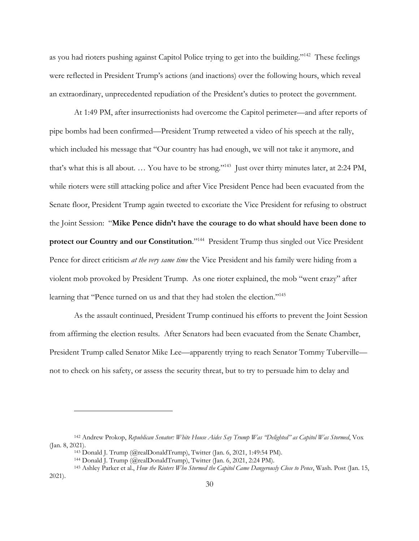as you had rioters pushing against Capitol Police trying to get into the building."142 These feelings were reflected in President Trump's actions (and inactions) over the following hours, which reveal an extraordinary, unprecedented repudiation of the President's duties to protect the government.

At 1:49 PM, after insurrectionists had overcome the Capitol perimeter—and after reports of pipe bombs had been confirmed—President Trump retweeted a video of his speech at the rally, which included his message that "Our country has had enough, we will not take it anymore, and that's what this is all about. … You have to be strong."143 Just over thirty minutes later, at 2:24 PM, while rioters were still attacking police and after Vice President Pence had been evacuated from the Senate floor, President Trump again tweeted to excoriate the Vice President for refusing to obstruct the Joint Session: "**Mike Pence didn't have the courage to do what should have been done to protect our Country and our Constitution**."144 President Trump thus singled out Vice President Pence for direct criticism *at the very same time* the Vice President and his family were hiding from a violent mob provoked by President Trump. As one rioter explained, the mob "went crazy" after learning that "Pence turned on us and that they had stolen the election."<sup>145</sup>

As the assault continued, President Trump continued his efforts to prevent the Joint Session from affirming the election results. After Senators had been evacuated from the Senate Chamber, President Trump called Senator Mike Lee—apparently trying to reach Senator Tommy Tuberville not to check on his safety, or assess the security threat, but to try to persuade him to delay and

2021).

<sup>142</sup> Andrew Prokop, *Republican Senator: White House Aides Say Trump Was "Delighted" as Capitol Was Stormed*, Vox (Jan. 8, 2021).

<sup>143</sup> Donald J. Trump (@realDonaldTrump), Twitter (Jan. 6, 2021, 1:49:54 PM).

<sup>144</sup> Donald J. Trump (@realDonaldTrump), Twitter (Jan. 6, 2021, 2:24 PM).

<sup>145</sup> Ashley Parker et al., *How the Rioters Who Stormed the Capitol Came Dangerously Close to Pence*, Wash. Post (Jan. 15,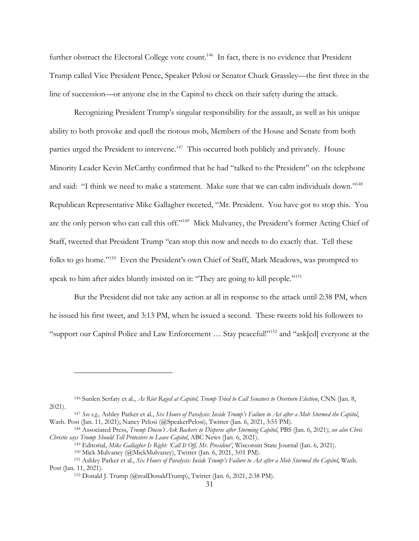further obstruct the Electoral College vote count.<sup>146</sup> In fact, there is no evidence that President Trump called Vice President Pence, Speaker Pelosi or Senator Chuck Grassley—the first three in the line of succession—or anyone else in the Capitol to check on their safety during the attack.

Recognizing President Trump's singular responsibility for the assault, as well as his unique ability to both provoke and quell the riotous mob, Members of the House and Senate from both parties urged the President to intervene.<sup>147</sup> This occurred both publicly and privately. House Minority Leader Kevin McCarthy confirmed that he had "talked to the President" on the telephone and said: "I think we need to make a statement. Make sure that we can calm individuals down."<sup>148</sup> Republican Representative Mike Gallagher tweeted, "Mr. President. You have got to stop this. You are the only person who can call this off."149 Mick Mulvaney, the President's former Acting Chief of Staff, tweeted that President Trump "can stop this now and needs to do exactly that. Tell these folks to go home."<sup>150</sup> Even the President's own Chief of Staff, Mark Meadows, was prompted to speak to him after aides bluntly insisted on it: "They are going to kill people."151

But the President did not take any action at all in response to the attack until 2:38 PM, when he issued his first tweet, and 3:13 PM, when he issued a second. These tweets told his followers to "support our Capitol Police and Law Enforcement … Stay peaceful!"152 and "ask[ed] everyone at the

<sup>146</sup> Sunlen Serfaty et al., *As Riot Raged at Capitol, Trump Tried to Call Senators to Overturn Election*, CNN (Jan. 8, 2021).

<sup>147</sup> *See e.g.,* Ashley Parker et al., *Six Hours of Paralysis: Inside Trump's Failure to Act after a Mob Stormed the Capitol*, Wash. Post (Jan. 11, 2021); Nancy Pelosi (@SpeakerPelosi), Twitter (Jan. 6, 2021, 3:55 PM).<br><sup>148</sup> Associated Press, *Trump Doesn't Ask Backers to Disperse after Storming Capitol*, PBS (Jan. 6, 2021); see also Chris

*Christie says Trump Should Tell Protesters to Leave Capitol*, ABC News (Jan. 6, 2021).

<sup>149</sup> Editorial, *Mike Gallagher Is Right: 'Call It Off, Mr. President'*, Wisconsin State Journal (Jan. 6, 2021).

<sup>150</sup> Mick Mulvaney (@MickMulvaney), Twitter (Jan. 6, 2021, 3:01 PM).

<sup>151</sup> Ashley Parker et al., *Six Hours of Paralysis: Inside Trump's Failure to Act after a Mob Stormed the Capitol*, Wash. Post (Jan. 11, 2021).

<sup>152</sup> Donald J. Trump (@realDonaldTrump), Twitter (Jan. 6, 2021, 2:38 PM).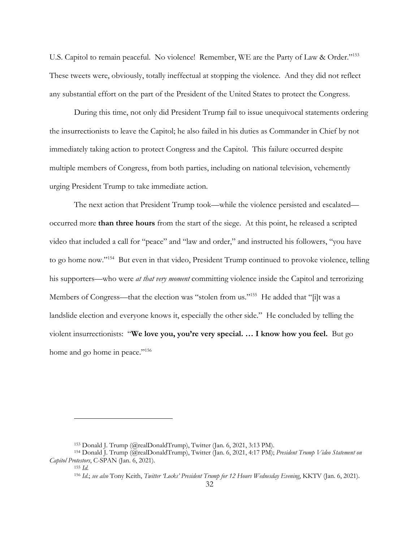U.S. Capitol to remain peaceful. No violence! Remember, WE are the Party of Law & Order."153 These tweets were, obviously, totally ineffectual at stopping the violence. And they did not reflect any substantial effort on the part of the President of the United States to protect the Congress.

During this time, not only did President Trump fail to issue unequivocal statements ordering the insurrectionists to leave the Capitol; he also failed in his duties as Commander in Chief by not immediately taking action to protect Congress and the Capitol. This failure occurred despite multiple members of Congress, from both parties, including on national television, vehemently urging President Trump to take immediate action.

The next action that President Trump took—while the violence persisted and escalated occurred more **than three hours** from the start of the siege. At this point, he released a scripted video that included a call for "peace" and "law and order," and instructed his followers, "you have to go home now."154 But even in that video, President Trump continued to provoke violence, telling his supporters—who were *at that very moment* committing violence inside the Capitol and terrorizing Members of Congress—that the election was "stolen from us."<sup>155</sup> He added that "[i]t was a landslide election and everyone knows it, especially the other side." He concluded by telling the violent insurrectionists: "**We love you, you're very special. … I know how you feel.** But go home and go home in peace."<sup>156</sup>

<sup>153</sup> Donald J. Trump (@realDonaldTrump), Twitter (Jan. 6, 2021, 3:13 PM).

<sup>154</sup> Donald J. Trump (@realDonaldTrump), Twitter (Jan. 6, 2021, 4:17 PM); *President Trump Video Statement on Capitol Protestors*, C-SPAN (Jan. 6, 2021).

<sup>155</sup> *Id.* 

<sup>156</sup> *Id*.; *see also* Tony Keith, *Twitter 'Locks' President Trump for 12 Hours Wednesday Evening*, KKTV (Jan. 6, 2021).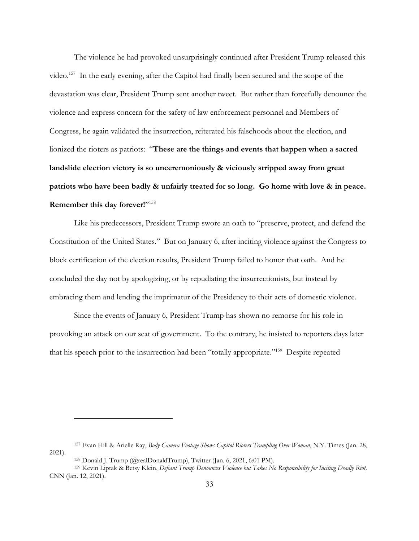The violence he had provoked unsurprisingly continued after President Trump released this video. 157 In the early evening, after the Capitol had finally been secured and the scope of the devastation was clear, President Trump sent another tweet. But rather than forcefully denounce the violence and express concern for the safety of law enforcement personnel and Members of Congress, he again validated the insurrection, reiterated his falsehoods about the election, and lionized the rioters as patriots: "**These are the things and events that happen when a sacred landslide election victory is so unceremoniously & viciously stripped away from great patriots who have been badly & unfairly treated for so long. Go home with love & in peace. Remember this day forever!**"158

Like his predecessors, President Trump swore an oath to "preserve, protect, and defend the Constitution of the United States." But on January 6, after inciting violence against the Congress to block certification of the election results, President Trump failed to honor that oath. And he concluded the day not by apologizing, or by repudiating the insurrectionists, but instead by embracing them and lending the imprimatur of the Presidency to their acts of domestic violence.

Since the events of January 6, President Trump has shown no remorse for his role in provoking an attack on our seat of government. To the contrary, he insisted to reporters days later that his speech prior to the insurrection had been "totally appropriate."159 Despite repeated

<sup>157</sup> Evan Hill & Arielle Ray, *Body Camera Footage Shows Capitol Rioters Trampling Over Woman*, N.Y. Times (Jan. 28, 2021).

<sup>&</sup>lt;sup>158</sup> Donald J. Trump (@realDonaldTrump), Twitter (Jan. 6, 2021, 6:01 PM).<br><sup>159</sup> Kevin Liptak & Betsy Klein, *Defiant Trump Denounces Violence but Takes No Responsibility for Inciting Deadly Riot,* CNN (Jan. 12, 2021).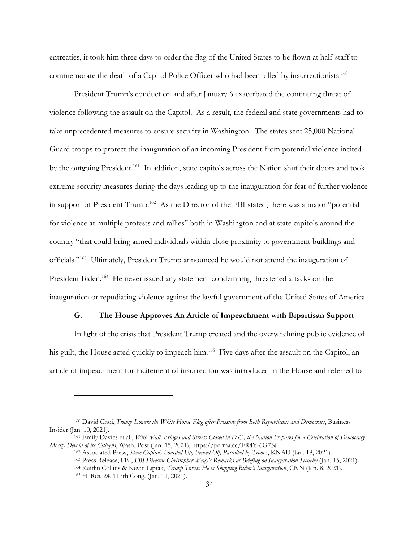entreaties, it took him three days to order the flag of the United States to be flown at half-staff to commemorate the death of a Capitol Police Officer who had been killed by insurrectionists.<sup>160</sup>

President Trump's conduct on and after January 6 exacerbated the continuing threat of violence following the assault on the Capitol. As a result, the federal and state governments had to take unprecedented measures to ensure security in Washington. The states sent 25,000 National Guard troops to protect the inauguration of an incoming President from potential violence incited by the outgoing President.<sup>161</sup> In addition, state capitols across the Nation shut their doors and took extreme security measures during the days leading up to the inauguration for fear of further violence in support of President Trump.<sup>162</sup> As the Director of the FBI stated, there was a major "potential for violence at multiple protests and rallies" both in Washington and at state capitols around the country "that could bring armed individuals within close proximity to government buildings and officials."163 Ultimately, President Trump announced he would not attend the inauguration of President Biden.<sup>164</sup> He never issued any statement condemning threatened attacks on the inauguration or repudiating violence against the lawful government of the United States of America

## **G. The House Approves An Article of Impeachment with Bipartisan Support**

In light of the crisis that President Trump created and the overwhelming public evidence of his guilt, the House acted quickly to impeach him.<sup>165</sup> Five days after the assault on the Capitol, an article of impeachment for incitement of insurrection was introduced in the House and referred to

<sup>160</sup> David Choi, *Trump Lowers the White House Flag after Pressure from Both Republicans and Democrats*, Business Insider (Jan. 10, 2021).

<sup>161</sup> Emily Davies et al., *With Mall, Bridges and Streets Closed in D.C., the Nation Prepares for a Celebration of Democracy Mostly Devoid of its Citizens*, Wash. Post (Jan. 15, 2021), https://perma.cc/FR4Y-6G7N.

<sup>162</sup> Associated Press, *State Capitols Boarded Up, Fenced Off, Patrolled by Troops*, KNAU (Jan. 18, 2021).

<sup>163</sup> Press Release, FBI, *FBI Director Christopher Wray's Remarks at Briefing on Inauguration Security* (Jan. 15, 2021).

<sup>164</sup> Kaitlin Collins & Kevin Liptak, *Trump Tweets He is Skipping Biden's Inauguration*, CNN (Jan. 8, 2021).

<sup>165</sup> H. Res. 24, 117th Cong. (Jan. 11, 2021).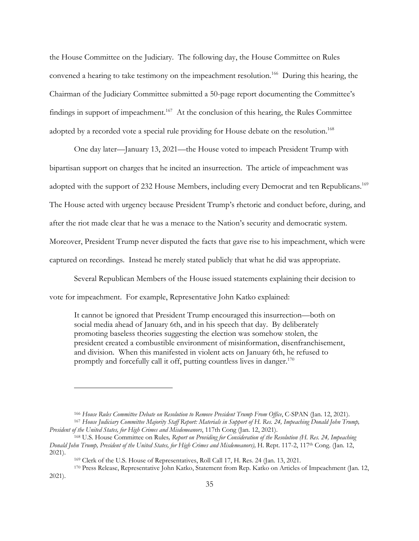the House Committee on the Judiciary. The following day, the House Committee on Rules convened a hearing to take testimony on the impeachment resolution.<sup>166</sup> During this hearing, the Chairman of the Judiciary Committee submitted a 50-page report documenting the Committee's findings in support of impeachment.<sup>167</sup> At the conclusion of this hearing, the Rules Committee adopted by a recorded vote a special rule providing for House debate on the resolution.<sup>168</sup>

One day later—January 13, 2021—the House voted to impeach President Trump with bipartisan support on charges that he incited an insurrection. The article of impeachment was adopted with the support of 232 House Members, including every Democrat and ten Republicans.<sup>169</sup> The House acted with urgency because President Trump's rhetoric and conduct before, during, and after the riot made clear that he was a menace to the Nation's security and democratic system. Moreover, President Trump never disputed the facts that gave rise to his impeachment, which were captured on recordings. Instead he merely stated publicly that what he did was appropriate.

Several Republican Members of the House issued statements explaining their decision to vote for impeachment. For example, Representative John Katko explained:

It cannot be ignored that President Trump encouraged this insurrection—both on social media ahead of January 6th, and in his speech that day. By deliberately promoting baseless theories suggesting the election was somehow stolen, the president created a combustible environment of misinformation, disenfranchisement, and division. When this manifested in violent acts on January 6th, he refused to promptly and forcefully call it off, putting countless lives in danger.<sup>170</sup>

<sup>&</sup>lt;sup>166</sup> House Rules Committee Debate on Resolution to Remove President Trump From Office, C-SPAN (Jan. 12, 2021).<br><sup>167</sup> House Judiciary Committee Majority Staff Report: Materials in Support of H. Res. 24, Impeaching Donald J

*President of the United States, for High Crimes and Misdemeanors*, 117th Cong (Jan. 12, 2021).

<sup>168</sup> U.S. House Committee on Rules*, Report on Providing for Consideration of the Resolution (H. Res. 24, Impeaching Donald John Trump, President of the United States, for High Crimes and Misdemeanors),* H. Rept. 117-2, 117th Cong. (Jan. 12, 2021).

<sup>169</sup> Clerk of the U.S. House of Representatives, Roll Call 17, H. Res. 24 (Jan. 13, 2021.

<sup>170</sup> Press Release, Representative John Katko, Statement from Rep. Katko on Articles of Impeachment (Jan. 12, 2021).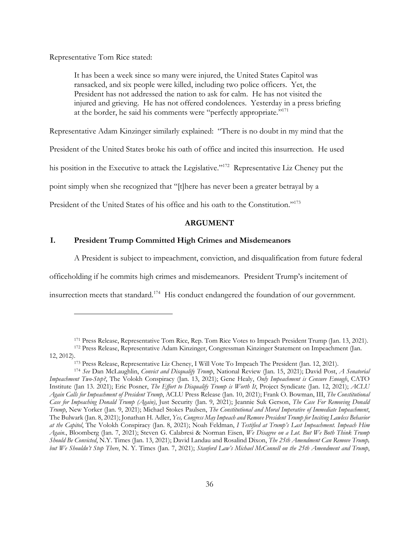Representative Tom Rice stated:

It has been a week since so many were injured, the United States Capitol was ransacked, and six people were killed, including two police officers. Yet, the President has not addressed the nation to ask for calm. He has not visited the injured and grieving. He has not offered condolences. Yesterday in a press briefing at the border, he said his comments were "perfectly appropriate."171

Representative Adam Kinzinger similarly explained: "There is no doubt in my mind that the

President of the United States broke his oath of office and incited this insurrection. He used

his position in the Executive to attack the Legislative."<sup>172</sup> Representative Liz Cheney put the

point simply when she recognized that "[t]here has never been a greater betrayal by a

President of the United States of his office and his oath to the Constitution."173

# **ARGUMENT**

# **I. President Trump Committed High Crimes and Misdemeanors**

A President is subject to impeachment, conviction, and disqualification from future federal

officeholding if he commits high crimes and misdemeanors. President Trump's incitement of

insurrection meets that standard.174 His conduct endangered the foundation of our government.

<sup>171</sup> Press Release, Representative Tom Rice, Rep. Tom Rice Votes to Impeach President Trump (Jan. 13, 2021).

<sup>172</sup> Press Release, Representative Adam Kinzinger, Congressman Kinzinger Statement on Impeachment (Jan. 12, 2012).173 Press Release, Representative Liz Cheney, I Will Vote To Impeach The President (Jan. 12, 2021).

<sup>174</sup> *See* Dan McLaughlin, *Convict and Disqualify Trump*, National Review (Jan. 15, 2021); David Post, *A Senatorial Impeachment Two-Step?*, The Volokh Conspiracy (Jan. 13, 2021); Gene Healy, *Only Impeachment is Censure Enough*, CATO Institute (Jan 13. 2021); Eric Posner, *The Effort to Disqualify Trump is Worth It*, Project Syndicate (Jan. 12, 2021); *ACLU Again Calls for Impeachment of President Trump*, ACLU Press Release (Jan. 10, 2021); Frank O. Bowman, III, *The Constitutional Case for Impeaching Donald Trump (Again)*, Just Security (Jan. 9, 2021); Jeannie Suk Gerson, *The Case For Removing Donald Trump*, New Yorker (Jan. 9, 2021); Michael Stokes Paulsen, *The Constitutional and Moral Imperative of Immediate Impeachment*, The Bulwark (Jan. 8, 2021); Jonathan H. Adler, *Yes, Congress May Impeach and Remove President Trump for Inciting Lawless Behavior at the Capitol*, The Volokh Conspiracy (Jan. 8, 2021); Noah Feldman, *I Testified at Trump's Last Impeachment. Impeach Him Again*., Bloomberg (Jan. 7, 2021); Steven G. Calabresi & Norman Eisen, *We Disagree on a Lot. But We Both Think Trump Should Be Convicted*, N.Y. Times (Jan. 13, 2021); David Landau and Rosalind Dixon, *The 25th Amendment Can Remove Trump, but We Shouldn't Stop There*, N. Y. Times (Jan. 7, 2021); *Stanford Law's Michael McConnell on the 25th Amendment and Trump*,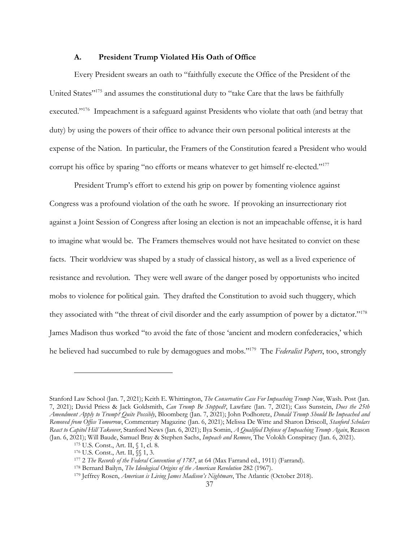### **A. President Trump Violated His Oath of Office**

Every President swears an oath to "faithfully execute the Office of the President of the United States"<sup>175</sup> and assumes the constitutional duty to "take Care that the laws be faithfully executed."<sup>176</sup> Impeachment is a safeguard against Presidents who violate that oath (and betray that duty) by using the powers of their office to advance their own personal political interests at the expense of the Nation. In particular, the Framers of the Constitution feared a President who would corrupt his office by sparing "no efforts or means whatever to get himself re-elected."<sup>177</sup>

President Trump's effort to extend his grip on power by fomenting violence against Congress was a profound violation of the oath he swore. If provoking an insurrectionary riot against a Joint Session of Congress after losing an election is not an impeachable offense, it is hard to imagine what would be. The Framers themselves would not have hesitated to convict on these facts. Their worldview was shaped by a study of classical history, as well as a lived experience of resistance and revolution. They were well aware of the danger posed by opportunists who incited mobs to violence for political gain. They drafted the Constitution to avoid such thuggery, which they associated with "the threat of civil disorder and the early assumption of power by a dictator."178 James Madison thus worked "to avoid the fate of those 'ancient and modern confederacies,' which he believed had succumbed to rule by demagogues and mobs."179 The *Federalist Papers*, too, strongly

<sup>179</sup> Jeffrey Rosen, *American is Living James Madison's Nightmare*, The Atlantic (October 2018).

Stanford Law School (Jan. 7, 2021); Keith E. Whittington, *The Conservative Case For Impeaching Trump Now*, Wash. Post (Jan. 7, 2021); David Priess & Jack Goldsmith, *Can Trump Be Stopped?*, Lawfare (Jan. 7, 2021); Cass Sunstein, *Does the 25th Amendment Apply to Trump? Quite Possibly*, Bloomberg (Jan. 7, 2021); John Podhoretz, *Donald Trump Should Be Impeached and Removed from Office Tomorrow*, Commentary Magazine (Jan. 6, 2021); Melissa De Witte and Sharon Driscoll, *Stanford Scholars React to Capitol Hill Takeover*, Stanford News (Jan. 6, 2021); Ilya Somin, *A Qualified Defense of Impeaching Trump Again*, Reason (Jan. 6, 2021); Will Baude, Samuel Bray & Stephen Sachs, *Impeach and Remove*, The Volokh Conspiracy (Jan. 6, 2021). 175 U.S. Const., Art. II, § 1, cl. 8.

<sup>176</sup> U.S. Const., Art. II, §§ 1, 3.

<sup>177</sup> <sup>2</sup>*The Records of the Federal Convention of 1787*, at 64 (Max Farrand ed., 1911) (Farrand). 178 Bernard Bailyn, *The Ideological Origins of the American Revolution* 282 (1967).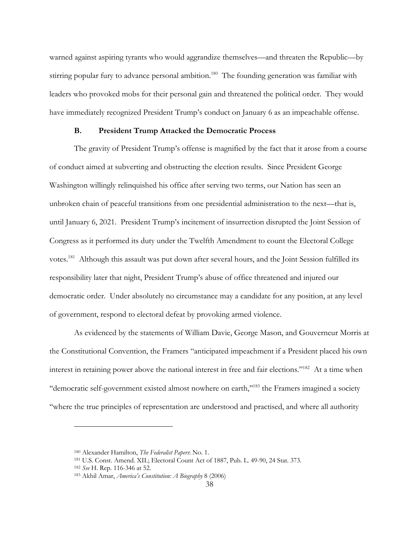warned against aspiring tyrants who would aggrandize themselves—and threaten the Republic—by stirring popular fury to advance personal ambition.<sup>180</sup> The founding generation was familiar with leaders who provoked mobs for their personal gain and threatened the political order. They would have immediately recognized President Trump's conduct on January 6 as an impeachable offense.

### **B. President Trump Attacked the Democratic Process**

The gravity of President Trump's offense is magnified by the fact that it arose from a course of conduct aimed at subverting and obstructing the election results. Since President George Washington willingly relinquished his office after serving two terms, our Nation has seen an unbroken chain of peaceful transitions from one presidential administration to the next—that is, until January 6, 2021. President Trump's incitement of insurrection disrupted the Joint Session of Congress as it performed its duty under the Twelfth Amendment to count the Electoral College votes.181 Although this assault was put down after several hours, and the Joint Session fulfilled its responsibility later that night, President Trump's abuse of office threatened and injured our democratic order. Under absolutely no circumstance may a candidate for any position, at any level of government, respond to electoral defeat by provoking armed violence.

As evidenced by the statements of William Davie, George Mason, and Gouverneur Morris at the Constitutional Convention, the Framers "anticipated impeachment if a President placed his own interest in retaining power above the national interest in free and fair elections."182 At a time when ''democratic self-government existed almost nowhere on earth,''183 the Framers imagined a society ''where the true principles of representation are understood and practised, and where all authority

<sup>180</sup> Alexander Hamilton, *The Federalist Papers*: No. 1.

<sup>181</sup> U.S. Const. Amend. XII.; Electoral Count Act of 1887, Pub. L. 49-90, 24 Stat. 373.

<sup>182</sup> *See* H. Rep. 116-346 at 52.

<sup>183</sup> Akhil Amar, *America's Constitution: A Biography* 8 (2006)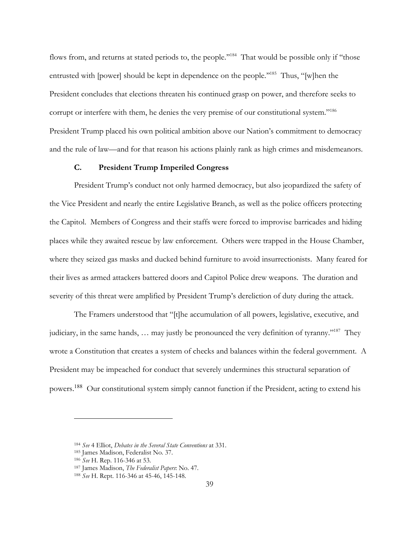flows from, and returns at stated periods to, the people."<sup>184</sup> That would be possible only if "those" entrusted with [power] should be kept in dependence on the people."<sup>185</sup> Thus, "[w]hen the President concludes that elections threaten his continued grasp on power, and therefore seeks to corrupt or interfere with them, he denies the very premise of our constitutional system."<sup>186</sup> President Trump placed his own political ambition above our Nation's commitment to democracy and the rule of law—and for that reason his actions plainly rank as high crimes and misdemeanors.

# **C. President Trump Imperiled Congress**

President Trump's conduct not only harmed democracy, but also jeopardized the safety of the Vice President and nearly the entire Legislative Branch, as well as the police officers protecting the Capitol. Members of Congress and their staffs were forced to improvise barricades and hiding places while they awaited rescue by law enforcement. Others were trapped in the House Chamber, where they seized gas masks and ducked behind furniture to avoid insurrectionists. Many feared for their lives as armed attackers battered doors and Capitol Police drew weapons. The duration and severity of this threat were amplified by President Trump's dereliction of duty during the attack.

The Framers understood that "[t]he accumulation of all powers, legislative, executive, and judiciary, in the same hands, … may justly be pronounced the very definition of tyranny."187 They wrote a Constitution that creates a system of checks and balances within the federal government. A President may be impeached for conduct that severely undermines this structural separation of powers.<sup>188</sup> Our constitutional system simply cannot function if the President, acting to extend his

<sup>184</sup> *See* 4 Elliot, *Debates in the Several State Conventions* at 331.

<sup>185</sup> James Madison, Federalist No. 37.

<sup>186</sup> *See* H. Rep. 116-346 at 53.

<sup>187</sup> James Madison, *The Federalist Papers*: No. 47.

<sup>188</sup> *See* H. Rept. 116-346 at 45-46, 145-148.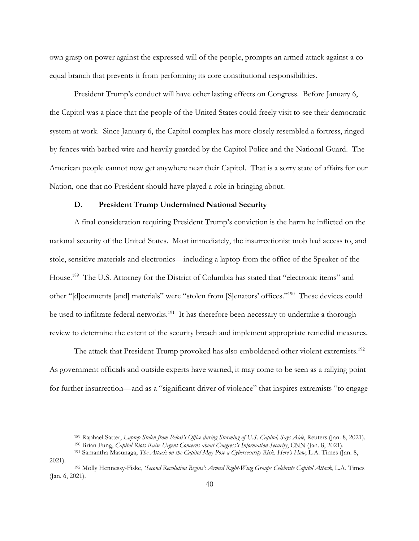own grasp on power against the expressed will of the people, prompts an armed attack against a coequal branch that prevents it from performing its core constitutional responsibilities.

President Trump's conduct will have other lasting effects on Congress. Before January 6, the Capitol was a place that the people of the United States could freely visit to see their democratic system at work. Since January 6, the Capitol complex has more closely resembled a fortress, ringed by fences with barbed wire and heavily guarded by the Capitol Police and the National Guard. The American people cannot now get anywhere near their Capitol. That is a sorry state of affairs for our Nation, one that no President should have played a role in bringing about.

# **D. President Trump Undermined National Security**

A final consideration requiring President Trump's conviction is the harm he inflicted on the national security of the United States. Most immediately, the insurrectionist mob had access to, and stole, sensitive materials and electronics—including a laptop from the office of the Speaker of the House.<sup>189</sup> The U.S. Attorney for the District of Columbia has stated that "electronic items" and other "[d]ocuments [and] materials" were "stolen from [S]enators' offices."190 These devices could be used to infiltrate federal networks.<sup>191</sup> It has therefore been necessary to undertake a thorough review to determine the extent of the security breach and implement appropriate remedial measures.

The attack that President Trump provoked has also emboldened other violent extremists.<sup>192</sup> As government officials and outside experts have warned, it may come to be seen as a rallying point for further insurrection—and as a "significant driver of violence" that inspires extremists "to engage

<sup>189</sup> Raphael Satter, *Laptop Stolen from Pelosi's Office during Storming of U.S. Capitol, Says Aide*, Reuters (Jan. 8, 2021). <sup>190</sup> Brian Fung, *Capitol Riots Raise Urgent Concerns about Congress's Information Security*, CNN (Jan. 8, 2021).

<sup>191</sup> Samantha Masunaga, *The Attack on the Capitol May Pose a Cybersecurity Risk. Here's How*, L.A. Times (Jan. 8, 2021).

<sup>192</sup> Molly Hennessy-Fiske, *'Second Revolution Begins': Armed Right-Wing Groups Celebrate Capitol Attack*, L.A. Times (Jan. 6, 2021).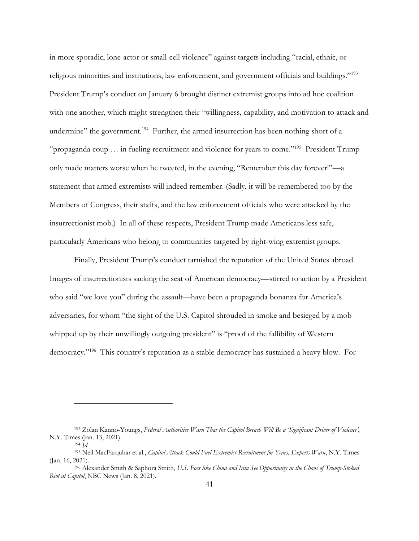in more sporadic, lone-actor or small-cell violence" against targets including "racial, ethnic, or religious minorities and institutions, law enforcement, and government officials and buildings."193 President Trump's conduct on January 6 brought distinct extremist groups into ad hoc coalition with one another, which might strengthen their "willingness, capability, and motivation to attack and undermine" the government.<sup>194</sup> Further, the armed insurrection has been nothing short of a "propaganda coup … in fueling recruitment and violence for years to come."195 President Trump only made matters worse when he tweeted, in the evening, "Remember this day forever!"—a statement that armed extremists will indeed remember. (Sadly, it will be remembered too by the Members of Congress, their staffs, and the law enforcement officials who were attacked by the insurrectionist mob.) In all of these respects, President Trump made Americans less safe, particularly Americans who belong to communities targeted by right-wing extremist groups.

Finally, President Trump's conduct tarnished the reputation of the United States abroad. Images of insurrectionists sacking the seat of American democracy—stirred to action by a President who said "we love you" during the assault—have been a propaganda bonanza for America's adversaries, for whom "the sight of the U.S. Capitol shrouded in smoke and besieged by a mob whipped up by their unwillingly outgoing president" is "proof of the fallibility of Western democracy."196 This country's reputation as a stable democracy has sustained a heavy blow. For

<sup>193</sup> Zolan Kanno-Youngs, *Federal Authorities Warn That the Capitol Breach Will Be a 'Significant Driver of Violence'*, N.Y. Times (Jan. 13, 2021).

<sup>194</sup> *Id*. 195 Neil MacFarquhar et al., *Capitol Attack Could Fuel Extremist Recruitment for Years, Experts Warn*, N.Y. Times (Jan. 16, 2021).

<sup>196</sup> Alexander Smith & Saphora Smith, *U.S. Foes like China and Iran See Opportunity in the Chaos of Trump-Stoked Riot at Capitol*, NBC News (Jan. 8, 2021).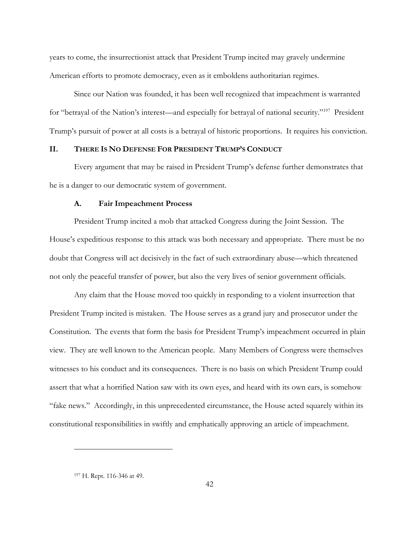years to come, the insurrectionist attack that President Trump incited may gravely undermine American efforts to promote democracy, even as it emboldens authoritarian regimes.

Since our Nation was founded, it has been well recognized that impeachment is warranted for "betrayal of the Nation's interest—and especially for betrayal of national security."197 President Trump's pursuit of power at all costs is a betrayal of historic proportions. It requires his conviction.

# **II. THERE IS NO DEFENSE FOR PRESIDENT TRUMP'S CONDUCT**

Every argument that may be raised in President Trump's defense further demonstrates that he is a danger to our democratic system of government.

### **A. Fair Impeachment Process**

President Trump incited a mob that attacked Congress during the Joint Session. The House's expeditious response to this attack was both necessary and appropriate. There must be no doubt that Congress will act decisively in the fact of such extraordinary abuse—which threatened not only the peaceful transfer of power, but also the very lives of senior government officials.

Any claim that the House moved too quickly in responding to a violent insurrection that President Trump incited is mistaken. The House serves as a grand jury and prosecutor under the Constitution. The events that form the basis for President Trump's impeachment occurred in plain view. They are well known to the American people. Many Members of Congress were themselves witnesses to his conduct and its consequences. There is no basis on which President Trump could assert that what a horrified Nation saw with its own eyes, and heard with its own ears, is somehow "fake news." Accordingly, in this unprecedented circumstance, the House acted squarely within its constitutional responsibilities in swiftly and emphatically approving an article of impeachment.

<sup>197</sup> H. Rept. 116-346 at 49.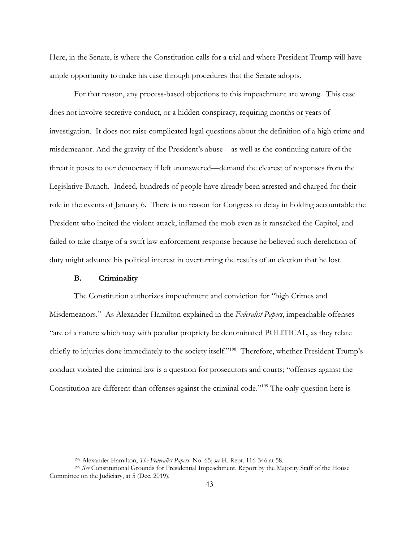Here, in the Senate, is where the Constitution calls for a trial and where President Trump will have ample opportunity to make his case through procedures that the Senate adopts.

For that reason, any process-based objections to this impeachment are wrong. This case does not involve secretive conduct, or a hidden conspiracy, requiring months or years of investigation. It does not raise complicated legal questions about the definition of a high crime and misdemeanor. And the gravity of the President's abuse—as well as the continuing nature of the threat it poses to our democracy if left unanswered—demand the clearest of responses from the Legislative Branch. Indeed, hundreds of people have already been arrested and charged for their role in the events of January 6. There is no reason for Congress to delay in holding accountable the President who incited the violent attack, inflamed the mob even as it ransacked the Capitol, and failed to take charge of a swift law enforcement response because he believed such dereliction of duty might advance his political interest in overturning the results of an election that he lost.

### **B. Criminality**

The Constitution authorizes impeachment and conviction for "high Crimes and Misdemeanors." As Alexander Hamilton explained in the *Federalist Papers*, impeachable offenses "are of a nature which may with peculiar propriety be denominated POLITICAL, as they relate chiefly to injuries done immediately to the society itself."198 Therefore, whether President Trump's conduct violated the criminal law is a question for prosecutors and courts; "offenses against the Constitution are different than offenses against the criminal code."<sup>199</sup> The only question here is

<sup>198</sup> Alexander Hamilton, *The Federalist Papers*: No. 65; *see* H. Rept. 116-346 at 58.

<sup>199</sup> *See* Constitutional Grounds for Presidential Impeachment, Report by the Majority Staff of the House Committee on the Judiciary, at 5 (Dec. 2019).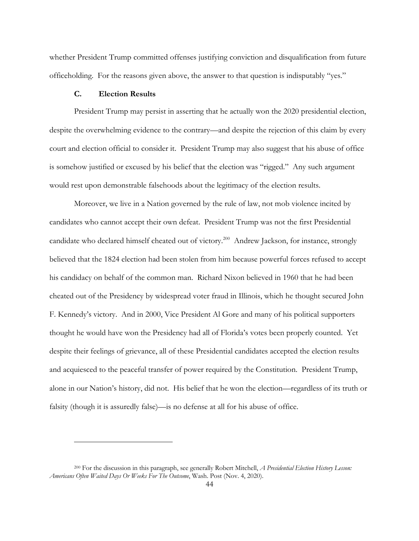whether President Trump committed offenses justifying conviction and disqualification from future officeholding. For the reasons given above, the answer to that question is indisputably "yes."

# **C. Election Results**

President Trump may persist in asserting that he actually won the 2020 presidential election, despite the overwhelming evidence to the contrary—and despite the rejection of this claim by every court and election official to consider it. President Trump may also suggest that his abuse of office is somehow justified or excused by his belief that the election was "rigged." Any such argument would rest upon demonstrable falsehoods about the legitimacy of the election results.

Moreover, we live in a Nation governed by the rule of law, not mob violence incited by candidates who cannot accept their own defeat. President Trump was not the first Presidential candidate who declared himself cheated out of victory.200 Andrew Jackson, for instance, strongly believed that the 1824 election had been stolen from him because powerful forces refused to accept his candidacy on behalf of the common man. Richard Nixon believed in 1960 that he had been cheated out of the Presidency by widespread voter fraud in Illinois, which he thought secured John F. Kennedy's victory. And in 2000, Vice President Al Gore and many of his political supporters thought he would have won the Presidency had all of Florida's votes been properly counted. Yet despite their feelings of grievance, all of these Presidential candidates accepted the election results and acquiesced to the peaceful transfer of power required by the Constitution. President Trump, alone in our Nation's history, did not. His belief that he won the election—regardless of its truth or falsity (though it is assuredly false)—is no defense at all for his abuse of office.

<sup>200</sup> For the discussion in this paragraph, see generally Robert Mitchell, *A Presidential Election History Lesson: Americans Often Waited Days Or Weeks For The Outcome*, Wash. Post (Nov. 4, 2020).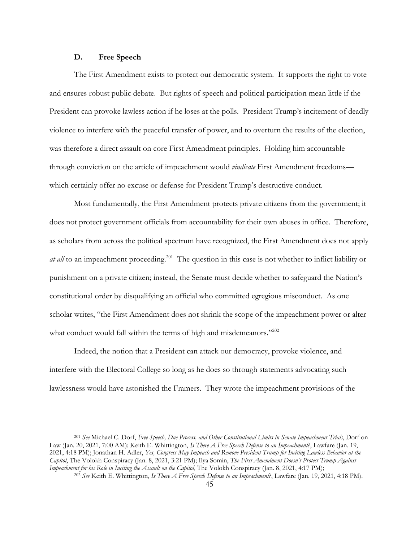## **D. Free Speech**

The First Amendment exists to protect our democratic system. It supports the right to vote and ensures robust public debate. But rights of speech and political participation mean little if the President can provoke lawless action if he loses at the polls. President Trump's incitement of deadly violence to interfere with the peaceful transfer of power, and to overturn the results of the election, was therefore a direct assault on core First Amendment principles. Holding him accountable through conviction on the article of impeachment would *vindicate* First Amendment freedoms which certainly offer no excuse or defense for President Trump's destructive conduct.

Most fundamentally, the First Amendment protects private citizens from the government; it does not protect government officials from accountability for their own abuses in office. Therefore, as scholars from across the political spectrum have recognized, the First Amendment does not apply at all to an impeachment proceeding.<sup>201</sup> The question in this case is not whether to inflict liability or punishment on a private citizen; instead, the Senate must decide whether to safeguard the Nation's constitutional order by disqualifying an official who committed egregious misconduct. As one scholar writes, "the First Amendment does not shrink the scope of the impeachment power or alter what conduct would fall within the terms of high and misdemeanors."<sup>202</sup>

Indeed, the notion that a President can attack our democracy, provoke violence, and interfere with the Electoral College so long as he does so through statements advocating such lawlessness would have astonished the Framers. They wrote the impeachment provisions of the

<sup>201</sup> *See* Michael C. Dorf, *Free Speech, Due Process, and Other Constitutional Limits in Senate Impeachment Trials*, Dorf on Law (Jan. 20, 2021, 7:00 AM); Keith E. Whittington, *Is There A Free Speech Defense to an Impeachment*?, Lawfare (Jan. 19, 2021, 4:18 PM); Jonathan H. Adler, *Yes, Congress May Impeach and Remove President Trump for Inciting Lawless Behavior at the Capitol*, The Volokh Conspiracy (Jan. 8, 2021, 3:21 PM); Ilya Somin, *The First Amendment Doesn't Protect Trump Against Impeachment for his Role in Inciting the Assault on the Capitol*, The Volokh Conspiracy (Jan. 8, 2021, 4:17 PM);

<sup>202</sup> *See* Keith E. Whittington, *Is There A Free Speech Defense to an Impeachment*?, Lawfare (Jan. 19, 2021, 4:18 PM).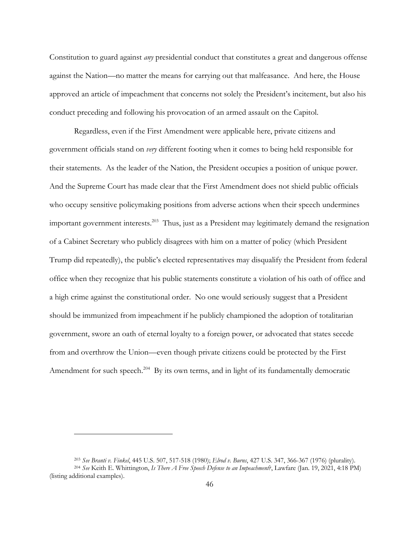Constitution to guard against *any* presidential conduct that constitutes a great and dangerous offense against the Nation—no matter the means for carrying out that malfeasance. And here, the House approved an article of impeachment that concerns not solely the President's incitement, but also his conduct preceding and following his provocation of an armed assault on the Capitol.

Regardless, even if the First Amendment were applicable here, private citizens and government officials stand on *very* different footing when it comes to being held responsible for their statements. As the leader of the Nation, the President occupies a position of unique power. And the Supreme Court has made clear that the First Amendment does not shield public officials who occupy sensitive policymaking positions from adverse actions when their speech undermines important government interests.<sup>203</sup> Thus, just as a President may legitimately demand the resignation of a Cabinet Secretary who publicly disagrees with him on a matter of policy (which President Trump did repeatedly), the public's elected representatives may disqualify the President from federal office when they recognize that his public statements constitute a violation of his oath of office and a high crime against the constitutional order. No one would seriously suggest that a President should be immunized from impeachment if he publicly championed the adoption of totalitarian government, swore an oath of eternal loyalty to a foreign power, or advocated that states secede from and overthrow the Union—even though private citizens could be protected by the First Amendment for such speech.<sup>204</sup> By its own terms, and in light of its fundamentally democratic

<sup>203</sup> *See Branti v. Finkel*, 445 U.S. 507, 517-518 (1980); *Elrod v. Burns*, 427 U.S. 347, 366-367 (1976) (plurality). <sup>204</sup> *See* Keith E. Whittington, *Is There A Free Speech Defense to an Impeachment*?, Lawfare (Jan. 19, 2021, 4:18 PM) (listing additional examples).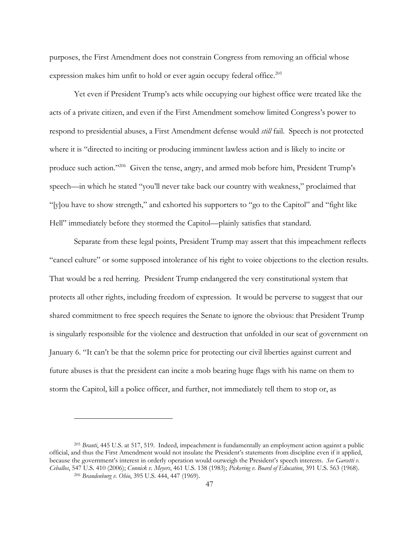purposes, the First Amendment does not constrain Congress from removing an official whose expression makes him unfit to hold or ever again occupy federal office.<sup>205</sup>

Yet even if President Trump's acts while occupying our highest office were treated like the acts of a private citizen, and even if the First Amendment somehow limited Congress's power to respond to presidential abuses, a First Amendment defense would *still* fail. Speech is not protected where it is "directed to inciting or producing imminent lawless action and is likely to incite or produce such action."206 Given the tense, angry, and armed mob before him, President Trump's speech—in which he stated "you'll never take back our country with weakness," proclaimed that "[y]ou have to show strength," and exhorted his supporters to "go to the Capitol" and "fight like Hell" immediately before they stormed the Capitol—plainly satisfies that standard.

Separate from these legal points, President Trump may assert that this impeachment reflects "cancel culture" or some supposed intolerance of his right to voice objections to the election results. That would be a red herring. President Trump endangered the very constitutional system that protects all other rights, including freedom of expression. It would be perverse to suggest that our shared commitment to free speech requires the Senate to ignore the obvious: that President Trump is singularly responsible for the violence and destruction that unfolded in our seat of government on January 6. "It can't be that the solemn price for protecting our civil liberties against current and future abuses is that the president can incite a mob bearing huge flags with his name on them to storm the Capitol, kill a police officer, and further, not immediately tell them to stop or, as

<sup>205</sup> *Branti*, 445 U.S. at 517, 519. Indeed, impeachment is fundamentally an employment action against a public official, and thus the First Amendment would not insulate the President's statements from discipline even if it applied, because the government's interest in orderly operation would outweigh the President's speech interests. *See Garcetti v. Ceballos*, 547 U.S. 410 (2006); *Connick v. Meyers*, 461 U.S. 138 (1983); *Pickering v. Board of Education*, 391 U.S. 563 (1968). 206 *Brandenburg v. Ohio*, 395 U.S. 444, 447 (1969).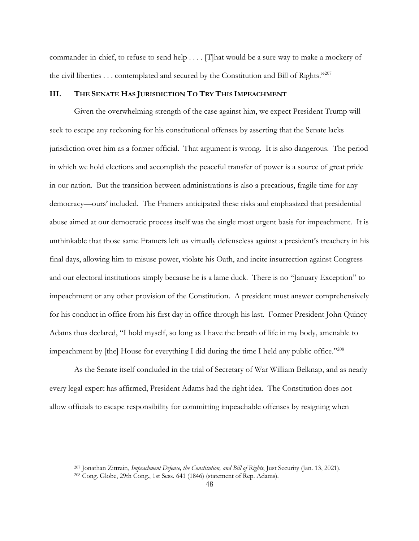commander-in-chief, to refuse to send help . . . . [T]hat would be a sure way to make a mockery of the civil liberties . . . contemplated and secured by the Constitution and Bill of Rights."207

### **III. THE SENATE HAS JURISDICTION TO TRY THIS IMPEACHMENT**

Given the overwhelming strength of the case against him, we expect President Trump will seek to escape any reckoning for his constitutional offenses by asserting that the Senate lacks jurisdiction over him as a former official. That argument is wrong. It is also dangerous. The period in which we hold elections and accomplish the peaceful transfer of power is a source of great pride in our nation. But the transition between administrations is also a precarious, fragile time for any democracy—ours' included. The Framers anticipated these risks and emphasized that presidential abuse aimed at our democratic process itself was the single most urgent basis for impeachment. It is unthinkable that those same Framers left us virtually defenseless against a president's treachery in his final days, allowing him to misuse power, violate his Oath, and incite insurrection against Congress and our electoral institutions simply because he is a lame duck. There is no "January Exception" to impeachment or any other provision of the Constitution. A president must answer comprehensively for his conduct in office from his first day in office through his last. Former President John Quincy Adams thus declared, "I hold myself, so long as I have the breath of life in my body, amenable to impeachment by [the] House for everything I did during the time I held any public office."<sup>208</sup>

As the Senate itself concluded in the trial of Secretary of War William Belknap, and as nearly every legal expert has affirmed, President Adams had the right idea. The Constitution does not allow officials to escape responsibility for committing impeachable offenses by resigning when

<sup>207</sup> Jonathan Zittrain, *Impeachment Defense, the Constitution, and Bill of Rights*, Just Security (Jan. 13, 2021).

<sup>208</sup> Cong. Globe, 29th Cong., 1st Sess. 641 (1846) (statement of Rep. Adams).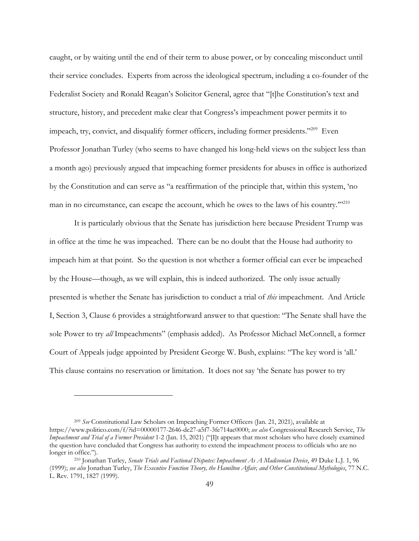caught, or by waiting until the end of their term to abuse power, or by concealing misconduct until their service concludes. Experts from across the ideological spectrum, including a co-founder of the Federalist Society and Ronald Reagan's Solicitor General, agree that "[t]he Constitution's text and structure, history, and precedent make clear that Congress's impeachment power permits it to impeach, try, convict, and disqualify former officers, including former presidents."209 Even Professor Jonathan Turley (who seems to have changed his long-held views on the subject less than a month ago) previously argued that impeaching former presidents for abuses in office is authorized by the Constitution and can serve as "a reaffirmation of the principle that, within this system, 'no man in no circumstance, can escape the account, which he owes to the laws of his country."<sup>210</sup>

It is particularly obvious that the Senate has jurisdiction here because President Trump was in office at the time he was impeached. There can be no doubt that the House had authority to impeach him at that point. So the question is not whether a former official can ever be impeached by the House—though, as we will explain, this is indeed authorized. The only issue actually presented is whether the Senate has jurisdiction to conduct a trial of *this* impeachment. And Article I, Section 3, Clause 6 provides a straightforward answer to that question: "The Senate shall have the sole Power to try *all* Impeachments" (emphasis added). As Professor Michael McConnell, a former Court of Appeals judge appointed by President George W. Bush, explains: "The key word is 'all.' This clause contains no reservation or limitation. It does not say 'the Senate has power to try

<sup>209</sup> *See* Constitutional Law Scholars on Impeaching Former Officers (Jan. 21, 2021), available at https://www.politico.com/f/?id=00000177-2646-de27-a5f7-3fe714ac0000; *see also* Congressional Research Service, *The Impeachment and Trial of a Former President* 1-2 (Jan. 15, 2021) ("[I]t appears that most scholars who have closely examined the question have concluded that Congress has authority to extend the impeachment process to officials who are no longer in office."). 210 Jonathan Turley, *Senate Trials and Factional Disputes: Impeachment As A Madisonian Device*, 49 Duke L.J. 1, 96

<sup>(1999);</sup> *see also* Jonathan Turley, *The Executive Function Theory, the Hamilton Affair, and Other Constitutional Mythologies*, 77 N.C. L. Rev. 1791, 1827 (1999).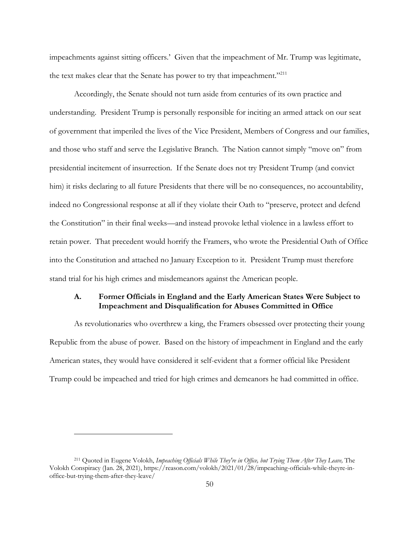impeachments against sitting officers.' Given that the impeachment of Mr. Trump was legitimate, the text makes clear that the Senate has power to try that impeachment."<sup>211</sup>

Accordingly, the Senate should not turn aside from centuries of its own practice and understanding. President Trump is personally responsible for inciting an armed attack on our seat of government that imperiled the lives of the Vice President, Members of Congress and our families, and those who staff and serve the Legislative Branch. The Nation cannot simply "move on" from presidential incitement of insurrection. If the Senate does not try President Trump (and convict him) it risks declaring to all future Presidents that there will be no consequences, no accountability, indeed no Congressional response at all if they violate their Oath to "preserve, protect and defend the Constitution" in their final weeks—and instead provoke lethal violence in a lawless effort to retain power. That precedent would horrify the Framers, who wrote the Presidential Oath of Office into the Constitution and attached no January Exception to it. President Trump must therefore stand trial for his high crimes and misdemeanors against the American people.

# **A. Former Officials in England and the Early American States Were Subject to Impeachment and Disqualification for Abuses Committed in Office**

As revolutionaries who overthrew a king, the Framers obsessed over protecting their young Republic from the abuse of power. Based on the history of impeachment in England and the early American states, they would have considered it self-evident that a former official like President Trump could be impeached and tried for high crimes and demeanors he had committed in office.

<sup>211</sup> Quoted in Eugene Volokh, *Impeaching Officials While They're in Office, but Trying Them After They Leave,* The Volokh Conspiracy (Jan. 28, 2021), https://reason.com/volokh/2021/01/28/impeaching-officials-while-theyre-inoffice-but-trying-them-after-they-leave/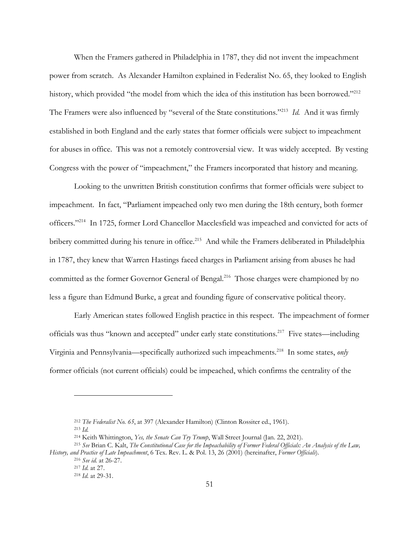When the Framers gathered in Philadelphia in 1787, they did not invent the impeachment power from scratch. As Alexander Hamilton explained in Federalist No. 65, they looked to English history, which provided "the model from which the idea of this institution has been borrowed."<sup>212</sup> The Framers were also influenced by "several of the State constitutions."213 *Id.* And it was firmly established in both England and the early states that former officials were subject to impeachment for abuses in office. This was not a remotely controversial view. It was widely accepted. By vesting Congress with the power of "impeachment," the Framers incorporated that history and meaning.

Looking to the unwritten British constitution confirms that former officials were subject to impeachment. In fact, "Parliament impeached only two men during the 18th century, both former officers."214 In 1725, former Lord Chancellor Macclesfield was impeached and convicted for acts of bribery committed during his tenure in office.<sup>215</sup> And while the Framers deliberated in Philadelphia in 1787, they knew that Warren Hastings faced charges in Parliament arising from abuses he had committed as the former Governor General of Bengal.<sup>216</sup> Those charges were championed by no less a figure than Edmund Burke, a great and founding figure of conservative political theory.

Early American states followed English practice in this respect. The impeachment of former officials was thus "known and accepted" under early state constitutions.217 Five states—including Virginia and Pennsylvania—specifically authorized such impeachments.218 In some states, *only* former officials (not current officials) could be impeached, which confirms the centrality of the

<sup>212</sup> *The Federalist No. 65*, at 397 (Alexander Hamilton) (Clinton Rossiter ed., 1961).

<sup>&</sup>lt;sup>213</sup> *Id.*<br><sup>214</sup> Keith Whittington, *Yes, the Senate Can Try Trump*, Wall Street Journal (Jan. 22, 2021).

<sup>&</sup>lt;sup>215</sup> See Brian C. Kalt, The Constitutional Case for the Impeachability of Former Federal Officials: An Analysis of the Law, *History, and Practice of Late Impeachment*, 6 Tex. Rev. L. & Pol. 13, 26 (2001) (hereinafter, *Former Officials*).

<sup>216</sup> *See id.* at 26-27. 217 *Id.* at 27.

<sup>218</sup> *Id.* at 29-31.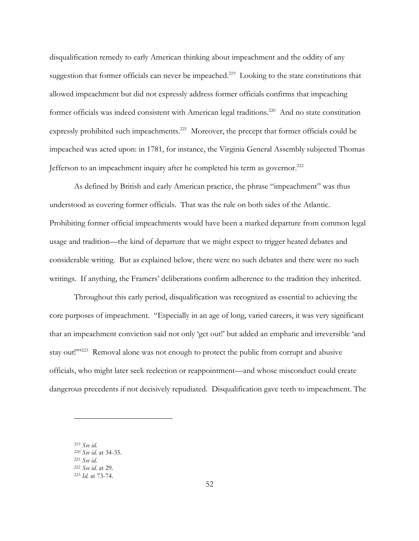disqualification remedy to early American thinking about impeachment and the oddity of any suggestion that former officials can never be impeached.<sup>219</sup> Looking to the state constitutions that allowed impeachment but did not expressly address former officials confirms that impeaching former officials was indeed consistent with American legal traditions.<sup>220</sup> And no state constitution expressly prohibited such impeachments.<sup>221</sup> Moreover, the precept that former officials could be impeached was acted upon: in 1781, for instance, the Virginia General Assembly subjected Thomas Jefferson to an impeachment inquiry after he completed his term as governor.<sup>222</sup>

As defined by British and early American practice, the phrase "impeachment" was thus understood as covering former officials. That was the rule on both sides of the Atlantic. Prohibiting former official impeachments would have been a marked departure from common legal usage and tradition—the kind of departure that we might expect to trigger heated debates and considerable writing. But as explained below, there were no such debates and there were no such writings. If anything, the Framers' deliberations confirm adherence to the tradition they inherited.

Throughout this early period, disqualification was recognized as essential to achieving the core purposes of impeachment. "Especially in an age of long, varied careers, it was very significant that an impeachment conviction said not only 'get out!' but added an emphatic and irreversible 'and stay out!"<sup>223</sup> Removal alone was not enough to protect the public from corrupt and abusive officials, who might later seek reelection or reappointment—and whose misconduct could create dangerous precedents if not decisively repudiated. Disqualification gave teeth to impeachment. The

<sup>219</sup> *See id.*

<sup>220</sup> *See id.* at 34-35. <sup>221</sup> *See id.* <sup>222</sup> *See id.* at 29. <sup>223</sup> *Id.* at 73-74.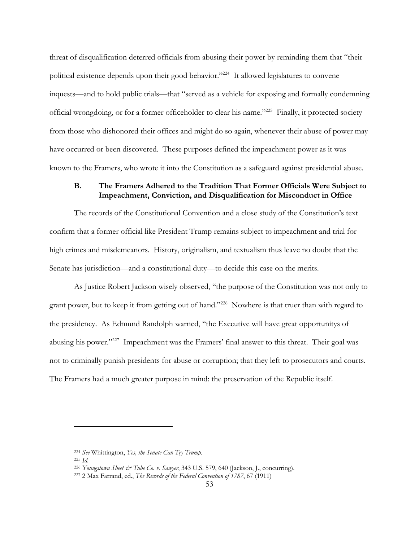threat of disqualification deterred officials from abusing their power by reminding them that "their political existence depends upon their good behavior."<sup>224</sup> It allowed legislatures to convene inquests—and to hold public trials—that "served as a vehicle for exposing and formally condemning official wrongdoing, or for a former officeholder to clear his name."225 Finally, it protected society from those who dishonored their offices and might do so again, whenever their abuse of power may have occurred or been discovered. These purposes defined the impeachment power as it was known to the Framers, who wrote it into the Constitution as a safeguard against presidential abuse.

## **B. The Framers Adhered to the Tradition That Former Officials Were Subject to Impeachment, Conviction, and Disqualification for Misconduct in Office**

The records of the Constitutional Convention and a close study of the Constitution's text confirm that a former official like President Trump remains subject to impeachment and trial for high crimes and misdemeanors. History, originalism, and textualism thus leave no doubt that the Senate has jurisdiction—and a constitutional duty—to decide this case on the merits.

As Justice Robert Jackson wisely observed, "the purpose of the Constitution was not only to grant power, but to keep it from getting out of hand."226 Nowhere is that truer than with regard to the presidency. As Edmund Randolph warned, "the Executive will have great opportunitys of abusing his power."227 Impeachment was the Framers' final answer to this threat. Their goal was not to criminally punish presidents for abuse or corruption; that they left to prosecutors and courts. The Framers had a much greater purpose in mind: the preservation of the Republic itself.

<sup>224</sup> *See* Whittington, *Yes, the Senate Can Try Trump.*

<sup>225</sup> *Id.*

<sup>226</sup> *Youngstown Sheet & Tube Co. v. Sawyer*, 343 U.S. 579, 640 (Jackson, J., concurring).

<sup>227</sup> 2 Max Farrand, ed., *The Records of the Federal Convention of 1787*, 67 (1911)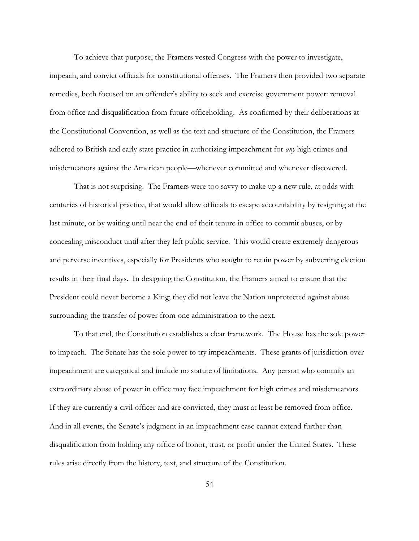To achieve that purpose, the Framers vested Congress with the power to investigate, impeach, and convict officials for constitutional offenses. The Framers then provided two separate remedies, both focused on an offender's ability to seek and exercise government power: removal from office and disqualification from future officeholding. As confirmed by their deliberations at the Constitutional Convention, as well as the text and structure of the Constitution, the Framers adhered to British and early state practice in authorizing impeachment for *any* high crimes and misdemeanors against the American people—whenever committed and whenever discovered.

That is not surprising. The Framers were too savvy to make up a new rule, at odds with centuries of historical practice, that would allow officials to escape accountability by resigning at the last minute, or by waiting until near the end of their tenure in office to commit abuses, or by concealing misconduct until after they left public service. This would create extremely dangerous and perverse incentives, especially for Presidents who sought to retain power by subverting election results in their final days. In designing the Constitution, the Framers aimed to ensure that the President could never become a King; they did not leave the Nation unprotected against abuse surrounding the transfer of power from one administration to the next.

To that end, the Constitution establishes a clear framework. The House has the sole power to impeach. The Senate has the sole power to try impeachments. These grants of jurisdiction over impeachment are categorical and include no statute of limitations. Any person who commits an extraordinary abuse of power in office may face impeachment for high crimes and misdemeanors. If they are currently a civil officer and are convicted, they must at least be removed from office. And in all events, the Senate's judgment in an impeachment case cannot extend further than disqualification from holding any office of honor, trust, or profit under the United States. These rules arise directly from the history, text, and structure of the Constitution.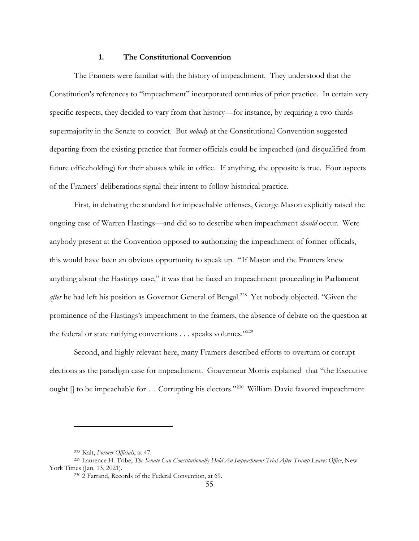## **1. The Constitutional Convention**

The Framers were familiar with the history of impeachment. They understood that the Constitution's references to "impeachment" incorporated centuries of prior practice. In certain very specific respects, they decided to vary from that history—for instance, by requiring a two-thirds supermajority in the Senate to convict. But *nobody* at the Constitutional Convention suggested departing from the existing practice that former officials could be impeached (and disqualified from future officeholding) for their abuses while in office. If anything, the opposite is true. Four aspects of the Framers' deliberations signal their intent to follow historical practice.

First, in debating the standard for impeachable offenses, George Mason explicitly raised the ongoing case of Warren Hastings—and did so to describe when impeachment *should* occur. Were anybody present at the Convention opposed to authorizing the impeachment of former officials, this would have been an obvious opportunity to speak up. "If Mason and the Framers knew anything about the Hastings case," it was that he faced an impeachment proceeding in Parliament *after* he had left his position as Governor General of Bengal.<sup>228</sup> Yet nobody objected. "Given the prominence of the Hastings's impeachment to the framers, the absence of debate on the question at the federal or state ratifying conventions . . . speaks volumes."<sup>229</sup>

Second, and highly relevant here, many Framers described efforts to overturn or corrupt elections as the paradigm case for impeachment. Gouverneur Morris explained that "the Executive ought  $\parallel$  to be impeachable for ... Corrupting his electors."<sup>230</sup> William Davie favored impeachment

<sup>228</sup> Kalt, *Former Officials*, at 47.

<sup>229</sup> Laurence H. Tribe, *The Senate Can Constitutionally Hold An Impeachment Trial After Trump Leaves Office*, New York Times (Jan. 13, 2021).

<sup>230</sup> 2 Farrand, Records of the Federal Convention, at 69.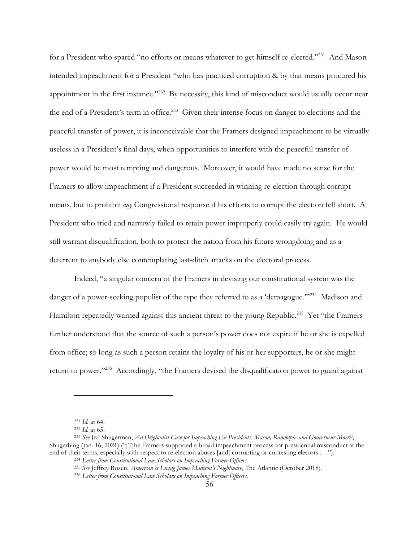for a President who spared "no efforts or means whatever to get himself re-elected."<sup>231</sup> And Mason intended impeachment for a President "who has practiced corruption & by that means procured his appointment in the first instance."<sup>232</sup> By necessity, this kind of misconduct would usually occur near the end of a President's term in office.<sup>233</sup> Given their intense focus on danger to elections and the peaceful transfer of power, it is inconceivable that the Framers designed impeachment to be virtually useless in a President's final days, when opportunities to interfere with the peaceful transfer of power would be most tempting and dangerous. Moreover, it would have made no sense for the Framers to allow impeachment if a President succeeded in winning re-election through corrupt means, but to prohibit *any* Congressional response if his efforts to corrupt the election fell short. A President who tried and narrowly failed to retain power improperly could easily try again. He would still warrant disqualification, both to protect the nation from his future wrongdoing and as a deterrent to anybody else contemplating last-ditch attacks on the electoral process.

Indeed, "a singular concern of the Framers in devising our constitutional system was the danger of a power-seeking populist of the type they referred to as a 'demagogue."<sup>234</sup> Madison and Hamilton repeatedly warned against this ancient threat to the young Republic.<sup>235</sup> Yet "the Framers" further understood that the source of such a person's power does not expire if he or she is expelled from office; so long as such a person retains the loyalty of his or her supporters, he or she might return to power."236 Accordingly, "the Framers devised the disqualification power to guard against

<sup>231</sup> *Id.* at 64.

<sup>232</sup> *Id.* at 65. 233 *See* Jed Shugerman, *An Originalist Case for Impeaching Ex-Presidents: Mason, Randolph, and Gouverneur Morris*, Shugerblog (Jan. 16, 2021) ("[T]he Framers supported a broad impeachment process for presidential misconduct at the end of their terms, especially with respect to re-election abuses [and] corrupting or contesting electors . . .").

<sup>234</sup> *Letter from Constitutional Law Scholars on Impeaching Former Officers.*

<sup>235</sup> *See* Jeffrey Rosen, *American is Living James Madison's Nightmare*, The Atlantic (October 2018).

<sup>236</sup> *Letter from Constitutional Law Scholars on Impeaching Former Officers.*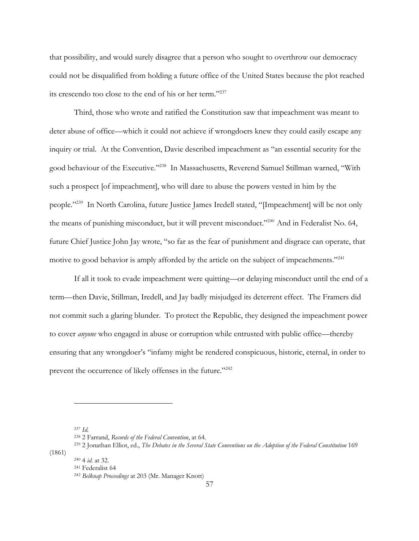that possibility, and would surely disagree that a person who sought to overthrow our democracy could not be disqualified from holding a future office of the United States because the plot reached its crescendo too close to the end of his or her term."237

Third, those who wrote and ratified the Constitution saw that impeachment was meant to deter abuse of office—which it could not achieve if wrongdoers knew they could easily escape any inquiry or trial. At the Convention, Davie described impeachment as "an essential security for the good behaviour of the Executive."238 In Massachusetts, Reverend Samuel Stillman warned, "With such a prospect [of impeachment], who will dare to abuse the powers vested in him by the people."239 In North Carolina, future Justice James Iredell stated, "[Impeachment] will be not only the means of punishing misconduct, but it will prevent misconduct."<sup>240</sup> And in Federalist No. 64, future Chief Justice John Jay wrote, "so far as the fear of punishment and disgrace can operate, that motive to good behavior is amply afforded by the article on the subject of impeachments."<sup>241</sup>

If all it took to evade impeachment were quitting—or delaying misconduct until the end of a term—then Davie, Stillman, Iredell, and Jay badly misjudged its deterrent effect. The Framers did not commit such a glaring blunder. To protect the Republic, they designed the impeachment power to cover *anyone* who engaged in abuse or corruption while entrusted with public office—thereby ensuring that any wrongdoer's "infamy might be rendered conspicuous, historic, eternal, in order to prevent the occurrence of likely offenses in the future."<sup>242</sup>

<sup>237</sup> *Id.*

<sup>238</sup> 2 Farrand, *Records of the Federal Convention*, at 64.

<sup>239</sup> 2 Jonathan Elliot, ed., *The Debates in the Several State Conventions on the Adoption of the Federal Constitution* 169

<sup>(1861)</sup>

<sup>240</sup> <sup>4</sup>*id.* at 32. 241 Federalist 64

<sup>242</sup> *Belknap Proceedings* at 203 (Mr. Manager Knott)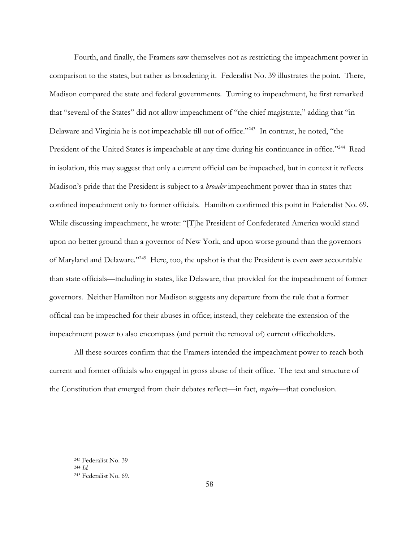Fourth, and finally, the Framers saw themselves not as restricting the impeachment power in comparison to the states, but rather as broadening it. Federalist No. 39 illustrates the point. There, Madison compared the state and federal governments. Turning to impeachment, he first remarked that "several of the States" did not allow impeachment of "the chief magistrate," adding that "in Delaware and Virginia he is not impeachable till out of office."<sup>243</sup> In contrast, he noted, "the President of the United States is impeachable at any time during his continuance in office."<sup>244</sup> Read in isolation, this may suggest that only a current official can be impeached, but in context it reflects Madison's pride that the President is subject to a *broader* impeachment power than in states that confined impeachment only to former officials. Hamilton confirmed this point in Federalist No. 69. While discussing impeachment, he wrote: "[T]he President of Confederated America would stand upon no better ground than a governor of New York, and upon worse ground than the governors of Maryland and Delaware."245 Here, too, the upshot is that the President is even *more* accountable than state officials—including in states, like Delaware, that provided for the impeachment of former governors. Neither Hamilton nor Madison suggests any departure from the rule that a former official can be impeached for their abuses in office; instead, they celebrate the extension of the impeachment power to also encompass (and permit the removal of) current officeholders.

All these sources confirm that the Framers intended the impeachment power to reach both current and former officials who engaged in gross abuse of their office. The text and structure of the Constitution that emerged from their debates reflect—in fact, *require*—that conclusion.

<sup>243</sup> Federalist No. 39 244 *Id.*

<sup>245</sup> Federalist No. 69.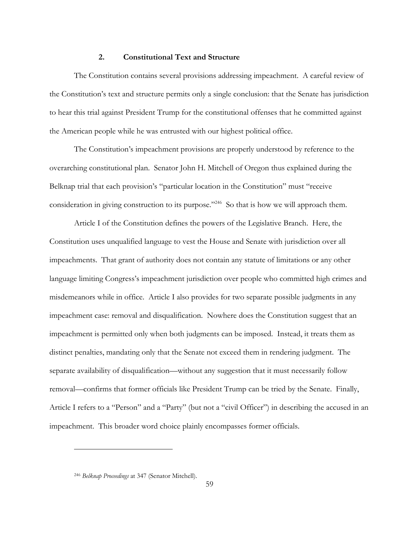## **2. Constitutional Text and Structure**

The Constitution contains several provisions addressing impeachment. A careful review of the Constitution's text and structure permits only a single conclusion: that the Senate has jurisdiction to hear this trial against President Trump for the constitutional offenses that he committed against the American people while he was entrusted with our highest political office.

The Constitution's impeachment provisions are properly understood by reference to the overarching constitutional plan. Senator John H. Mitchell of Oregon thus explained during the Belknap trial that each provision's "particular location in the Constitution" must "receive consideration in giving construction to its purpose."<sup>246</sup> So that is how we will approach them.

Article I of the Constitution defines the powers of the Legislative Branch. Here, the Constitution uses unqualified language to vest the House and Senate with jurisdiction over all impeachments. That grant of authority does not contain any statute of limitations or any other language limiting Congress's impeachment jurisdiction over people who committed high crimes and misdemeanors while in office. Article I also provides for two separate possible judgments in any impeachment case: removal and disqualification. Nowhere does the Constitution suggest that an impeachment is permitted only when both judgments can be imposed. Instead, it treats them as distinct penalties, mandating only that the Senate not exceed them in rendering judgment. The separate availability of disqualification—without any suggestion that it must necessarily follow removal—confirms that former officials like President Trump can be tried by the Senate. Finally, Article I refers to a "Person" and a "Party" (but not a "civil Officer") in describing the accused in an impeachment. This broader word choice plainly encompasses former officials.

<sup>246</sup> *Belknap Proceedings* at 347 (Senator Mitchell).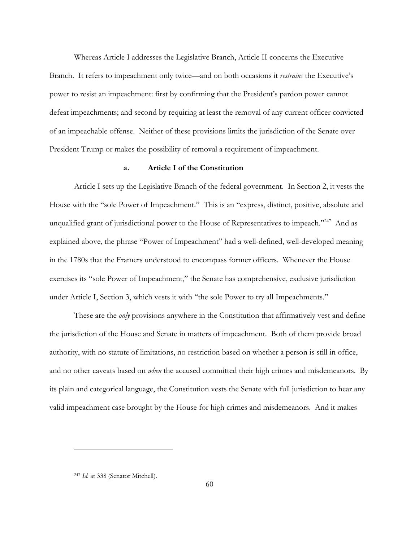Whereas Article I addresses the Legislative Branch, Article II concerns the Executive Branch. It refers to impeachment only twice—and on both occasions it *restrains* the Executive's power to resist an impeachment: first by confirming that the President's pardon power cannot defeat impeachments; and second by requiring at least the removal of any current officer convicted of an impeachable offense. Neither of these provisions limits the jurisdiction of the Senate over President Trump or makes the possibility of removal a requirement of impeachment.

### **a. Article I of the Constitution**

Article I sets up the Legislative Branch of the federal government. In Section 2, it vests the House with the "sole Power of Impeachment." This is an "express, distinct, positive, absolute and unqualified grant of jurisdictional power to the House of Representatives to impeach."<sup>247</sup> And as explained above, the phrase "Power of Impeachment" had a well-defined, well-developed meaning in the 1780s that the Framers understood to encompass former officers. Whenever the House exercises its "sole Power of Impeachment," the Senate has comprehensive, exclusive jurisdiction under Article I, Section 3, which vests it with "the sole Power to try all Impeachments."

These are the *only* provisions anywhere in the Constitution that affirmatively vest and define the jurisdiction of the House and Senate in matters of impeachment. Both of them provide broad authority, with no statute of limitations, no restriction based on whether a person is still in office, and no other caveats based on *when* the accused committed their high crimes and misdemeanors. By its plain and categorical language, the Constitution vests the Senate with full jurisdiction to hear any valid impeachment case brought by the House for high crimes and misdemeanors. And it makes

<sup>247</sup> *Id.* at 338 (Senator Mitchell).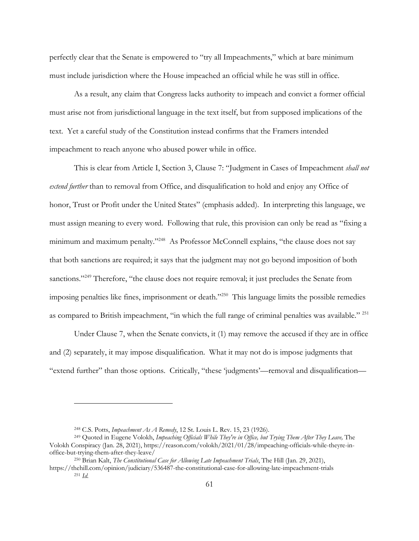perfectly clear that the Senate is empowered to "try all Impeachments," which at bare minimum must include jurisdiction where the House impeached an official while he was still in office.

As a result, any claim that Congress lacks authority to impeach and convict a former official must arise not from jurisdictional language in the text itself, but from supposed implications of the text. Yet a careful study of the Constitution instead confirms that the Framers intended impeachment to reach anyone who abused power while in office.

This is clear from Article I, Section 3, Clause 7: "Judgment in Cases of Impeachment *shall not extend further* than to removal from Office, and disqualification to hold and enjoy any Office of honor, Trust or Profit under the United States" (emphasis added). In interpreting this language, we must assign meaning to every word. Following that rule, this provision can only be read as "fixing a minimum and maximum penalty."<sup>248</sup> As Professor McConnell explains, "the clause does not say that both sanctions are required; it says that the judgment may not go beyond imposition of both sanctions."<sup>249</sup> Therefore, "the clause does not require removal; it just precludes the Senate from imposing penalties like fines, imprisonment or death."250 This language limits the possible remedies as compared to British impeachment, "in which the full range of criminal penalties was available." 251

Under Clause 7, when the Senate convicts, it (1) may remove the accused if they are in office and (2) separately, it may impose disqualification. What it may not do is impose judgments that "extend further" than those options. Critically, "these 'judgments'—removal and disqualification—

<sup>248</sup> C.S. Potts, *Impeachment As A Remedy*, 12 St. Louis L. Rev. 15, 23 (1926).

<sup>249</sup> Quoted in Eugene Volokh, *Impeaching Officials While They're in Office, but Trying Them After They Leave,* The Volokh Conspiracy (Jan. 28, 2021), https://reason.com/volokh/2021/01/28/impeaching-officials-while-theyre-inoffice-but-trying-them-after-they-leave/

<sup>250</sup> Brian Kalt, *The Constitutional Case for Allowing Late Impeachment Trials*, The Hill (Jan. 29, 2021),

https://thehill.com/opinion/judiciary/536487-the-constitutional-case-for-allowing-late-impeachment-trials <sup>251</sup> *Id.*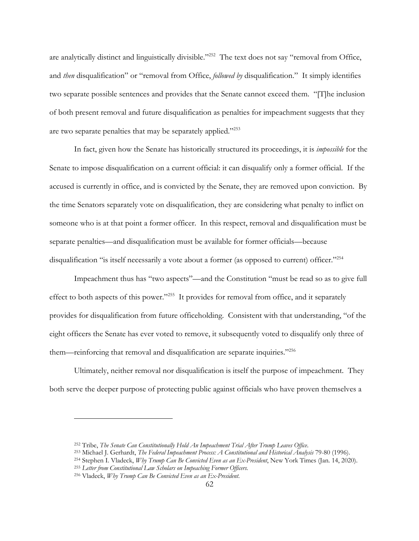are analytically distinct and linguistically divisible."252 The text does not say "removal from Office, and *then* disqualification" or "removal from Office, *followed by* disqualification." It simply identifies two separate possible sentences and provides that the Senate cannot exceed them. "[T]he inclusion of both present removal and future disqualification as penalties for impeachment suggests that they are two separate penalties that may be separately applied."253

In fact, given how the Senate has historically structured its proceedings, it is *impossible* for the Senate to impose disqualification on a current official: it can disqualify only a former official. If the accused is currently in office, and is convicted by the Senate, they are removed upon conviction. By the time Senators separately vote on disqualification, they are considering what penalty to inflict on someone who is at that point a former officer. In this respect, removal and disqualification must be separate penalties—and disqualification must be available for former officials—because disqualification "is itself necessarily a vote about a former (as opposed to current) officer."<sup>254</sup>

Impeachment thus has "two aspects"—and the Constitution "must be read so as to give full effect to both aspects of this power."255 It provides for removal from office, and it separately provides for disqualification from future officeholding. Consistent with that understanding, "of the eight officers the Senate has ever voted to remove, it subsequently voted to disqualify only three of them—reinforcing that removal and disqualification are separate inquiries."256

Ultimately, neither removal nor disqualification is itself the purpose of impeachment. They both serve the deeper purpose of protecting public against officials who have proven themselves a

<sup>&</sup>lt;sup>252</sup> Tribe, *The Senate Can Constitutionally Hold An Impeachment Trial After Trump Leaves Office.*<br><sup>253</sup> Michael J. Gerhardt, *The Federal Impeachment Process: A Constitutional and Historical Analysis* 79-80 (1996).<br><sup>254</sup>

<sup>255</sup> *Letter from Constitutional Law Scholars on Impeaching Former Officers.*

<sup>256</sup> Vladeck, *Why Trump Can Be Convicted Even as an Ex-President*.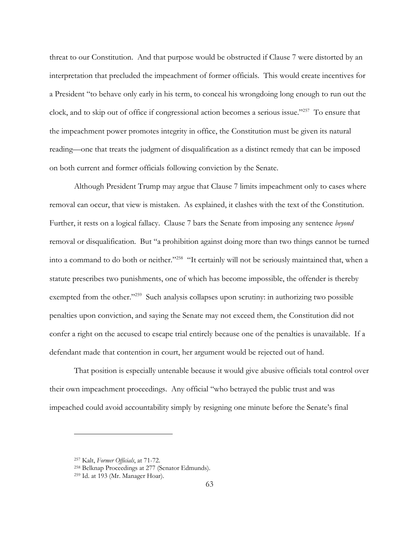threat to our Constitution. And that purpose would be obstructed if Clause 7 were distorted by an interpretation that precluded the impeachment of former officials. This would create incentives for a President "to behave only early in his term, to conceal his wrongdoing long enough to run out the clock, and to skip out of office if congressional action becomes a serious issue."257 To ensure that the impeachment power promotes integrity in office, the Constitution must be given its natural reading—one that treats the judgment of disqualification as a distinct remedy that can be imposed on both current and former officials following conviction by the Senate.

Although President Trump may argue that Clause 7 limits impeachment only to cases where removal can occur, that view is mistaken. As explained, it clashes with the text of the Constitution. Further, it rests on a logical fallacy. Clause 7 bars the Senate from imposing any sentence *beyond* removal or disqualification. But "a prohibition against doing more than two things cannot be turned into a command to do both or neither."258 "It certainly will not be seriously maintained that, when a statute prescribes two punishments, one of which has become impossible, the offender is thereby exempted from the other."<sup>259</sup> Such analysis collapses upon scrutiny: in authorizing two possible penalties upon conviction, and saying the Senate may not exceed them, the Constitution did not confer a right on the accused to escape trial entirely because one of the penalties is unavailable. If a defendant made that contention in court, her argument would be rejected out of hand.

That position is especially untenable because it would give abusive officials total control over their own impeachment proceedings. Any official "who betrayed the public trust and was impeached could avoid accountability simply by resigning one minute before the Senate's final

<sup>&</sup>lt;sup>257</sup> Kalt, *Former Officials*, at 71-72.<br><sup>258</sup> Belknap Proceedings at 277 (Senator Edmunds).

<sup>259</sup> Id. at 193 (Mr. Manager Hoar).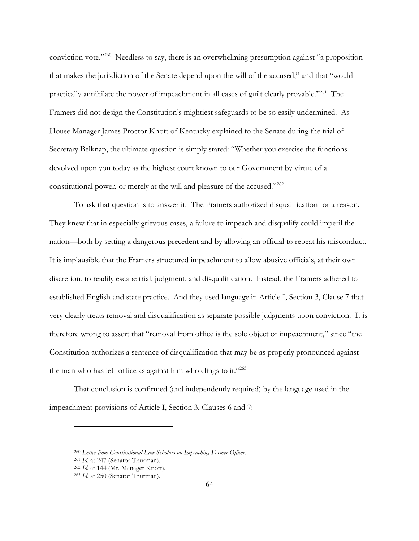conviction vote."260 Needless to say, there is an overwhelming presumption against "a proposition that makes the jurisdiction of the Senate depend upon the will of the accused," and that "would practically annihilate the power of impeachment in all cases of guilt clearly provable."261 The Framers did not design the Constitution's mightiest safeguards to be so easily undermined. As House Manager James Proctor Knott of Kentucky explained to the Senate during the trial of Secretary Belknap, the ultimate question is simply stated: "Whether you exercise the functions devolved upon you today as the highest court known to our Government by virtue of a constitutional power, or merely at the will and pleasure of the accused."262

To ask that question is to answer it. The Framers authorized disqualification for a reason. They knew that in especially grievous cases, a failure to impeach and disqualify could imperil the nation—both by setting a dangerous precedent and by allowing an official to repeat his misconduct. It is implausible that the Framers structured impeachment to allow abusive officials, at their own discretion, to readily escape trial, judgment, and disqualification. Instead, the Framers adhered to established English and state practice. And they used language in Article I, Section 3, Clause 7 that very clearly treats removal and disqualification as separate possible judgments upon conviction. It is therefore wrong to assert that "removal from office is the sole object of impeachment," since "the Constitution authorizes a sentence of disqualification that may be as properly pronounced against the man who has left office as against him who clings to it."263

That conclusion is confirmed (and independently required) by the language used in the impeachment provisions of Article I, Section 3, Clauses 6 and 7:

<sup>260</sup> *Letter from Constitutional Law Scholars on Impeaching Former Officers.*

<sup>261</sup> *Id.* at 247 (Senator Thurman).

<sup>262</sup> *Id.* at 144 (Mr. Manager Knott).

<sup>263</sup> *Id.* at 250 (Senator Thurman).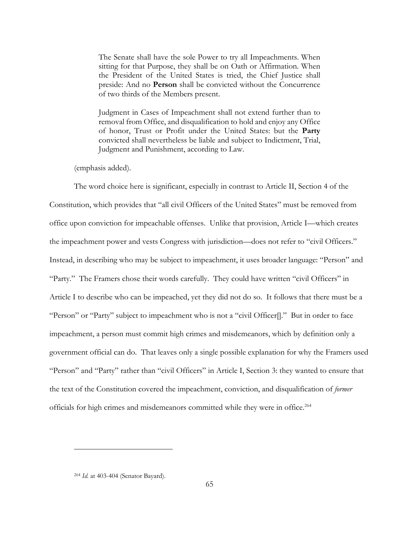The Senate shall have the sole Power to try all Impeachments. When sitting for that Purpose, they shall be on Oath or Affirmation. When the President of the United States is tried, the Chief Justice shall preside: And no **Person** shall be convicted without the Concurrence of two thirds of the Members present.

Judgment in Cases of Impeachment shall not extend further than to removal from Office, and disqualification to hold and enjoy any Office of honor, Trust or Profit under the United States: but the **Party** convicted shall nevertheless be liable and subject to Indictment, Trial, Judgment and Punishment, according to Law.

(emphasis added).

The word choice here is significant, especially in contrast to Article II, Section 4 of the Constitution, which provides that "all civil Officers of the United States" must be removed from office upon conviction for impeachable offenses. Unlike that provision, Article I—which creates the impeachment power and vests Congress with jurisdiction—does not refer to "civil Officers." Instead, in describing who may be subject to impeachment, it uses broader language: "Person" and "Party." The Framers chose their words carefully. They could have written "civil Officers" in Article I to describe who can be impeached, yet they did not do so. It follows that there must be a "Person" or "Party" subject to impeachment who is not a "civil Officer<sup>[]</sup>." But in order to face impeachment, a person must commit high crimes and misdemeanors, which by definition only a government official can do. That leaves only a single possible explanation for why the Framers used "Person" and "Party" rather than "civil Officers" in Article I, Section 3: they wanted to ensure that the text of the Constitution covered the impeachment, conviction, and disqualification of *former* officials for high crimes and misdemeanors committed while they were in office.264

<sup>264</sup> *Id.* at 403-404 (Senator Bayard).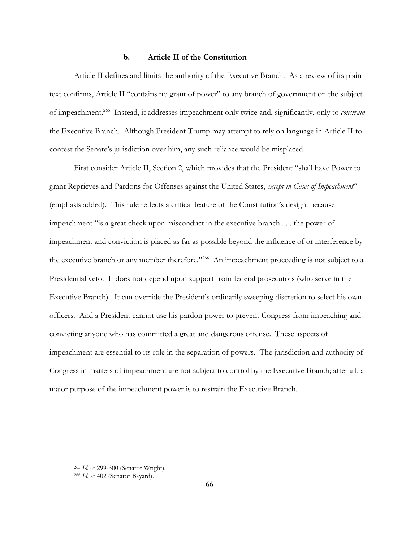## **b. Article II of the Constitution**

Article II defines and limits the authority of the Executive Branch. As a review of its plain text confirms, Article II "contains no grant of power" to any branch of government on the subject of impeachment.265 Instead, it addresses impeachment only twice and, significantly, only to *constrain* the Executive Branch. Although President Trump may attempt to rely on language in Article II to contest the Senate's jurisdiction over him, any such reliance would be misplaced.

First consider Article II, Section 2, which provides that the President "shall have Power to grant Reprieves and Pardons for Offenses against the United States, *except in Cases of Impeachment*" (emphasis added). This rule reflects a critical feature of the Constitution's design: because impeachment "is a great check upon misconduct in the executive branch . . . the power of impeachment and conviction is placed as far as possible beyond the influence of or interference by the executive branch or any member therefore."266 An impeachment proceeding is not subject to a Presidential veto. It does not depend upon support from federal prosecutors (who serve in the Executive Branch). It can override the President's ordinarily sweeping discretion to select his own officers. And a President cannot use his pardon power to prevent Congress from impeaching and convicting anyone who has committed a great and dangerous offense. These aspects of impeachment are essential to its role in the separation of powers. The jurisdiction and authority of Congress in matters of impeachment are not subject to control by the Executive Branch; after all, a major purpose of the impeachment power is to restrain the Executive Branch.

<sup>265</sup> *Id.* at 299-300 (Senator Wright).

<sup>266</sup> *Id.* at 402 (Senator Bayard).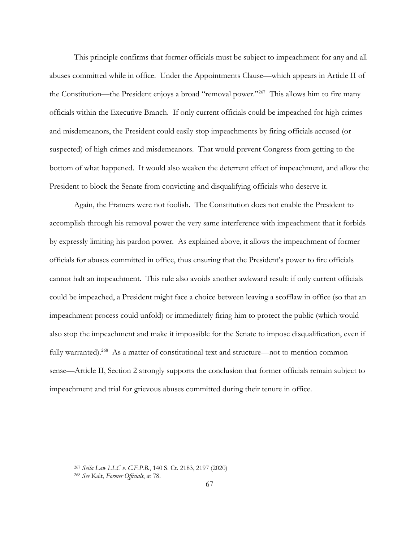This principle confirms that former officials must be subject to impeachment for any and all abuses committed while in office. Under the Appointments Clause—which appears in Article II of the Constitution—the President enjoys a broad "removal power."<sup>267</sup> This allows him to fire many officials within the Executive Branch. If only current officials could be impeached for high crimes and misdemeanors, the President could easily stop impeachments by firing officials accused (or suspected) of high crimes and misdemeanors. That would prevent Congress from getting to the bottom of what happened. It would also weaken the deterrent effect of impeachment, and allow the President to block the Senate from convicting and disqualifying officials who deserve it.

Again, the Framers were not foolish. The Constitution does not enable the President to accomplish through his removal power the very same interference with impeachment that it forbids by expressly limiting his pardon power. As explained above, it allows the impeachment of former officials for abuses committed in office, thus ensuring that the President's power to fire officials cannot halt an impeachment. This rule also avoids another awkward result: if only current officials could be impeached, a President might face a choice between leaving a scofflaw in office (so that an impeachment process could unfold) or immediately firing him to protect the public (which would also stop the impeachment and make it impossible for the Senate to impose disqualification, even if fully warranted).<sup>268</sup> As a matter of constitutional text and structure—not to mention common sense—Article II, Section 2 strongly supports the conclusion that former officials remain subject to impeachment and trial for grievous abuses committed during their tenure in office.

<sup>267</sup> *Seila Law LLC v. C.F.P.B.*, 140 S. Ct. 2183, 2197 (2020) <sup>268</sup> *See* Kalt, *Former Officials*, at 78.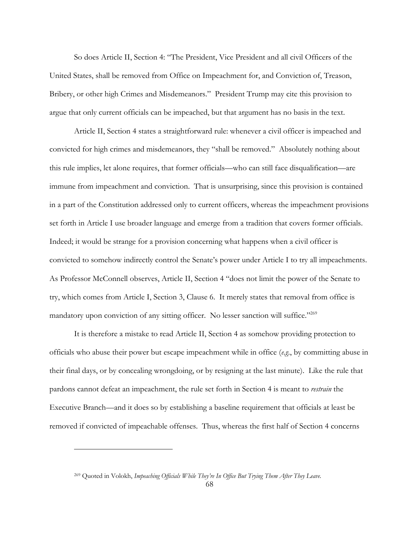So does Article II, Section 4: "The President, Vice President and all civil Officers of the United States, shall be removed from Office on Impeachment for, and Conviction of, Treason, Bribery, or other high Crimes and Misdemeanors." President Trump may cite this provision to argue that only current officials can be impeached, but that argument has no basis in the text.

Article II, Section 4 states a straightforward rule: whenever a civil officer is impeached and convicted for high crimes and misdemeanors, they "shall be removed." Absolutely nothing about this rule implies, let alone requires, that former officials—who can still face disqualification—are immune from impeachment and conviction. That is unsurprising, since this provision is contained in a part of the Constitution addressed only to current officers, whereas the impeachment provisions set forth in Article I use broader language and emerge from a tradition that covers former officials. Indeed; it would be strange for a provision concerning what happens when a civil officer is convicted to somehow indirectly control the Senate's power under Article I to try all impeachments. As Professor McConnell observes, Article II, Section 4 "does not limit the power of the Senate to try, which comes from Article I, Section 3, Clause 6. It merely states that removal from office is mandatory upon conviction of any sitting officer. No lesser sanction will suffice."<sup>269</sup>

It is therefore a mistake to read Article II, Section 4 as somehow providing protection to officials who abuse their power but escape impeachment while in office (*e.g*., by committing abuse in their final days, or by concealing wrongdoing, or by resigning at the last minute). Like the rule that pardons cannot defeat an impeachment, the rule set forth in Section 4 is meant to *restrain* the Executive Branch—and it does so by establishing a baseline requirement that officials at least be removed if convicted of impeachable offenses. Thus, whereas the first half of Section 4 concerns

<sup>269</sup> Quoted in Volokh, *Impeaching Officials While They're In Office But Trying Them After They Leave*.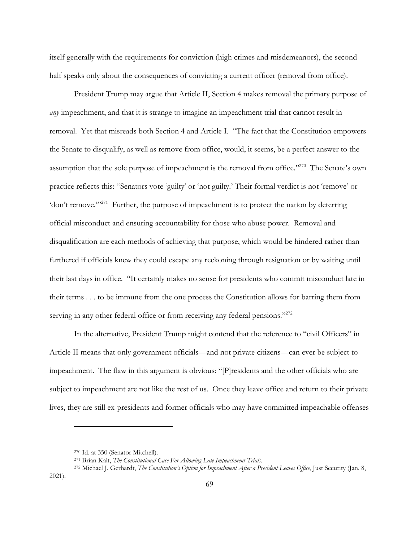itself generally with the requirements for conviction (high crimes and misdemeanors), the second half speaks only about the consequences of convicting a current officer (removal from office).

President Trump may argue that Article II, Section 4 makes removal the primary purpose of *any* impeachment, and that it is strange to imagine an impeachment trial that cannot result in removal. Yet that misreads both Section 4 and Article I. "The fact that the Constitution empowers the Senate to disqualify, as well as remove from office, would, it seems, be a perfect answer to the assumption that the sole purpose of impeachment is the removal from office."270 The Senate's own practice reflects this: "Senators vote 'guilty' or 'not guilty.' Their formal verdict is not 'remove' or 'don't remove."<sup>271</sup> Further, the purpose of impeachment is to protect the nation by deterring official misconduct and ensuring accountability for those who abuse power. Removal and disqualification are each methods of achieving that purpose, which would be hindered rather than furthered if officials knew they could escape any reckoning through resignation or by waiting until their last days in office. "It certainly makes no sense for presidents who commit misconduct late in their terms . . . to be immune from the one process the Constitution allows for barring them from serving in any other federal office or from receiving any federal pensions."<sup>272</sup>

In the alternative, President Trump might contend that the reference to "civil Officers" in Article II means that only government officials—and not private citizens—can ever be subject to impeachment. The flaw in this argument is obvious: "[P]residents and the other officials who are subject to impeachment are not like the rest of us. Once they leave office and return to their private lives, they are still ex-presidents and former officials who may have committed impeachable offenses

<sup>270</sup> Id. at 350 (Senator Mitchell).

<sup>271</sup> Brian Kalt, *The Constitutional Case For Allowing Late Impeachment Trials*. 272 Michael J. Gerhardt, *The Constitution's Option for Impeachment After a President Leaves Office*, Just Security (Jan. 8,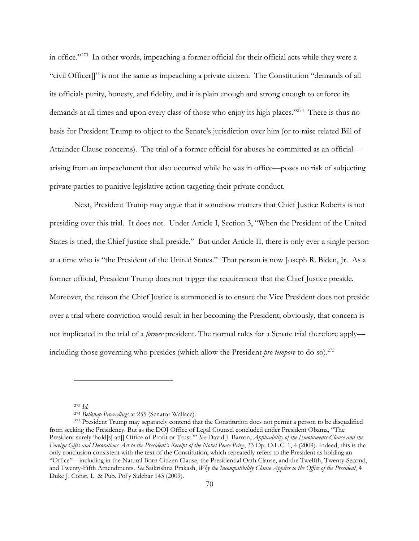in office."273 In other words, impeaching a former official for their official acts while they were a "civil Officer[]" is not the same as impeaching a private citizen. The Constitution "demands of all its officials purity, honesty, and fidelity, and it is plain enough and strong enough to enforce its demands at all times and upon every class of those who enjoy its high places."<sup>274</sup> There is thus no basis for President Trump to object to the Senate's jurisdiction over him (or to raise related Bill of Attainder Clause concerns). The trial of a former official for abuses he committed as an official arising from an impeachment that also occurred while he was in office—poses no risk of subjecting private parties to punitive legislative action targeting their private conduct.

Next, President Trump may argue that it somehow matters that Chief Justice Roberts is not presiding over this trial. It does not. Under Article I, Section 3, "When the President of the United States is tried, the Chief Justice shall preside." But under Article II, there is only ever a single person at a time who is "the President of the United States." That person is now Joseph R. Biden, Jr. As a former official, President Trump does not trigger the requirement that the Chief Justice preside. Moreover, the reason the Chief Justice is summoned is to ensure the Vice President does not preside over a trial where conviction would result in her becoming the President; obviously, that concern is not implicated in the trial of a *former* president. The normal rules for a Senate trial therefore apply including those governing who presides (which allow the President *pro tempore* to do so).<sup>275</sup>

<sup>273</sup> *Id.*

<sup>&</sup>lt;sup>274</sup> *Belknap Proceedings* at 255 (Senator Wallace).<br><sup>275</sup> President Trump may separately contend that the Constitution does not permit a person to be disqualified from seeking the Presidency. But as the DOJ Office of Legal Counsel concluded under President Obama, "The President surely 'hold[s] an<sup>[]</sup> Office of Profit or Trust."" *See* David J. Barron, *Applicability of the Emoluments Clause and the Foreign Gifts and Decorations Act to the President's Receipt of the Nobel Peace Prize*, 33 Op. O.L.C. 1, 4 (2009). Indeed, this is the only conclusion consistent with the text of the Constitution, which repeatedly refers to the President as holding an "Office"—including in the Natural Born Citizen Clause, the Presidential Oath Clause, and the Twelfth, Twenty-Second, and Twenty-Fifth Amendments. *See* Saikrishna Prakash, *Why the Incompatibility Clause Applies to the Office of the President*, 4 Duke J. Const. L. & Pub. Pol'y Sidebar 143 (2009).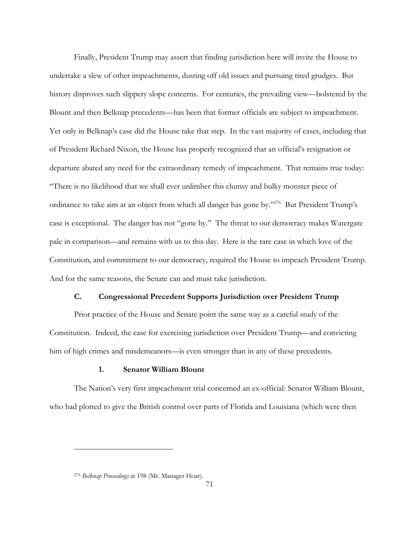Finally, President Trump may assert that finding jurisdiction here will invite the House to undertake a slew of other impeachments, dusting off old issues and pursuing tired grudges. But history disproves such slippery slope concerns. For centuries, the prevailing view—bolstered by the Blount and then Belknap precedents—has been that former officials are subject to impeachment. Yet only in Belknap's case did the House take that step. In the vast majority of cases, including that of President Richard Nixon, the House has properly recognized that an official's resignation or departure abated any need for the extraordinary remedy of impeachment. That remains true today: "There is no likelihood that we shall ever unlimber this clumsy and bulky monster piece of ordinance to take aim at an object from which all danger has gone by."276 But President Trump's case is exceptional. The danger has not "gone by." The threat to our democracy makes Watergate pale in comparison—and remains with us to this day. Here is the rare case in which love of the Constitution, and commitment to our democracy, required the House to impeach President Trump. And for the same reasons, the Senate can and must take jurisdiction.

## **C. Congressional Precedent Supports Jurisdiction over President Trump**

Prior practice of the House and Senate point the same way as a careful study of the Constitution. Indeed, the case for exercising jurisdiction over President Trump—and convicting him of high crimes and misdemeanors—is even stronger than in any of these precedents.

### **1. Senator William Blount**

The Nation's very first impeachment trial concerned an ex-official: Senator William Blount, who had plotted to give the British control over parts of Florida and Louisiana (which were then

<sup>276</sup> *Belknap Proceedings* at 198 (Mr. Manager Hoar).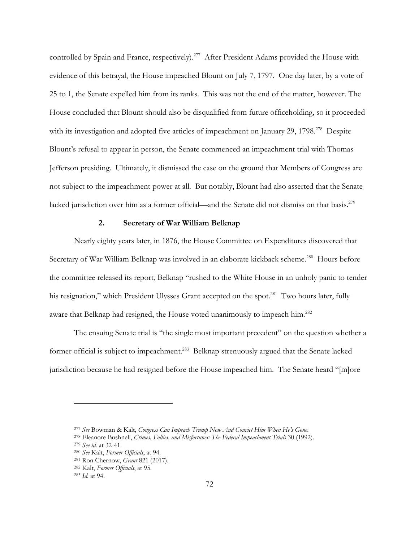controlled by Spain and France, respectively).<sup>277</sup> After President Adams provided the House with evidence of this betrayal, the House impeached Blount on July 7, 1797. One day later, by a vote of 25 to 1, the Senate expelled him from its ranks. This was not the end of the matter, however. The House concluded that Blount should also be disqualified from future officeholding, so it proceeded with its investigation and adopted five articles of impeachment on January 29, 1798.<sup>278</sup> Despite Blount's refusal to appear in person, the Senate commenced an impeachment trial with Thomas Jefferson presiding. Ultimately, it dismissed the case on the ground that Members of Congress are not subject to the impeachment power at all. But notably, Blount had also asserted that the Senate lacked jurisdiction over him as a former official—and the Senate did not dismiss on that basis.<sup>279</sup>

## **2. Secretary of War William Belknap**

Nearly eighty years later, in 1876, the House Committee on Expenditures discovered that Secretary of War William Belknap was involved in an elaborate kickback scheme.<sup>280</sup> Hours before the committee released its report, Belknap "rushed to the White House in an unholy panic to tender his resignation," which President Ulysses Grant accepted on the spot.<sup>281</sup> Two hours later, fully aware that Belknap had resigned, the House voted unanimously to impeach him.<sup>282</sup>

The ensuing Senate trial is "the single most important precedent" on the question whether a former official is subject to impeachment.<sup>283</sup> Belknap strenuously argued that the Senate lacked jurisdiction because he had resigned before the House impeached him. The Senate heard "[m]ore

<sup>277</sup> *See* Bowman & Kalt, *Congress Can Impeach Trump Now And Convict Him When He's Gone*. 278 Eleanore Bushnell, *Crimes, Follies, and Misfortunes: The Federal Impeachment Trials* 30 (1992).

<sup>279</sup> *See id.* at 32-41.

<sup>280</sup> *See* Kalt, *Former Officials*, at 94. 281 Ron Chernow, *Grant* 821 (2017).

<sup>282</sup> Kalt, *Former Officials*, at 95. 283 *Id.* at 94.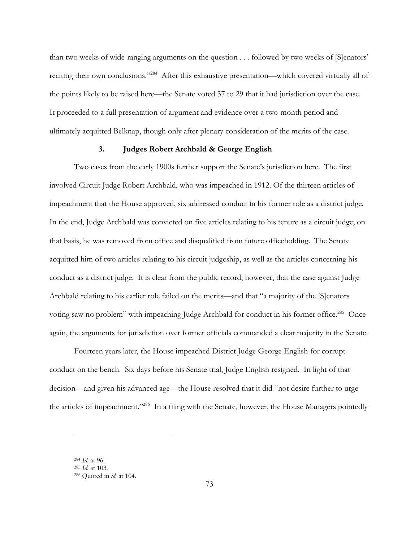than two weeks of wide-ranging arguments on the question . . . followed by two weeks of [S]enators' reciting their own conclusions."284 After this exhaustive presentation—which covered virtually all of the points likely to be raised here—the Senate voted 37 to 29 that it had jurisdiction over the case. It proceeded to a full presentation of argument and evidence over a two-month period and ultimately acquitted Belknap, though only after plenary consideration of the merits of the case.

# **3. Judges Robert Archbald & George English**

Two cases from the early 1900s further support the Senate's jurisdiction here. The first involved Circuit Judge Robert Archbald, who was impeached in 1912. Of the thirteen articles of impeachment that the House approved, six addressed conduct in his former role as a district judge. In the end, Judge Archbald was convicted on five articles relating to his tenure as a circuit judge; on that basis, he was removed from office and disqualified from future officeholding. The Senate acquitted him of two articles relating to his circuit judgeship, as well as the articles concerning his conduct as a district judge. It is clear from the public record, however, that the case against Judge Archbald relating to his earlier role failed on the merits—and that "a majority of the [S]enators voting saw no problem" with impeaching Judge Archbald for conduct in his former office.<sup>285</sup> Once again, the arguments for jurisdiction over former officials commanded a clear majority in the Senate.

Fourteen years later, the House impeached District Judge George English for corrupt conduct on the bench. Six days before his Senate trial, Judge English resigned. In light of that decision—and given his advanced age—the House resolved that it did "not desire further to urge the articles of impeachment."286 In a filing with the Senate, however, the House Managers pointedly

<sup>284</sup> *Id.* at 96. 285 *Id.* at 103. 286 Quoted in *id.* at 104.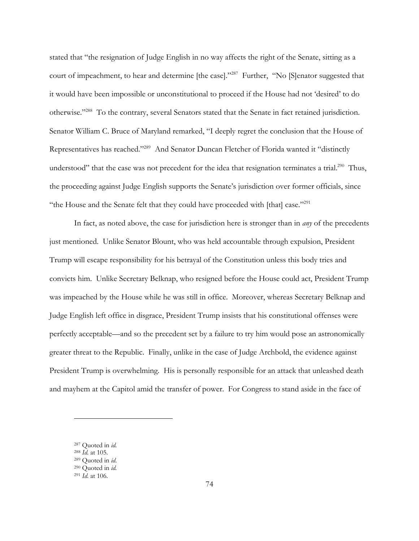stated that "the resignation of Judge English in no way affects the right of the Senate, sitting as a court of impeachment, to hear and determine [the case]."287 Further, "No [S]enator suggested that it would have been impossible or unconstitutional to proceed if the House had not 'desired' to do otherwise."288 To the contrary, several Senators stated that the Senate in fact retained jurisdiction. Senator William C. Bruce of Maryland remarked, "I deeply regret the conclusion that the House of Representatives has reached."289 And Senator Duncan Fletcher of Florida wanted it "distinctly understood" that the case was not precedent for the idea that resignation terminates a trial.<sup>290</sup> Thus, the proceeding against Judge English supports the Senate's jurisdiction over former officials, since "the House and the Senate felt that they could have proceeded with [that] case."<sup>291</sup>

In fact, as noted above, the case for jurisdiction here is stronger than in *any* of the precedents just mentioned. Unlike Senator Blount, who was held accountable through expulsion, President Trump will escape responsibility for his betrayal of the Constitution unless this body tries and convicts him. Unlike Secretary Belknap, who resigned before the House could act, President Trump was impeached by the House while he was still in office. Moreover, whereas Secretary Belknap and Judge English left office in disgrace, President Trump insists that his constitutional offenses were perfectly acceptable—and so the precedent set by a failure to try him would pose an astronomically greater threat to the Republic. Finally, unlike in the case of Judge Archbold, the evidence against President Trump is overwhelming. His is personally responsible for an attack that unleashed death and mayhem at the Capitol amid the transfer of power. For Congress to stand aside in the face of

<sup>287</sup> Quoted in *id.*

<sup>&</sup>lt;sup>289</sup> Quoted in *id*.

<sup>290</sup> Quoted in *id.* <sup>291</sup> *Id.* at 106.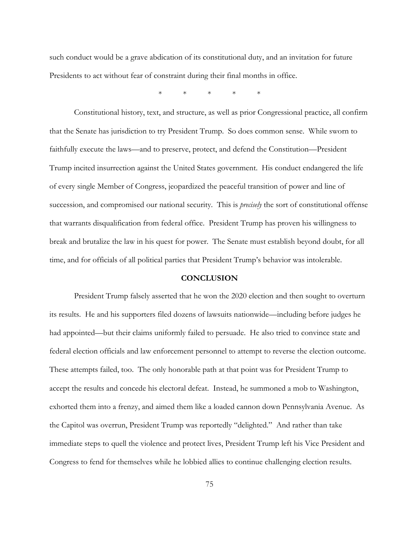such conduct would be a grave abdication of its constitutional duty, and an invitation for future Presidents to act without fear of constraint during their final months in office.

\* \* \* \* \*

Constitutional history, text, and structure, as well as prior Congressional practice, all confirm that the Senate has jurisdiction to try President Trump. So does common sense. While sworn to faithfully execute the laws—and to preserve, protect, and defend the Constitution—President Trump incited insurrection against the United States government. His conduct endangered the life of every single Member of Congress, jeopardized the peaceful transition of power and line of succession, and compromised our national security. This is *precisely* the sort of constitutional offense that warrants disqualification from federal office. President Trump has proven his willingness to break and brutalize the law in his quest for power. The Senate must establish beyond doubt, for all time, and for officials of all political parties that President Trump's behavior was intolerable.

#### **CONCLUSION**

President Trump falsely asserted that he won the 2020 election and then sought to overturn its results. He and his supporters filed dozens of lawsuits nationwide—including before judges he had appointed—but their claims uniformly failed to persuade. He also tried to convince state and federal election officials and law enforcement personnel to attempt to reverse the election outcome. These attempts failed, too. The only honorable path at that point was for President Trump to accept the results and concede his electoral defeat. Instead, he summoned a mob to Washington, exhorted them into a frenzy, and aimed them like a loaded cannon down Pennsylvania Avenue. As the Capitol was overrun, President Trump was reportedly "delighted." And rather than take immediate steps to quell the violence and protect lives, President Trump left his Vice President and Congress to fend for themselves while he lobbied allies to continue challenging election results.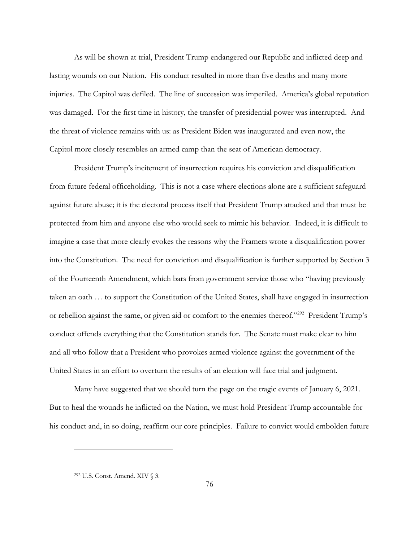As will be shown at trial, President Trump endangered our Republic and inflicted deep and lasting wounds on our Nation. His conduct resulted in more than five deaths and many more injuries. The Capitol was defiled. The line of succession was imperiled. America's global reputation was damaged. For the first time in history, the transfer of presidential power was interrupted. And the threat of violence remains with us: as President Biden was inaugurated and even now, the Capitol more closely resembles an armed camp than the seat of American democracy.

President Trump's incitement of insurrection requires his conviction and disqualification from future federal officeholding. This is not a case where elections alone are a sufficient safeguard against future abuse; it is the electoral process itself that President Trump attacked and that must be protected from him and anyone else who would seek to mimic his behavior. Indeed, it is difficult to imagine a case that more clearly evokes the reasons why the Framers wrote a disqualification power into the Constitution. The need for conviction and disqualification is further supported by Section 3 of the Fourteenth Amendment, which bars from government service those who "having previously taken an oath … to support the Constitution of the United States, shall have engaged in insurrection or rebellion against the same, or given aid or comfort to the enemies thereof."292 President Trump's conduct offends everything that the Constitution stands for. The Senate must make clear to him and all who follow that a President who provokes armed violence against the government of the United States in an effort to overturn the results of an election will face trial and judgment.

Many have suggested that we should turn the page on the tragic events of January 6, 2021. But to heal the wounds he inflicted on the Nation, we must hold President Trump accountable for his conduct and, in so doing, reaffirm our core principles. Failure to convict would embolden future

<sup>292</sup> U.S. Const. Amend. XIV § 3.